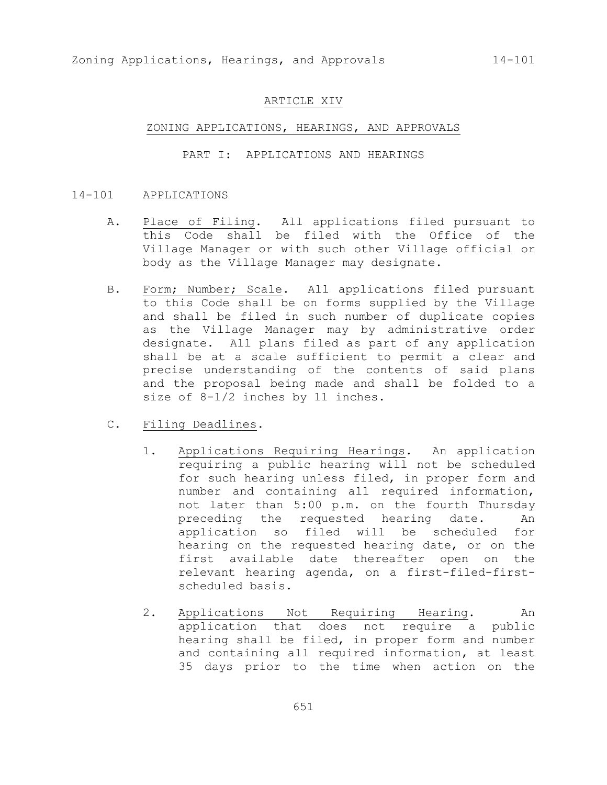#### ARTICLE XIV

## ZONING APPLICATIONS, HEARINGS, AND APPROVALS

### PART I: APPLICATIONS AND HEARINGS

- 14-101 APPLICATIONS
	- A. Place of Filing. All applications filed pursuant to this Code shall be filed with the Office of the Village Manager or with such other Village official or body as the Village Manager may designate.
	- B. Form; Number; Scale. All applications filed pursuant to this Code shall be on forms supplied by the Village and shall be filed in such number of duplicate copies as the Village Manager may by administrative order designate. All plans filed as part of any application shall be at a scale sufficient to permit a clear and precise understanding of the contents of said plans and the proposal being made and shall be folded to a size of 8-1/2 inches by 11 inches.
	- C. Filing Deadlines.
		- 1. Applications Requiring Hearings. An application requiring a public hearing will not be scheduled for such hearing unless filed, in proper form and number and containing all required information, not later than 5:00 p.m. on the fourth Thursday preceding the requested hearing date. An application so filed will be scheduled for hearing on the requested hearing date, or on the first available date thereafter open on the relevant hearing agenda, on a first-filed-firstscheduled basis.
		- 2. Applications Not Requiring Hearing. An application that does not require a public hearing shall be filed, in proper form and number and containing all required information, at least 35 days prior to the time when action on the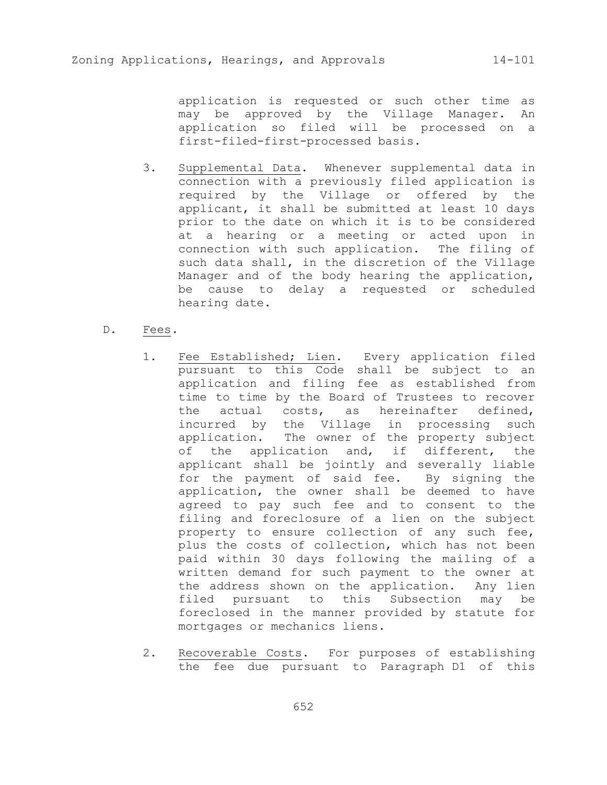application is requested or such other time as may be approved by the Village Manager. An application so filed will be processed on a first-filed-first-processed basis.

- 3. Supplemental Data. Whenever supplemental data in connection with a previously filed application is required by the Village or offered by the applicant, it shall be submitted at least 10 days prior to the date on which it is to be considered at a hearing or a meeting or acted upon in connection with such application. The filing of such data shall, in the discretion of the Village Manager and of the body hearing the application, be cause to delay a requested or scheduled hearing date.
- D. Fees.
	- 1. Fee Established; Lien. Every application filed pursuant to this Code shall be subject to an application and filing fee as established from time to time by the Board of Trustees to recover the actual costs, as hereinafter defined, incurred by the Village in processing such application. The owner of the property subject of the application and, if different, the applicant shall be jointly and severally liable for the payment of said fee. By signing the application, the owner shall be deemed to have agreed to pay such fee and to consent to the filing and foreclosure of a lien on the subject property to ensure collection of any such fee, plus the costs of collection, which has not been paid within 30 days following the mailing of a written demand for such payment to the owner at the address shown on the application. Any lien filed pursuant to this Subsection may be foreclosed in the manner provided by statute for mortgages or mechanics liens.
	- 2. Recoverable Costs. For purposes of establishing the fee due pursuant to Paragraph D1 of this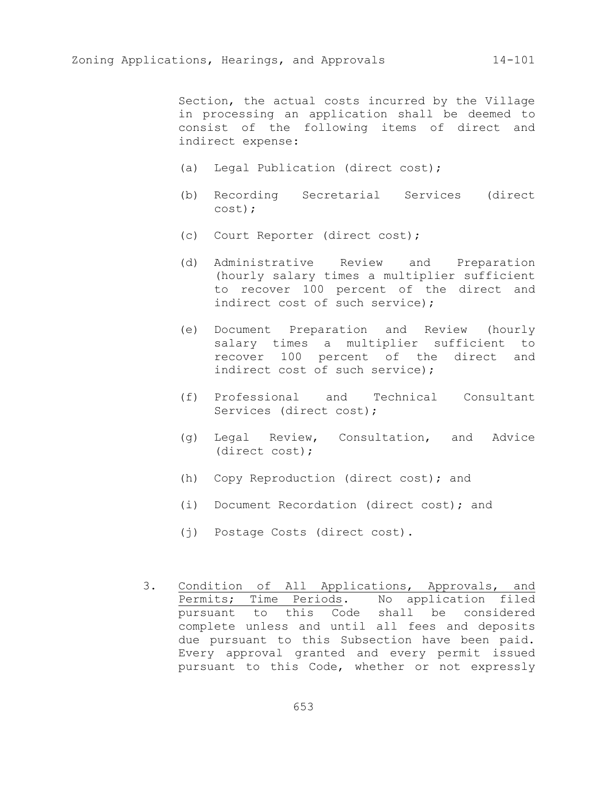Section, the actual costs incurred by the Village in processing an application shall be deemed to consist of the following items of direct and indirect expense:

- (a) Legal Publication (direct cost);
- (b) Recording Secretarial Services (direct cost);
- (c) Court Reporter (direct cost);
- (d) Administrative Review and Preparation (hourly salary times a multiplier sufficient to recover 100 percent of the direct and indirect cost of such service);
- (e) Document Preparation and Review (hourly salary times a multiplier sufficient to recover 100 percent of the direct and indirect cost of such service);
- (f) Professional and Technical Consultant Services (direct cost);
- (g) Legal Review, Consultation, and Advice (direct cost);
- (h) Copy Reproduction (direct cost); and
- (i) Document Recordation (direct cost); and
- (j) Postage Costs (direct cost).
- 3. Condition of All Applications, Approvals, and Permits; Time Periods. No application filed pursuant to this Code shall be considered complete unless and until all fees and deposits due pursuant to this Subsection have been paid. Every approval granted and every permit issued pursuant to this Code, whether or not expressly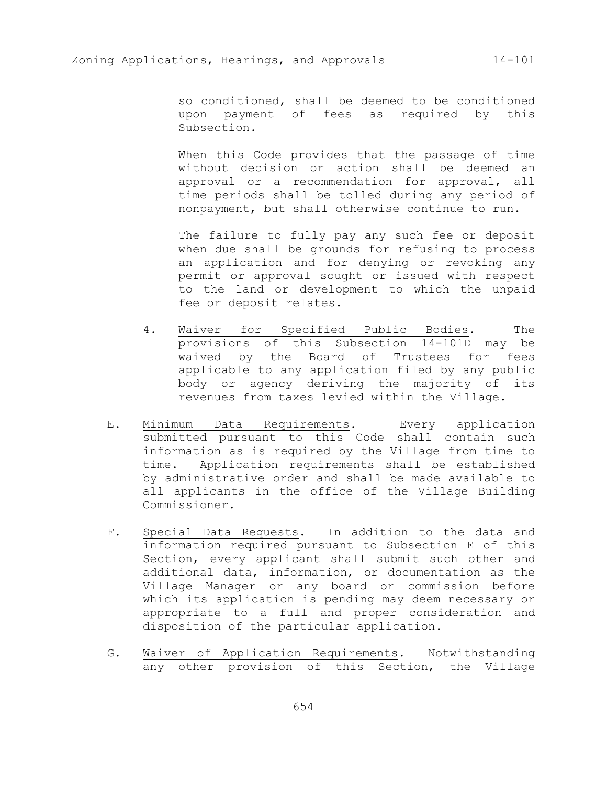# Zoning Applications, Hearings, and Approvals 14-101

so conditioned, shall be deemed to be conditioned upon payment of fees as required by this Subsection.

When this Code provides that the passage of time without decision or action shall be deemed an approval or a recommendation for approval, all time periods shall be tolled during any period of nonpayment, but shall otherwise continue to run.

The failure to fully pay any such fee or deposit when due shall be grounds for refusing to process an application and for denying or revoking any permit or approval sought or issued with respect to the land or development to which the unpaid fee or deposit relates.

- 4. Waiver for Specified Public Bodies. The provisions of this Subsection 14-101D may be waived by the Board of Trustees for fees applicable to any application filed by any public body or agency deriving the majority of its revenues from taxes levied within the Village.
- E. Minimum Data Requirements. Every application submitted pursuant to this Code shall contain such information as is required by the Village from time to time. Application requirements shall be established by administrative order and shall be made available to all applicants in the office of the Village Building Commissioner.
- F. Special Data Requests. In addition to the data and information required pursuant to Subsection E of this Section, every applicant shall submit such other and additional data, information, or documentation as the Village Manager or any board or commission before which its application is pending may deem necessary or appropriate to a full and proper consideration and disposition of the particular application.
- G. Waiver of Application Requirements. Notwithstanding any other provision of this Section, the Village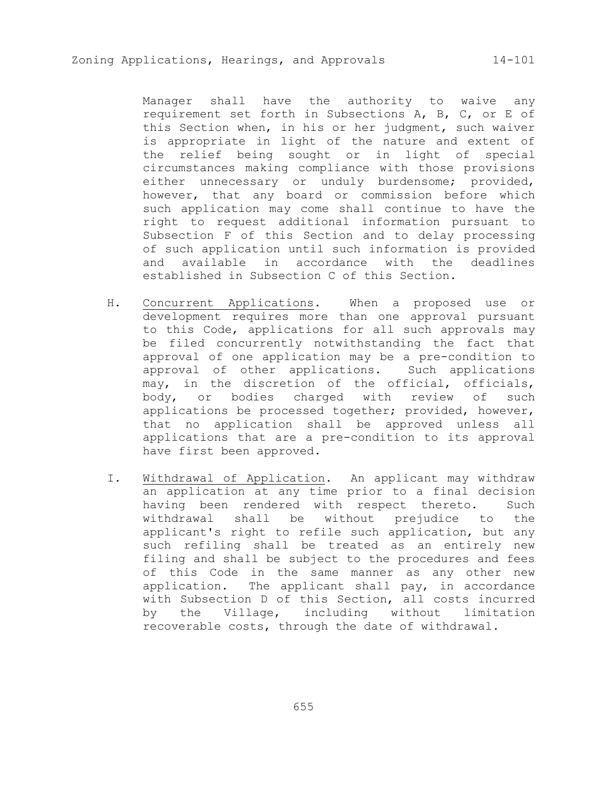Manager shall have the authority to waive any requirement set forth in Subsections A, B, C, or E of this Section when, in his or her judgment, such waiver is appropriate in light of the nature and extent of the relief being sought or in light of special circumstances making compliance with those provisions either unnecessary or unduly burdensome; provided, however, that any board or commission before which such application may come shall continue to have the right to request additional information pursuant to Subsection F of this Section and to delay processing of such application until such information is provided and available in accordance with the deadlines established in Subsection C of this Section.

- H. Concurrent Applications. When a proposed use or development requires more than one approval pursuant to this Code, applications for all such approvals may be filed concurrently notwithstanding the fact that approval of one application may be a pre-condition to approval of other applications. Such applications may, in the discretion of the official, officials, body, or bodies charged with review of such applications be processed together; provided, however, that no application shall be approved unless all applications that are a pre-condition to its approval have first been approved.
- I. Withdrawal of Application. An applicant may withdraw an application at any time prior to a final decision having been rendered with respect thereto. Such withdrawal shall be without prejudice to the applicant's right to refile such application, but any such refiling shall be treated as an entirely new filing and shall be subject to the procedures and fees of this Code in the same manner as any other new application. The applicant shall pay, in accordance with Subsection D of this Section, all costs incurred by the Village, including without limitation recoverable costs, through the date of withdrawal.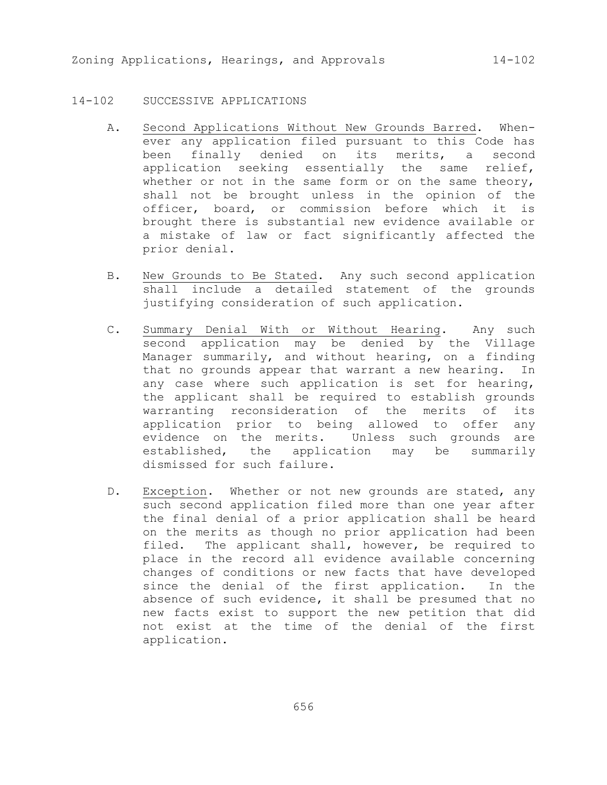## 14-102 SUCCESSIVE APPLICATIONS

- A. Second Applications Without New Grounds Barred. Whenever any application filed pursuant to this Code has been finally denied on its merits, a second application seeking essentially the same relief, whether or not in the same form or on the same theory, shall not be brought unless in the opinion of the officer, board, or commission before which it is brought there is substantial new evidence available or a mistake of law or fact significantly affected the prior denial.
- B. New Grounds to Be Stated. Any such second application shall include a detailed statement of the grounds justifying consideration of such application.
- C. Summary Denial With or Without Hearing. Any such second application may be denied by the Village Manager summarily, and without hearing, on a finding that no grounds appear that warrant a new hearing. In any case where such application is set for hearing, the applicant shall be required to establish grounds warranting reconsideration of the merits of its application prior to being allowed to offer any evidence on the merits. Unless such grounds are established, the application may be summarily dismissed for such failure.
- D. Exception. Whether or not new grounds are stated, any such second application filed more than one year after the final denial of a prior application shall be heard on the merits as though no prior application had been filed. The applicant shall, however, be required to place in the record all evidence available concerning changes of conditions or new facts that have developed since the denial of the first application. In the absence of such evidence, it shall be presumed that no new facts exist to support the new petition that did not exist at the time of the denial of the first application.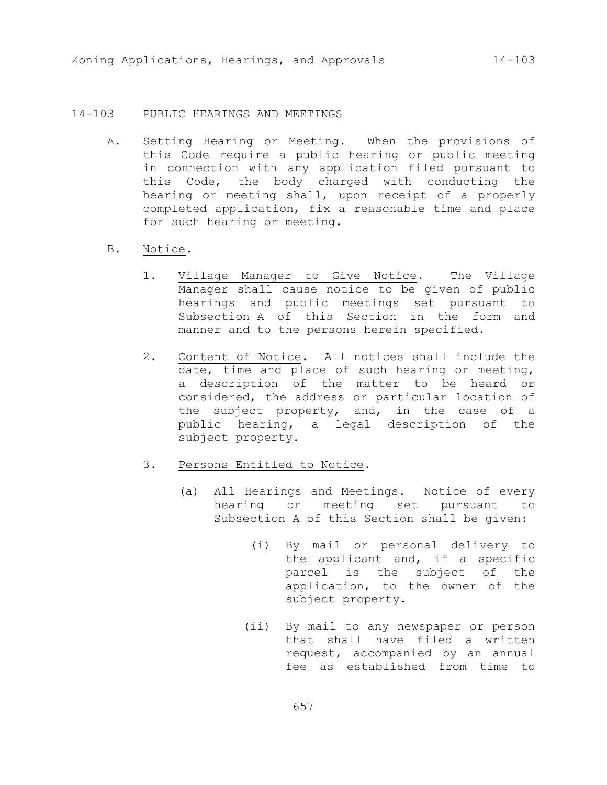### 14-103 PUBLIC HEARINGS AND MEETINGS

- A. Setting Hearing or Meeting. When the provisions of this Code require a public hearing or public meeting in connection with any application filed pursuant to this Code, the body charged with conducting the hearing or meeting shall, upon receipt of a properly completed application, fix a reasonable time and place for such hearing or meeting.
- B. Notice.
	- 1. Village Manager to Give Notice. The Village Manager shall cause notice to be given of public hearings and public meetings set pursuant to Subsection A of this Section in the form and manner and to the persons herein specified.
	- 2. Content of Notice. All notices shall include the date, time and place of such hearing or meeting, a description of the matter to be heard or considered, the address or particular location of the subject property, and, in the case of a public hearing, a legal description of the subject property.
	- 3. Persons Entitled to Notice.
		- (a) All Hearings and Meetings. Notice of every hearing or meeting set pursuant to Subsection A of this Section shall be given:
			- (i) By mail or personal delivery to the applicant and, if a specific parcel is the subject of the application, to the owner of the subject property.
			- (ii) By mail to any newspaper or person that shall have filed a written request, accompanied by an annual fee as established from time to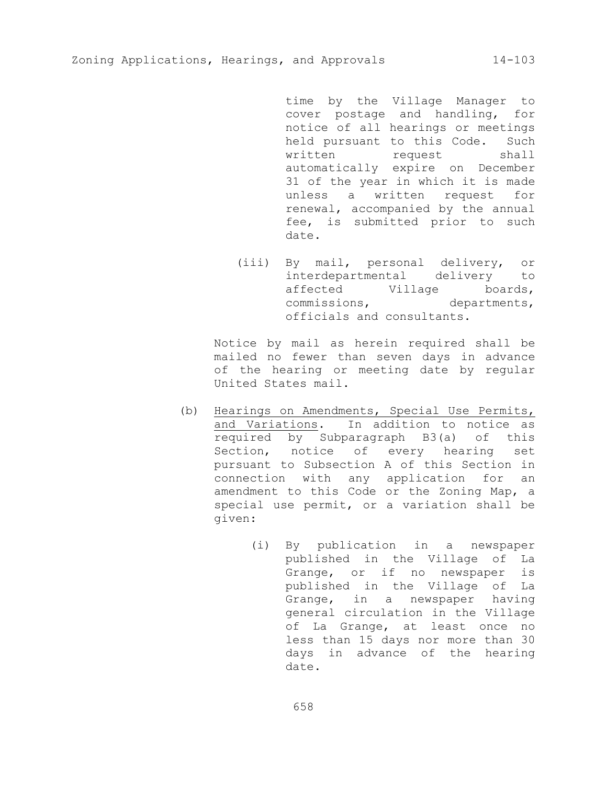time by the Village Manager to cover postage and handling, for notice of all hearings or meetings held pursuant to this Code. Such written request shall automatically expire on December 31 of the year in which it is made unless a written request for renewal, accompanied by the annual fee, is submitted prior to such date.

 (iii) By mail, personal delivery, or interdepartmental delivery to affected Village boards, commissions, departments, officials and consultants.

Notice by mail as herein required shall be mailed no fewer than seven days in advance of the hearing or meeting date by regular United States mail.

- (b) Hearings on Amendments, Special Use Permits, and Variations. In addition to notice as required by Subparagraph B3(a) of this Section, notice of every hearing set pursuant to Subsection A of this Section in connection with any application for an amendment to this Code or the Zoning Map, a special use permit, or a variation shall be given:
	- (i) By publication in a newspaper published in the Village of La Grange, or if no newspaper is published in the Village of La Grange, in a newspaper having general circulation in the Village of La Grange, at least once no less than 15 days nor more than 30 days in advance of the hearing date.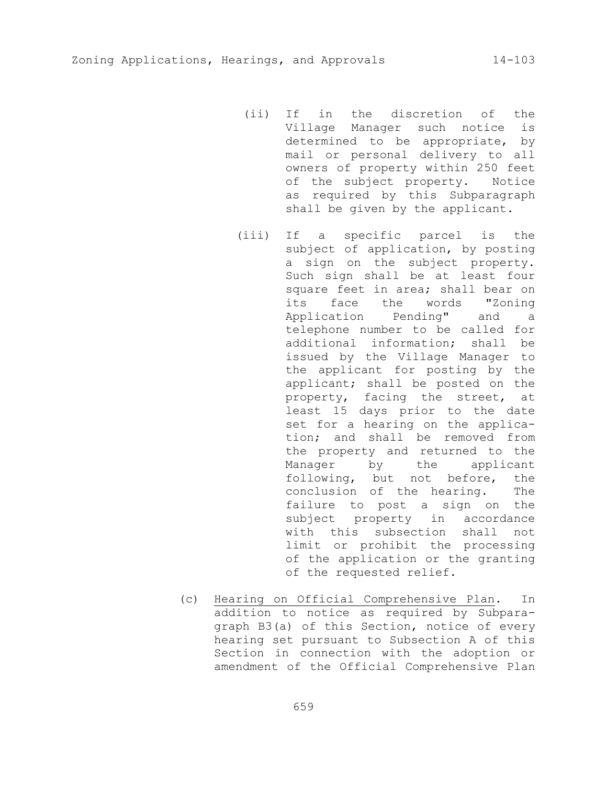- (ii) If in the discretion of the Village Manager such notice is determined to be appropriate, by mail or personal delivery to all owners of property within 250 feet of the subject property. Notice as required by this Subparagraph shall be given by the applicant.
- (iii) If a specific parcel is the subject of application, by posting a sign on the subject property. Such sign shall be at least four square feet in area; shall bear on its face the words "Zoning Application Pending" and a telephone number to be called for additional information; shall be issued by the Village Manager to the applicant for posting by the applicant; shall be posted on the property, facing the street, at least 15 days prior to the date set for a hearing on the application; and shall be removed from the property and returned to the Manager by the applicant following, but not before, the conclusion of the hearing. The failure to post a sign on the subject property in accordance with this subsection shall not limit or prohibit the processing of the application or the granting of the requested relief.
- (c) Hearing on Official Comprehensive Plan. In addition to notice as required by Subparagraph B3(a) of this Section, notice of every hearing set pursuant to Subsection A of this Section in connection with the adoption or amendment of the Official Comprehensive Plan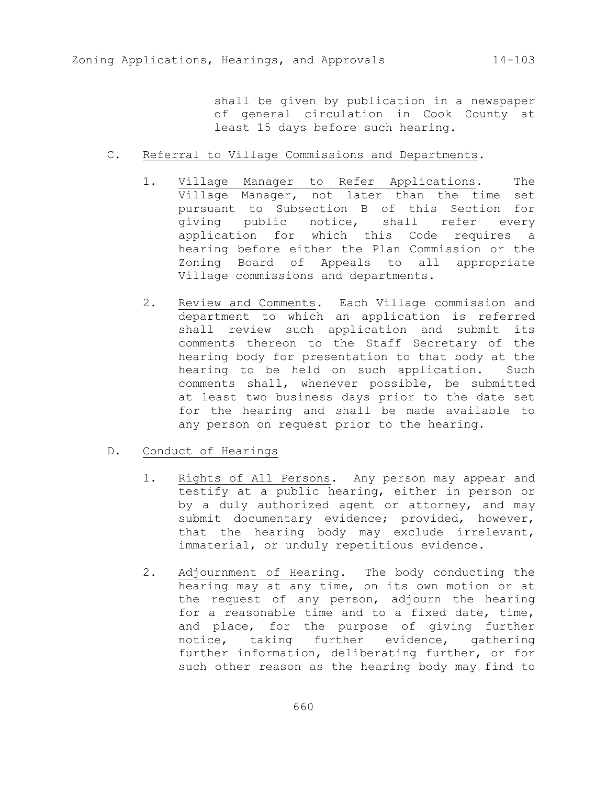shall be given by publication in a newspaper of general circulation in Cook County at least 15 days before such hearing.

- C. Referral to Village Commissions and Departments.
	- 1. Village Manager to Refer Applications. The Village Manager, not later than the time set pursuant to Subsection B of this Section for giving public notice, shall refer every application for which this Code requires a hearing before either the Plan Commission or the Zoning Board of Appeals to all appropriate Village commissions and departments.
	- 2. Review and Comments. Each Village commission and department to which an application is referred shall review such application and submit its comments thereon to the Staff Secretary of the hearing body for presentation to that body at the hearing to be held on such application. Such comments shall, whenever possible, be submitted at least two business days prior to the date set for the hearing and shall be made available to any person on request prior to the hearing.
- D. Conduct of Hearings
	- 1. Rights of All Persons. Any person may appear and testify at a public hearing, either in person or by a duly authorized agent or attorney, and may submit documentary evidence; provided, however, that the hearing body may exclude irrelevant, immaterial, or unduly repetitious evidence.
	- 2. Adjournment of Hearing. The body conducting the hearing may at any time, on its own motion or at the request of any person, adjourn the hearing for a reasonable time and to a fixed date, time, and place, for the purpose of giving further notice, taking further evidence, gathering further information, deliberating further, or for such other reason as the hearing body may find to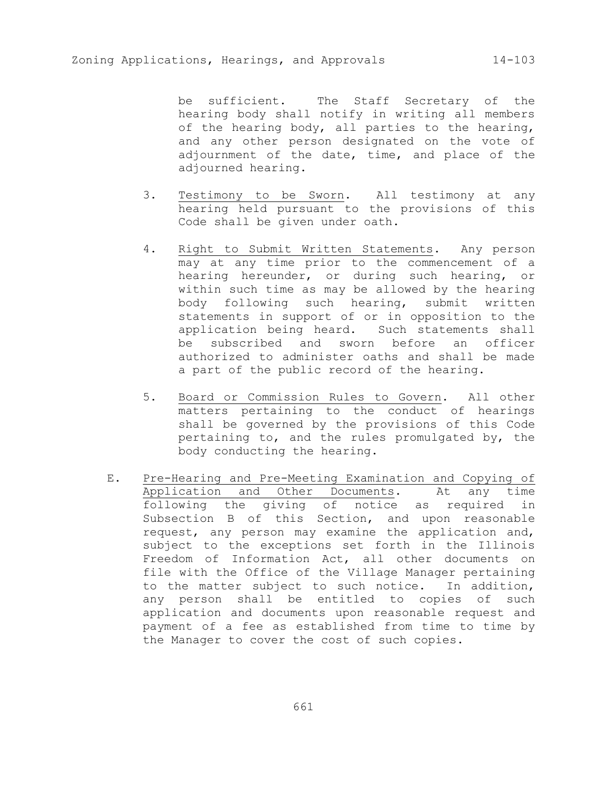be sufficient. The Staff Secretary of the hearing body shall notify in writing all members of the hearing body, all parties to the hearing, and any other person designated on the vote of adjournment of the date, time, and place of the adjourned hearing.

- 3. Testimony to be Sworn. All testimony at any hearing held pursuant to the provisions of this Code shall be given under oath.
- 4. Right to Submit Written Statements. Any person may at any time prior to the commencement of a hearing hereunder, or during such hearing, or within such time as may be allowed by the hearing body following such hearing, submit written statements in support of or in opposition to the application being heard. Such statements shall be subscribed and sworn before an officer authorized to administer oaths and shall be made a part of the public record of the hearing.
- 5. Board or Commission Rules to Govern. All other matters pertaining to the conduct of hearings shall be governed by the provisions of this Code pertaining to, and the rules promulgated by, the body conducting the hearing.
- E. Pre-Hearing and Pre-Meeting Examination and Copying of Application and Other Documents. At any time following the giving of notice as required in Subsection B of this Section, and upon reasonable request, any person may examine the application and, subject to the exceptions set forth in the Illinois Freedom of Information Act, all other documents on file with the Office of the Village Manager pertaining to the matter subject to such notice. In addition, any person shall be entitled to copies of such application and documents upon reasonable request and payment of a fee as established from time to time by the Manager to cover the cost of such copies.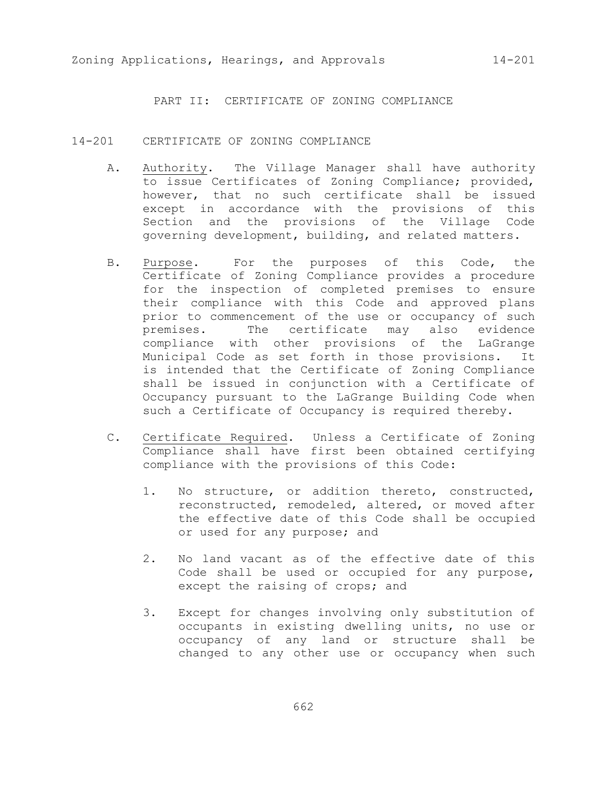PART II: CERTIFICATE OF ZONING COMPLIANCE

### 14-201 CERTIFICATE OF ZONING COMPLIANCE

- A. Authority. The Village Manager shall have authority to issue Certificates of Zoning Compliance; provided, however, that no such certificate shall be issued except in accordance with the provisions of this Section and the provisions of the Village Code governing development, building, and related matters.
- B. Purpose. For the purposes of this Code, the Certificate of Zoning Compliance provides a procedure for the inspection of completed premises to ensure their compliance with this Code and approved plans prior to commencement of the use or occupancy of such premises. The certificate may also evidence compliance with other provisions of the LaGrange Municipal Code as set forth in those provisions. It is intended that the Certificate of Zoning Compliance shall be issued in conjunction with a Certificate of Occupancy pursuant to the LaGrange Building Code when such a Certificate of Occupancy is required thereby.
- C. Certificate Required. Unless a Certificate of Zoning Compliance shall have first been obtained certifying compliance with the provisions of this Code:
	- 1. No structure, or addition thereto, constructed, reconstructed, remodeled, altered, or moved after the effective date of this Code shall be occupied or used for any purpose; and
	- 2. No land vacant as of the effective date of this Code shall be used or occupied for any purpose, except the raising of crops; and
	- 3. Except for changes involving only substitution of occupants in existing dwelling units, no use or occupancy of any land or structure shall be changed to any other use or occupancy when such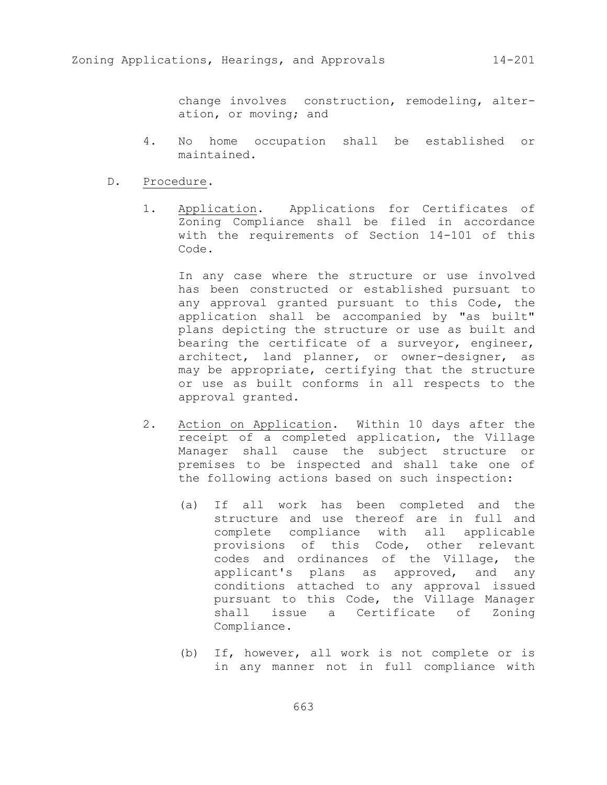change involves construction, remodeling, alteration, or moving; and

4. No home occupation shall be established or maintained.

#### D. Procedure.

1. Application. Applications for Certificates of Zoning Compliance shall be filed in accordance with the requirements of Section 14-101 of this Code.

In any case where the structure or use involved has been constructed or established pursuant to any approval granted pursuant to this Code, the application shall be accompanied by "as built" plans depicting the structure or use as built and bearing the certificate of a surveyor, engineer, architect, land planner, or owner-designer, as may be appropriate, certifying that the structure or use as built conforms in all respects to the approval granted.

- 2. Action on Application. Within 10 days after the receipt of a completed application, the Village Manager shall cause the subject structure or premises to be inspected and shall take one of the following actions based on such inspection:
	- (a) If all work has been completed and the structure and use thereof are in full and complete compliance with all applicable provisions of this Code, other relevant codes and ordinances of the Village, the applicant's plans as approved, and any conditions attached to any approval issued pursuant to this Code, the Village Manager shall issue a Certificate of Zoning Compliance.
	- (b) If, however, all work is not complete or is in any manner not in full compliance with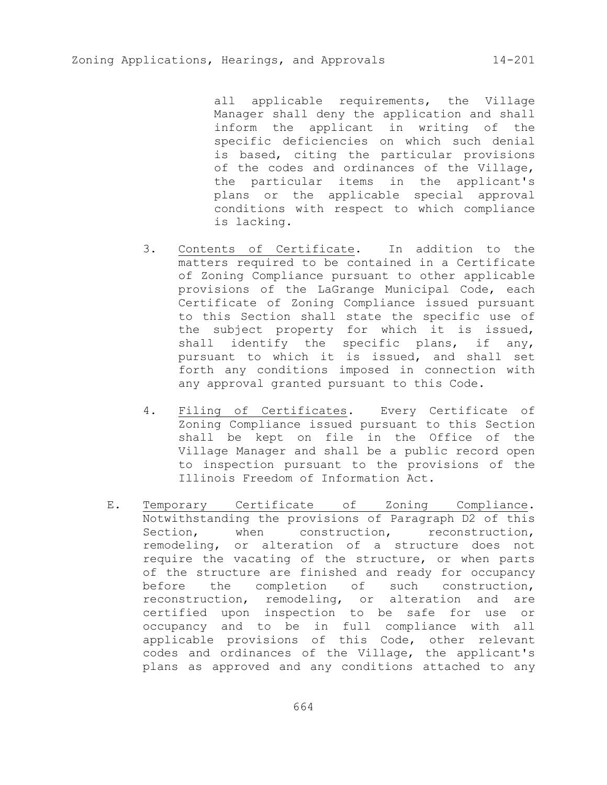all applicable requirements, the Village Manager shall deny the application and shall inform the applicant in writing of the specific deficiencies on which such denial is based, citing the particular provisions of the codes and ordinances of the Village, the particular items in the applicant's plans or the applicable special approval conditions with respect to which compliance is lacking.

- 3. Contents of Certificate. In addition to the matters required to be contained in a Certificate of Zoning Compliance pursuant to other applicable provisions of the LaGrange Municipal Code, each Certificate of Zoning Compliance issued pursuant to this Section shall state the specific use of the subject property for which it is issued, shall identify the specific plans, if any, pursuant to which it is issued, and shall set forth any conditions imposed in connection with any approval granted pursuant to this Code.
- 4. Filing of Certificates. Every Certificate of Zoning Compliance issued pursuant to this Section shall be kept on file in the Office of the Village Manager and shall be a public record open to inspection pursuant to the provisions of the Illinois Freedom of Information Act.
- E. Temporary Certificate of Zoning Compliance. Notwithstanding the provisions of Paragraph D2 of this Section, when construction, reconstruction, remodeling, or alteration of a structure does not require the vacating of the structure, or when parts of the structure are finished and ready for occupancy before the completion of such construction, reconstruction, remodeling, or alteration and are certified upon inspection to be safe for use or occupancy and to be in full compliance with all applicable provisions of this Code, other relevant codes and ordinances of the Village, the applicant's plans as approved and any conditions attached to any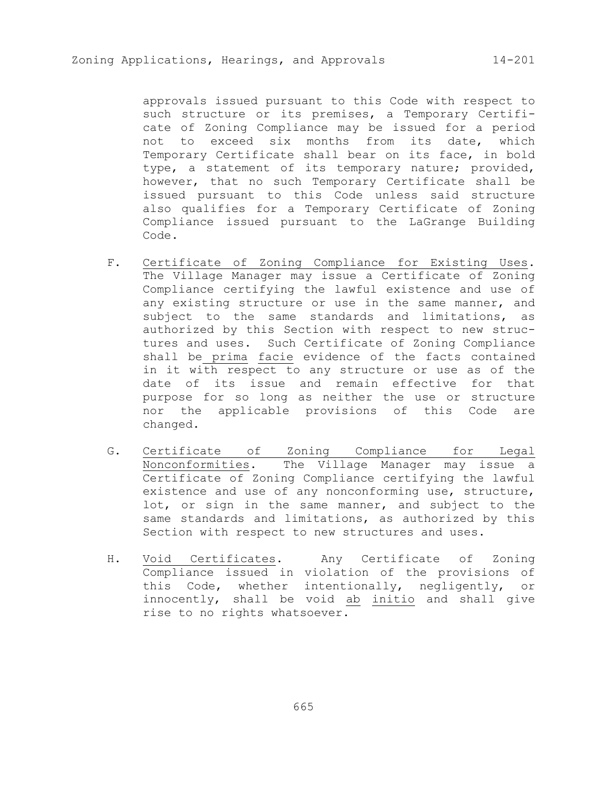approvals issued pursuant to this Code with respect to such structure or its premises, a Temporary Certificate of Zoning Compliance may be issued for a period not to exceed six months from its date, which Temporary Certificate shall bear on its face, in bold type, a statement of its temporary nature; provided, however, that no such Temporary Certificate shall be issued pursuant to this Code unless said structure also qualifies for a Temporary Certificate of Zoning Compliance issued pursuant to the LaGrange Building Code.

- F. Certificate of Zoning Compliance for Existing Uses. The Village Manager may issue a Certificate of Zoning Compliance certifying the lawful existence and use of any existing structure or use in the same manner, and subject to the same standards and limitations, as authorized by this Section with respect to new structures and uses. Such Certificate of Zoning Compliance shall be prima facie evidence of the facts contained in it with respect to any structure or use as of the date of its issue and remain effective for that purpose for so long as neither the use or structure nor the applicable provisions of this Code are changed.
- G. Certificate of Zoning Compliance for Legal Nonconformities. The Village Manager may issue a Certificate of Zoning Compliance certifying the lawful existence and use of any nonconforming use, structure, lot, or sign in the same manner, and subject to the same standards and limitations, as authorized by this Section with respect to new structures and uses.
- H. Void Certificates. Any Certificate of Zoning Compliance issued in violation of the provisions of this Code, whether intentionally, negligently, or innocently, shall be void ab initio and shall give rise to no rights whatsoever.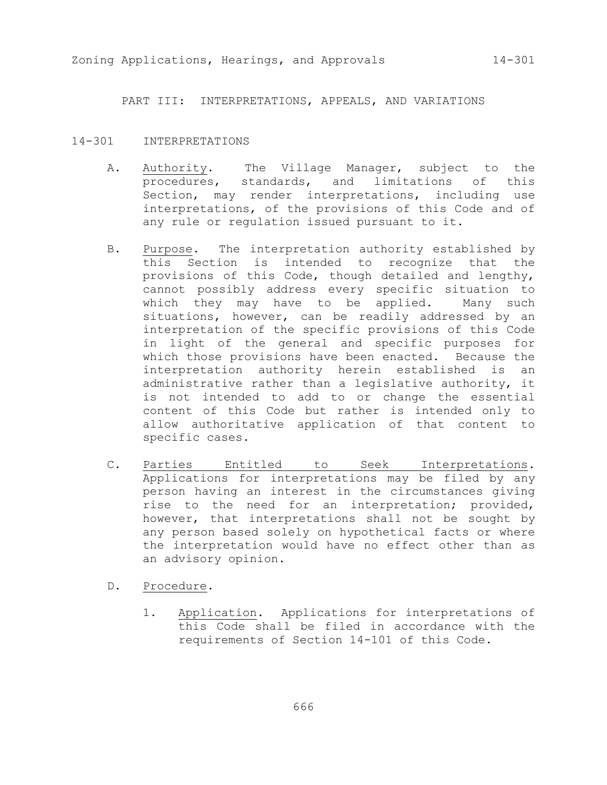PART III: INTERPRETATIONS, APPEALS, AND VARIATIONS

## 14-301 INTERPRETATIONS

- A. Authority. The Village Manager, subject to the procedures, standards, and limitations of this Section, may render interpretations, including use interpretations, of the provisions of this Code and of any rule or regulation issued pursuant to it.
- B. Purpose. The interpretation authority established by this Section is intended to recognize that the provisions of this Code, though detailed and lengthy, cannot possibly address every specific situation to which they may have to be applied. Many such situations, however, can be readily addressed by an interpretation of the specific provisions of this Code in light of the general and specific purposes for which those provisions have been enacted. Because the interpretation authority herein established is an administrative rather than a legislative authority, it is not intended to add to or change the essential content of this Code but rather is intended only to allow authoritative application of that content to specific cases.
- C. Parties Entitled to Seek Interpretations. Applications for interpretations may be filed by any person having an interest in the circumstances giving rise to the need for an interpretation; provided, however, that interpretations shall not be sought by any person based solely on hypothetical facts or where the interpretation would have no effect other than as an advisory opinion.
- D. Procedure.
	- 1. Application. Applications for interpretations of this Code shall be filed in accordance with the requirements of Section 14-101 of this Code.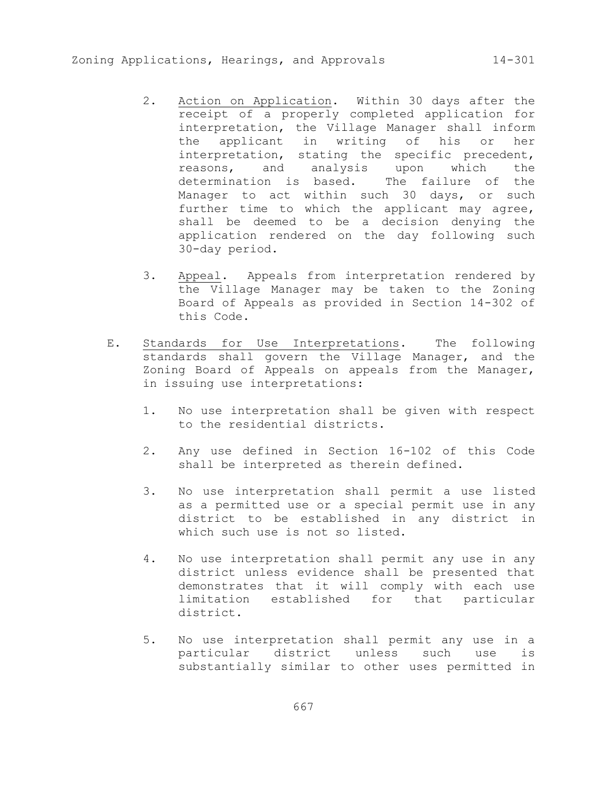- 2. Action on Application. Within 30 days after the receipt of a properly completed application for interpretation, the Village Manager shall inform the applicant in writing of his or her interpretation, stating the specific precedent, reasons, and analysis upon which the determination is based. The failure of the Manager to act within such 30 days, or such further time to which the applicant may agree, shall be deemed to be a decision denying the application rendered on the day following such 30-day period.
- 3. Appeal. Appeals from interpretation rendered by the Village Manager may be taken to the Zoning Board of Appeals as provided in Section 14-302 of this Code.
- E. Standards for Use Interpretations. The following standards shall govern the Village Manager, and the Zoning Board of Appeals on appeals from the Manager, in issuing use interpretations:
	- 1. No use interpretation shall be given with respect to the residential districts.
	- 2. Any use defined in Section 16-102 of this Code shall be interpreted as therein defined.
	- 3. No use interpretation shall permit a use listed as a permitted use or a special permit use in any district to be established in any district in which such use is not so listed.
	- 4. No use interpretation shall permit any use in any district unless evidence shall be presented that demonstrates that it will comply with each use limitation established for that particular district.
	- 5. No use interpretation shall permit any use in a particular district unless such use is substantially similar to other uses permitted in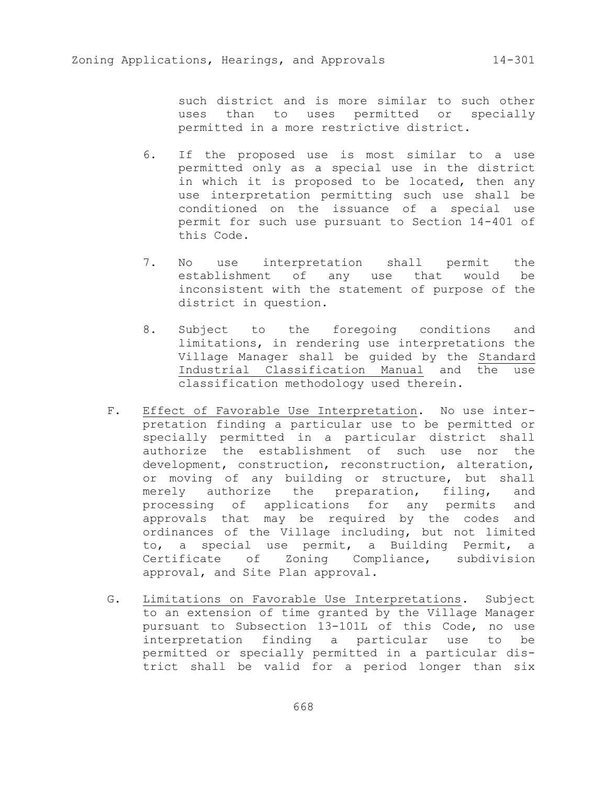such district and is more similar to such other uses than to uses permitted or specially permitted in a more restrictive district.

- 6. If the proposed use is most similar to a use permitted only as a special use in the district in which it is proposed to be located, then any use interpretation permitting such use shall be conditioned on the issuance of a special use permit for such use pursuant to Section 14-401 of this Code.
- 7. No use interpretation shall permit the establishment of any use that would be inconsistent with the statement of purpose of the district in question.
- 8. Subject to the foregoing conditions and limitations, in rendering use interpretations the Village Manager shall be guided by the Standard Industrial Classification Manual and the use classification methodology used therein.
- F. Effect of Favorable Use Interpretation. No use interpretation finding a particular use to be permitted or specially permitted in a particular district shall authorize the establishment of such use nor the development, construction, reconstruction, alteration, or moving of any building or structure, but shall merely authorize the preparation, filing, and processing of applications for any permits and approvals that may be required by the codes and ordinances of the Village including, but not limited to, a special use permit, a Building Permit, a Certificate of Zoning Compliance, subdivision approval, and Site Plan approval.
- G. Limitations on Favorable Use Interpretations. Subject to an extension of time granted by the Village Manager pursuant to Subsection 13-101L of this Code, no use interpretation finding a particular use to be permitted or specially permitted in a particular district shall be valid for a period longer than six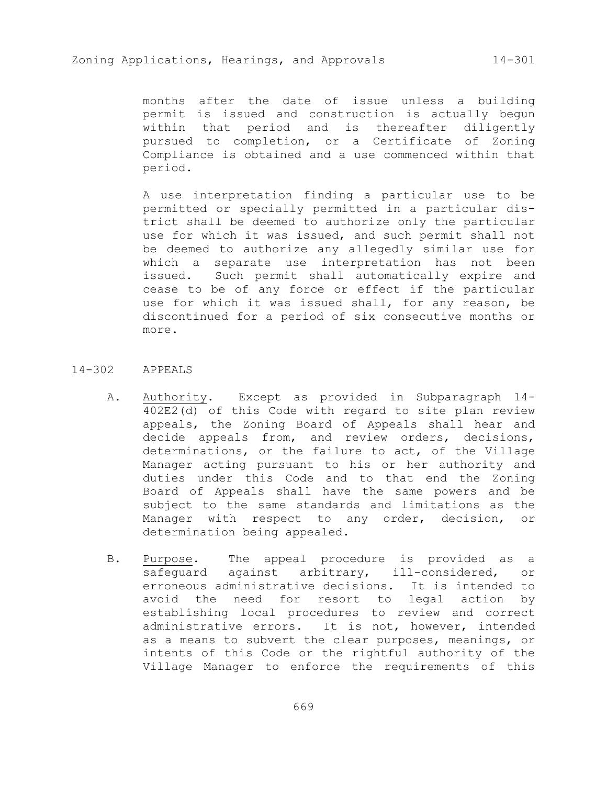months after the date of issue unless a building permit is issued and construction is actually begun within that period and is thereafter diligently pursued to completion, or a Certificate of Zoning Compliance is obtained and a use commenced within that period.

A use interpretation finding a particular use to be permitted or specially permitted in a particular district shall be deemed to authorize only the particular use for which it was issued, and such permit shall not be deemed to authorize any allegedly similar use for which a separate use interpretation has not been issued. Such permit shall automatically expire and cease to be of any force or effect if the particular use for which it was issued shall, for any reason, be discontinued for a period of six consecutive months or more.

### 14-302 APPEALS

- A. Authority. Except as provided in Subparagraph 14- 402E2(d) of this Code with regard to site plan review appeals, the Zoning Board of Appeals shall hear and decide appeals from, and review orders, decisions, determinations, or the failure to act, of the Village Manager acting pursuant to his or her authority and duties under this Code and to that end the Zoning Board of Appeals shall have the same powers and be subject to the same standards and limitations as the Manager with respect to any order, decision, or determination being appealed.
- B. Purpose. The appeal procedure is provided as a safeguard against arbitrary, ill-considered, or erroneous administrative decisions. It is intended to avoid the need for resort to legal action by establishing local procedures to review and correct administrative errors. It is not, however, intended as a means to subvert the clear purposes, meanings, or intents of this Code or the rightful authority of the Village Manager to enforce the requirements of this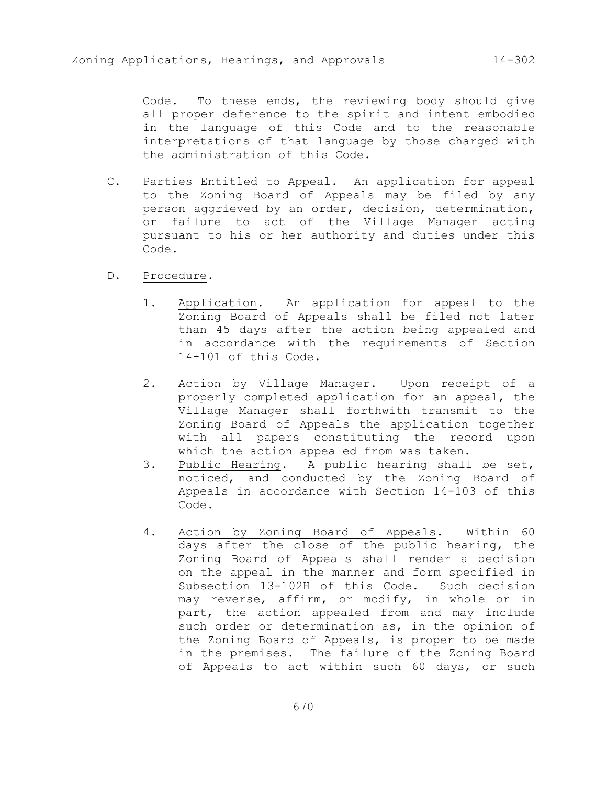Code. To these ends, the reviewing body should give all proper deference to the spirit and intent embodied in the language of this Code and to the reasonable interpretations of that language by those charged with the administration of this Code.

C. Parties Entitled to Appeal. An application for appeal to the Zoning Board of Appeals may be filed by any person aggrieved by an order, decision, determination, or failure to act of the Village Manager acting pursuant to his or her authority and duties under this Code.

#### D. Procedure.

- 1. Application. An application for appeal to the Zoning Board of Appeals shall be filed not later than 45 days after the action being appealed and in accordance with the requirements of Section 14-101 of this Code.
- 2. Action by Village Manager. Upon receipt of a properly completed application for an appeal, the Village Manager shall forthwith transmit to the Zoning Board of Appeals the application together with all papers constituting the record upon which the action appealed from was taken.
- 3. Public Hearing. A public hearing shall be set, noticed, and conducted by the Zoning Board of Appeals in accordance with Section 14-103 of this Code.
- 4. Action by Zoning Board of Appeals. Within 60 days after the close of the public hearing, the Zoning Board of Appeals shall render a decision on the appeal in the manner and form specified in Subsection 13-102H of this Code. Such decision may reverse, affirm, or modify, in whole or in part, the action appealed from and may include such order or determination as, in the opinion of the Zoning Board of Appeals, is proper to be made in the premises. The failure of the Zoning Board of Appeals to act within such 60 days, or such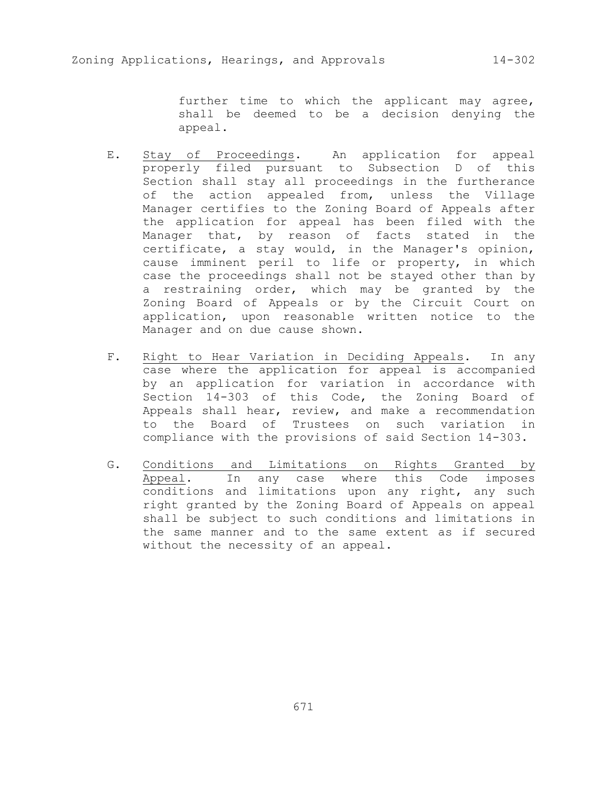further time to which the applicant may agree, shall be deemed to be a decision denying the appeal.

- E. Stay of Proceedings. An application for appeal properly filed pursuant to Subsection D of this Section shall stay all proceedings in the furtherance of the action appealed from, unless the Village Manager certifies to the Zoning Board of Appeals after the application for appeal has been filed with the Manager that, by reason of facts stated in the certificate, a stay would, in the Manager's opinion, cause imminent peril to life or property, in which case the proceedings shall not be stayed other than by a restraining order, which may be granted by the Zoning Board of Appeals or by the Circuit Court on application, upon reasonable written notice to the Manager and on due cause shown.
- F. Right to Hear Variation in Deciding Appeals. In any case where the application for appeal is accompanied by an application for variation in accordance with Section 14-303 of this Code, the Zoning Board of Appeals shall hear, review, and make a recommendation to the Board of Trustees on such variation in compliance with the provisions of said Section 14-303.
- G. Conditions and Limitations on Rights Granted by Appeal. In any case where this Code imposes conditions and limitations upon any right, any such right granted by the Zoning Board of Appeals on appeal shall be subject to such conditions and limitations in the same manner and to the same extent as if secured without the necessity of an appeal.

671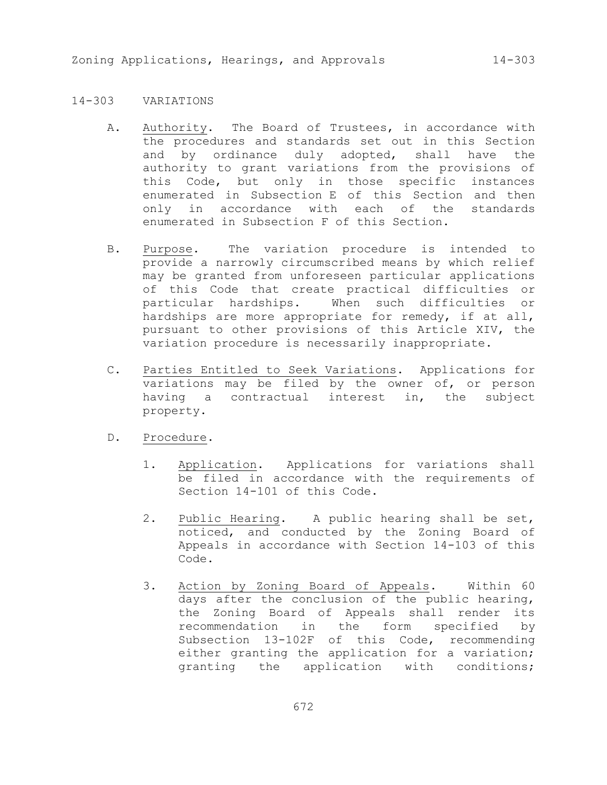## 14-303 VARIATIONS

- A. Authority. The Board of Trustees, in accordance with the procedures and standards set out in this Section and by ordinance duly adopted, shall have the authority to grant variations from the provisions of this Code, but only in those specific instances enumerated in Subsection E of this Section and then only in accordance with each of the standards enumerated in Subsection F of this Section.
- B. Purpose. The variation procedure is intended to provide a narrowly circumscribed means by which relief may be granted from unforeseen particular applications of this Code that create practical difficulties or particular hardships. When such difficulties or hardships are more appropriate for remedy, if at all, pursuant to other provisions of this Article XIV, the variation procedure is necessarily inappropriate.
- C. Parties Entitled to Seek Variations. Applications for variations may be filed by the owner of, or person having a contractual interest in, the subject property.
- D. Procedure.
	- 1. Application. Applications for variations shall be filed in accordance with the requirements of Section 14-101 of this Code.
	- 2. Public Hearing. A public hearing shall be set, noticed, and conducted by the Zoning Board of Appeals in accordance with Section 14-103 of this Code.
	- 3. Action by Zoning Board of Appeals. Within 60 days after the conclusion of the public hearing, the Zoning Board of Appeals shall render its recommendation in the form specified by Subsection 13-102F of this Code, recommending either granting the application for a variation; granting the application with conditions;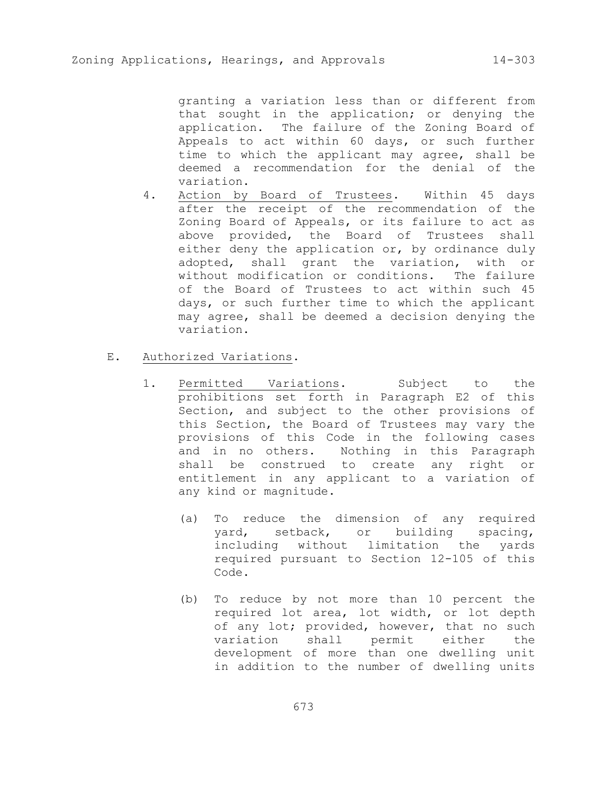granting a variation less than or different from that sought in the application; or denying the application. The failure of the Zoning Board of Appeals to act within 60 days, or such further time to which the applicant may agree, shall be deemed a recommendation for the denial of the variation.

- 4. Action by Board of Trustees. Within 45 days after the receipt of the recommendation of the Zoning Board of Appeals, or its failure to act as above provided, the Board of Trustees shall either deny the application or, by ordinance duly adopted, shall grant the variation, with or without modification or conditions. The failure of the Board of Trustees to act within such 45 days, or such further time to which the applicant may agree, shall be deemed a decision denying the variation.
- E. Authorized Variations.
	- 1. Permitted Variations. Subject to the prohibitions set forth in Paragraph E2 of this Section, and subject to the other provisions of this Section, the Board of Trustees may vary the provisions of this Code in the following cases and in no others. Nothing in this Paragraph shall be construed to create any right or entitlement in any applicant to a variation of any kind or magnitude.
		- (a) To reduce the dimension of any required yard, setback, or building spacing, including without limitation the yards required pursuant to Section 12-105 of this Code.
		- (b) To reduce by not more than 10 percent the required lot area, lot width, or lot depth of any lot; provided, however, that no such variation shall permit either the development of more than one dwelling unit in addition to the number of dwelling units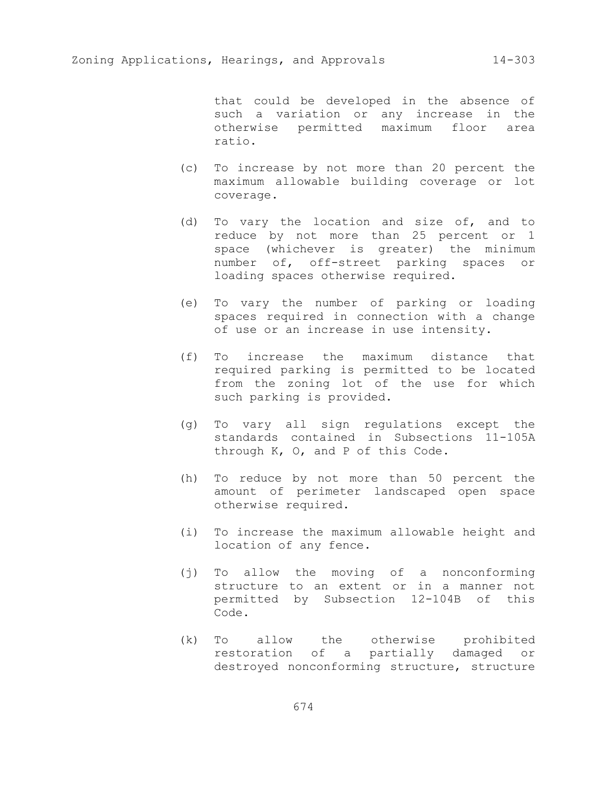that could be developed in the absence of such a variation or any increase in the otherwise permitted maximum floor area ratio.

- (c) To increase by not more than 20 percent the maximum allowable building coverage or lot coverage.
- (d) To vary the location and size of, and to reduce by not more than 25 percent or 1 space (whichever is greater) the minimum number of, off-street parking spaces or loading spaces otherwise required.
- (e) To vary the number of parking or loading spaces required in connection with a change of use or an increase in use intensity.
- (f) To increase the maximum distance that required parking is permitted to be located from the zoning lot of the use for which such parking is provided.
- (g) To vary all sign regulations except the standards contained in Subsections 11-105A through K, O, and P of this Code.
- (h) To reduce by not more than 50 percent the amount of perimeter landscaped open space otherwise required.
- (i) To increase the maximum allowable height and location of any fence.
- (j) To allow the moving of a nonconforming structure to an extent or in a manner not permitted by Subsection 12-104B of this Code.
- (k) To allow the otherwise prohibited restoration of a partially damaged or destroyed nonconforming structure, structure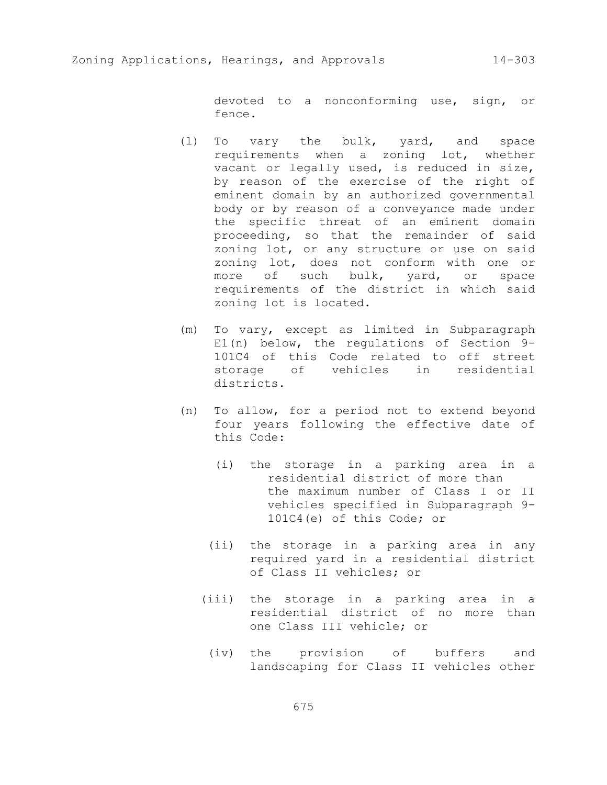devoted to a nonconforming use, sign, or fence.

- (l) To vary the bulk, yard, and space requirements when a zoning lot, whether vacant or legally used, is reduced in size, by reason of the exercise of the right of eminent domain by an authorized governmental body or by reason of a conveyance made under the specific threat of an eminent domain proceeding, so that the remainder of said zoning lot, or any structure or use on said zoning lot, does not conform with one or more of such bulk, yard, or space requirements of the district in which said zoning lot is located.
- (m) To vary, except as limited in Subparagraph E1(n) below, the regulations of Section 9- 101C4 of this Code related to off street storage of vehicles in residential districts.
- (n) To allow, for a period not to extend beyond four years following the effective date of this Code:
	- (i) the storage in a parking area in a residential district of more than the maximum number of Class I or II vehicles specified in Subparagraph 9- 101C4(e) of this Code; or
	- (ii) the storage in a parking area in any required yard in a residential district of Class II vehicles; or
	- (iii) the storage in a parking area in a residential district of no more than one Class III vehicle; or
		- (iv) the provision of buffers and landscaping for Class II vehicles other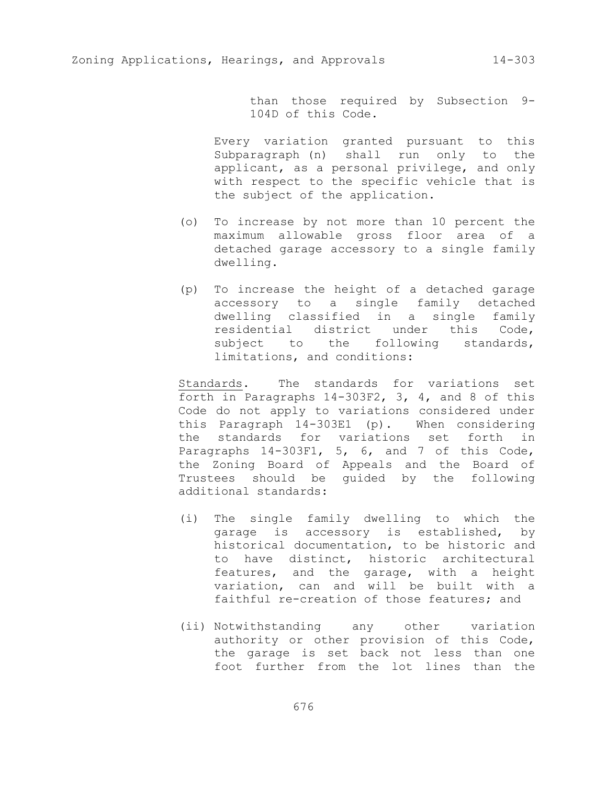than those required by Subsection 9- 104D of this Code.

Every variation granted pursuant to this Subparagraph (n) shall run only to the applicant, as a personal privilege, and only with respect to the specific vehicle that is the subject of the application.

- (o) To increase by not more than 10 percent the maximum allowable gross floor area of a detached garage accessory to a single family dwelling.
- (p) To increase the height of a detached garage accessory to a single family detached dwelling classified in a single family residential district under this Code, subject to the following standards, limitations, and conditions:

Standards. The standards for variations set forth in Paragraphs 14-303F2, 3, 4, and 8 of this Code do not apply to variations considered under this Paragraph 14-303E1 (p). When considering the standards for variations set forth in Paragraphs 14-303F1, 5, 6, and 7 of this Code, the Zoning Board of Appeals and the Board of Trustees should be guided by the following additional standards:

- (i) The single family dwelling to which the garage is accessory is established, by historical documentation, to be historic and to have distinct, historic architectural features, and the garage, with a height variation, can and will be built with a faithful re-creation of those features; and
- (ii) Notwithstanding any other variation authority or other provision of this Code, the garage is set back not less than one foot further from the lot lines than the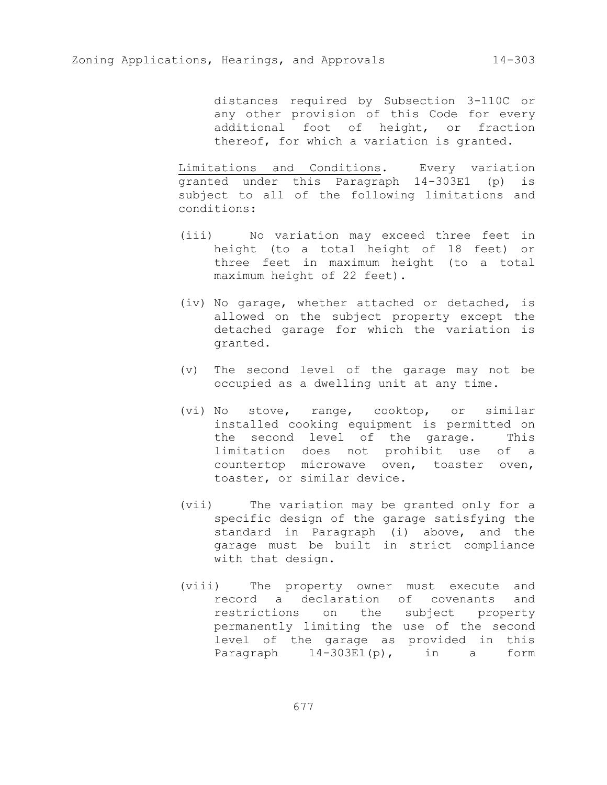distances required by Subsection 3-110C or any other provision of this Code for every additional foot of height, or fraction thereof, for which a variation is granted.

Limitations and Conditions. Every variation granted under this Paragraph 14-303E1 (p) is subject to all of the following limitations and conditions:

- (iii) No variation may exceed three feet in height (to a total height of 18 feet) or three feet in maximum height (to a total maximum height of 22 feet).
- (iv) No garage, whether attached or detached, is allowed on the subject property except the detached garage for which the variation is granted.
- (v) The second level of the garage may not be occupied as a dwelling unit at any time.
- (vi) No stove, range, cooktop, or similar installed cooking equipment is permitted on the second level of the garage. This limitation does not prohibit use of a countertop microwave oven, toaster oven, toaster, or similar device.
- (vii) The variation may be granted only for a specific design of the garage satisfying the standard in Paragraph (i) above, and the garage must be built in strict compliance with that design.
- (viii) The property owner must execute and record a declaration of covenants and restrictions on the subject property permanently limiting the use of the second level of the garage as provided in this Paragraph 14-303E1(p), in a form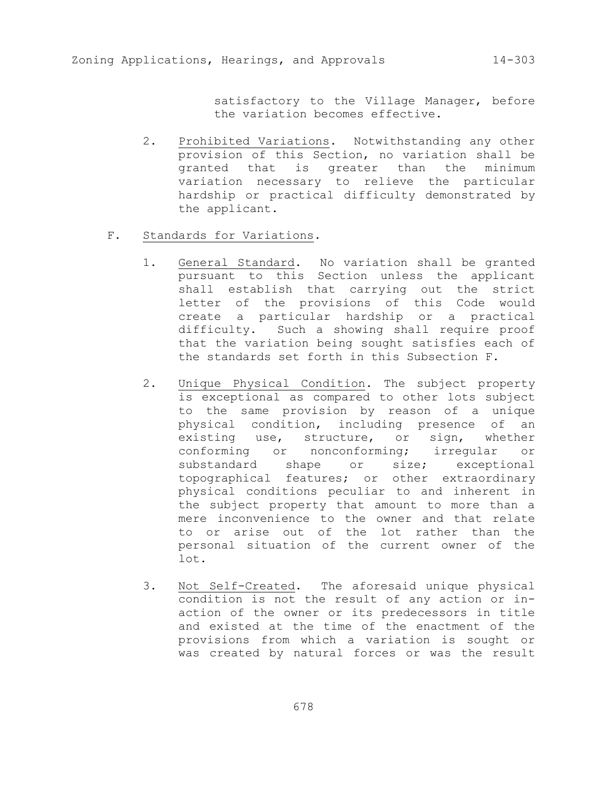satisfactory to the Village Manager, before the variation becomes effective.

- 2. Prohibited Variations. Notwithstanding any other provision of this Section, no variation shall be granted that is greater than the minimum variation necessary to relieve the particular hardship or practical difficulty demonstrated by the applicant.
- F. Standards for Variations.
	- 1. General Standard. No variation shall be granted pursuant to this Section unless the applicant shall establish that carrying out the strict letter of the provisions of this Code would create a particular hardship or a practical difficulty. Such a showing shall require proof that the variation being sought satisfies each of the standards set forth in this Subsection F.
	- 2. Unique Physical Condition. The subject property is exceptional as compared to other lots subject to the same provision by reason of a unique physical condition, including presence of an existing use, structure, or sign, whether conforming or nonconforming; irregular or substandard shape or size; exceptional topographical features; or other extraordinary physical conditions peculiar to and inherent in the subject property that amount to more than a mere inconvenience to the owner and that relate to or arise out of the lot rather than the personal situation of the current owner of the lot.
	- 3. Not Self-Created. The aforesaid unique physical condition is not the result of any action or inaction of the owner or its predecessors in title and existed at the time of the enactment of the provisions from which a variation is sought or was created by natural forces or was the result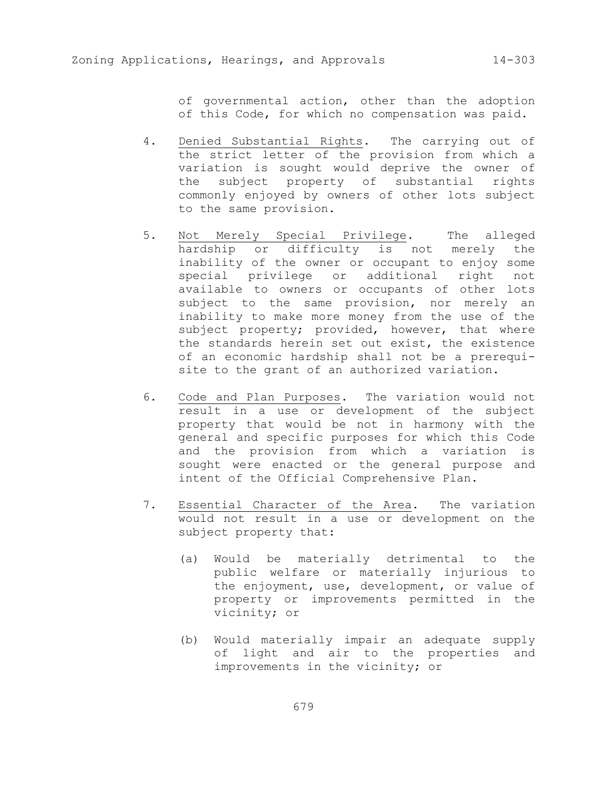of governmental action, other than the adoption of this Code, for which no compensation was paid.

- 4. Denied Substantial Rights. The carrying out of the strict letter of the provision from which a variation is sought would deprive the owner of the subject property of substantial rights commonly enjoyed by owners of other lots subject to the same provision.
- 5. Not Merely Special Privilege. The alleged hardship or difficulty is not merely the inability of the owner or occupant to enjoy some special privilege or additional right not available to owners or occupants of other lots subject to the same provision, nor merely an inability to make more money from the use of the subject property; provided, however, that where the standards herein set out exist, the existence of an economic hardship shall not be a prerequisite to the grant of an authorized variation.
- 6. Code and Plan Purposes. The variation would not result in a use or development of the subject property that would be not in harmony with the general and specific purposes for which this Code and the provision from which a variation is sought were enacted or the general purpose and intent of the Official Comprehensive Plan.
- 7. Essential Character of the Area. The variation would not result in a use or development on the subject property that:
	- (a) Would be materially detrimental to the public welfare or materially injurious to the enjoyment, use, development, or value of property or improvements permitted in the vicinity; or
	- (b) Would materially impair an adequate supply of light and air to the properties and improvements in the vicinity; or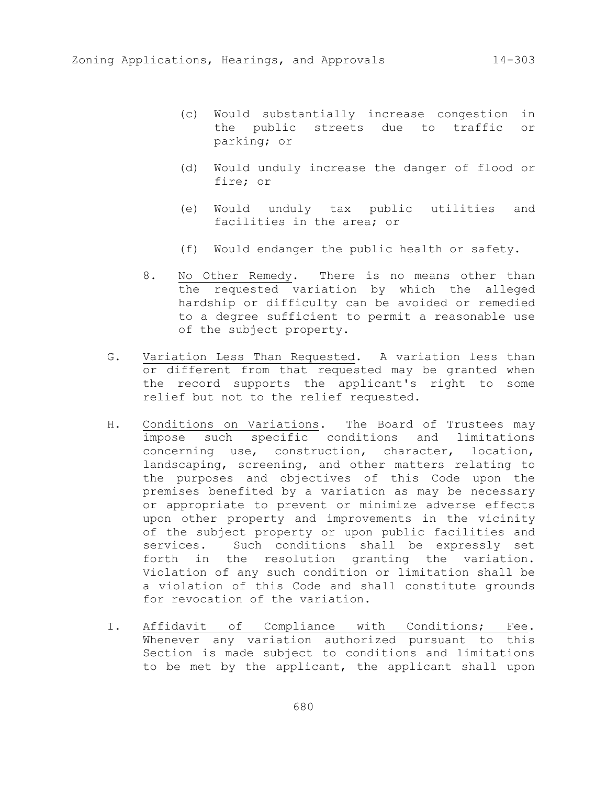- (c) Would substantially increase congestion in the public streets due to traffic or parking; or
- (d) Would unduly increase the danger of flood or fire; or
- (e) Would unduly tax public utilities and facilities in the area; or
- (f) Would endanger the public health or safety.
- 8. No Other Remedy. There is no means other than the requested variation by which the alleged hardship or difficulty can be avoided or remedied to a degree sufficient to permit a reasonable use of the subject property.
- G. Variation Less Than Requested. A variation less than or different from that requested may be granted when the record supports the applicant's right to some relief but not to the relief requested.
- H. Conditions on Variations. The Board of Trustees may impose such specific conditions and limitations concerning use, construction, character, location, landscaping, screening, and other matters relating to the purposes and objectives of this Code upon the premises benefited by a variation as may be necessary or appropriate to prevent or minimize adverse effects upon other property and improvements in the vicinity of the subject property or upon public facilities and services. Such conditions shall be expressly set forth in the resolution granting the variation. Violation of any such condition or limitation shall be a violation of this Code and shall constitute grounds for revocation of the variation.
- I. Affidavit of Compliance with Conditions; Fee. Whenever any variation authorized pursuant to this Section is made subject to conditions and limitations to be met by the applicant, the applicant shall upon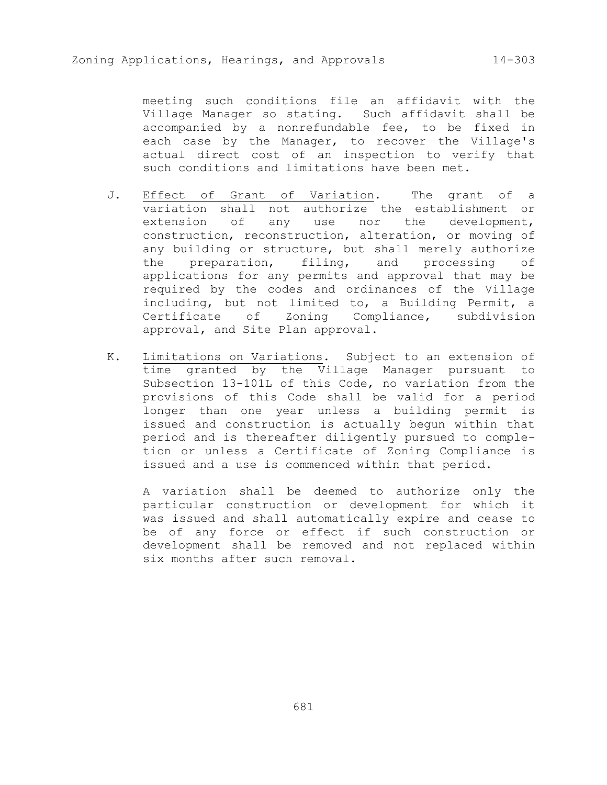meeting such conditions file an affidavit with the Village Manager so stating. Such affidavit shall be accompanied by a nonrefundable fee, to be fixed in each case by the Manager, to recover the Village's actual direct cost of an inspection to verify that such conditions and limitations have been met.

- J. Effect of Grant of Variation. The grant of a variation shall not authorize the establishment or extension of any use nor the development, construction, reconstruction, alteration, or moving of any building or structure, but shall merely authorize the preparation, filing, and processing of applications for any permits and approval that may be required by the codes and ordinances of the Village including, but not limited to, a Building Permit, a Certificate of Zoning Compliance, subdivision approval, and Site Plan approval.
- K. Limitations on Variations. Subject to an extension of time granted by the Village Manager pursuant to Subsection 13-101L of this Code, no variation from the provisions of this Code shall be valid for a period longer than one year unless a building permit is issued and construction is actually begun within that period and is thereafter diligently pursued to completion or unless a Certificate of Zoning Compliance is issued and a use is commenced within that period.

A variation shall be deemed to authorize only the particular construction or development for which it was issued and shall automatically expire and cease to be of any force or effect if such construction or development shall be removed and not replaced within six months after such removal.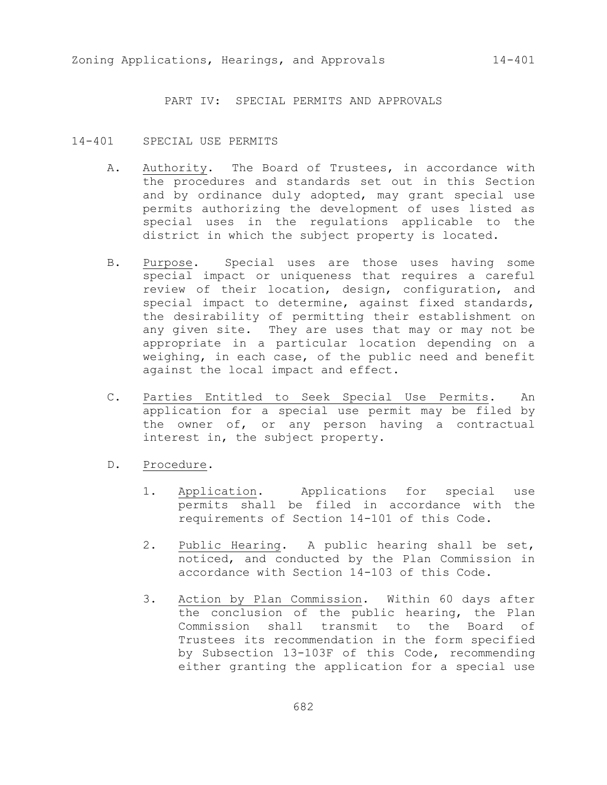PART IV: SPECIAL PERMITS AND APPROVALS

## 14-401 SPECIAL USE PERMITS

- A. Authority. The Board of Trustees, in accordance with the procedures and standards set out in this Section and by ordinance duly adopted, may grant special use permits authorizing the development of uses listed as special uses in the regulations applicable to the district in which the subject property is located.
- B. Purpose. Special uses are those uses having some special impact or uniqueness that requires a careful review of their location, design, configuration, and special impact to determine, against fixed standards, the desirability of permitting their establishment on any given site. They are uses that may or may not be appropriate in a particular location depending on a weighing, in each case, of the public need and benefit against the local impact and effect.
- C. Parties Entitled to Seek Special Use Permits. An application for a special use permit may be filed by the owner of, or any person having a contractual interest in, the subject property.
- D. Procedure.
	- 1. Application. Applications for special use permits shall be filed in accordance with the requirements of Section 14-101 of this Code.
	- 2. Public Hearing. A public hearing shall be set, noticed, and conducted by the Plan Commission in accordance with Section 14-103 of this Code.
	- 3. Action by Plan Commission. Within 60 days after the conclusion of the public hearing, the Plan Commission shall transmit to the Board of Trustees its recommendation in the form specified by Subsection 13-103F of this Code, recommending either granting the application for a special use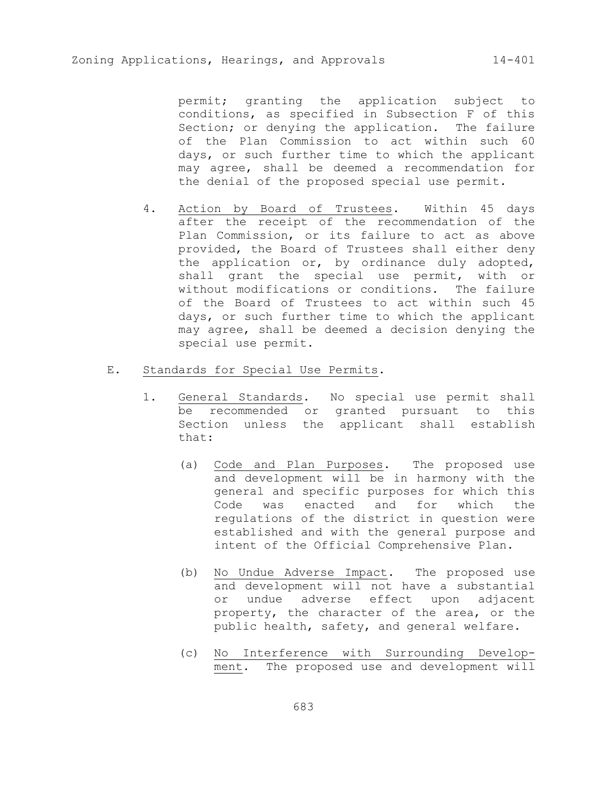permit; granting the application subject to conditions, as specified in Subsection F of this Section; or denying the application. The failure of the Plan Commission to act within such 60 days, or such further time to which the applicant may agree, shall be deemed a recommendation for the denial of the proposed special use permit.

- 4. Action by Board of Trustees. Within 45 days after the receipt of the recommendation of the Plan Commission, or its failure to act as above provided, the Board of Trustees shall either deny the application or, by ordinance duly adopted, shall grant the special use permit, with or without modifications or conditions. The failure of the Board of Trustees to act within such 45 days, or such further time to which the applicant may agree, shall be deemed a decision denying the special use permit.
- E. Standards for Special Use Permits.
	- 1. General Standards. No special use permit shall be recommended or granted pursuant to this Section unless the applicant shall establish that:
		- (a) Code and Plan Purposes. The proposed use and development will be in harmony with the general and specific purposes for which this Code was enacted and for which the regulations of the district in question were established and with the general purpose and intent of the Official Comprehensive Plan.
		- (b) No Undue Adverse Impact. The proposed use and development will not have a substantial or undue adverse effect upon adjacent property, the character of the area, or the public health, safety, and general welfare.
		- (c) No Interference with Surrounding Development. The proposed use and development will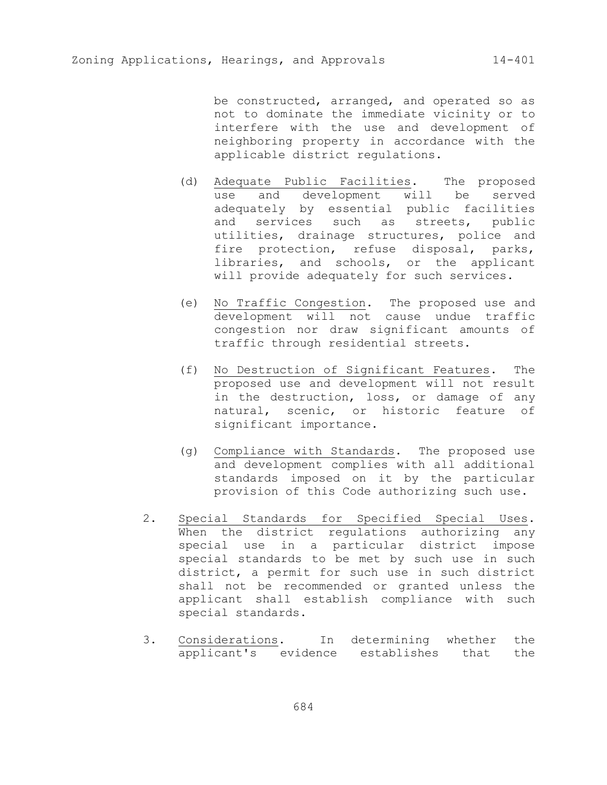be constructed, arranged, and operated so as not to dominate the immediate vicinity or to interfere with the use and development of neighboring property in accordance with the applicable district regulations.

- (d) Adequate Public Facilities. The proposed use and development will be served adequately by essential public facilities and services such as streets, public utilities, drainage structures, police and fire protection, refuse disposal, parks, libraries, and schools, or the applicant will provide adequately for such services.
- (e) No Traffic Congestion. The proposed use and development will not cause undue traffic congestion nor draw significant amounts of traffic through residential streets.
- (f) No Destruction of Significant Features. The proposed use and development will not result in the destruction, loss, or damage of any natural, scenic, or historic feature of significant importance.
- (g) Compliance with Standards. The proposed use and development complies with all additional standards imposed on it by the particular provision of this Code authorizing such use.
- 2. Special Standards for Specified Special Uses. When the district regulations authorizing any special use in a particular district impose special standards to be met by such use in such district, a permit for such use in such district shall not be recommended or granted unless the applicant shall establish compliance with such special standards.
- 3. Considerations. In determining whether the applicant's evidence establishes that the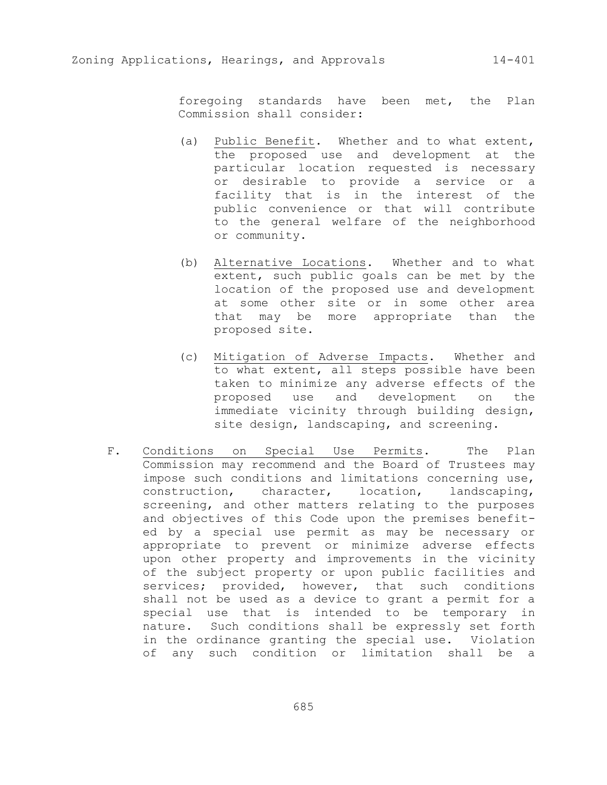foregoing standards have been met, the Plan Commission shall consider:

- (a) Public Benefit. Whether and to what extent, the proposed use and development at the particular location requested is necessary or desirable to provide a service or a facility that is in the interest of the public convenience or that will contribute to the general welfare of the neighborhood or community.
- (b) Alternative Locations. Whether and to what extent, such public goals can be met by the location of the proposed use and development at some other site or in some other area that may be more appropriate than the proposed site.
- (c) Mitigation of Adverse Impacts. Whether and to what extent, all steps possible have been taken to minimize any adverse effects of the proposed use and development on the immediate vicinity through building design, site design, landscaping, and screening.
- F. Conditions on Special Use Permits. The Plan Commission may recommend and the Board of Trustees may impose such conditions and limitations concerning use, construction, character, location, landscaping, screening, and other matters relating to the purposes and objectives of this Code upon the premises benefited by a special use permit as may be necessary or appropriate to prevent or minimize adverse effects upon other property and improvements in the vicinity of the subject property or upon public facilities and services; provided, however, that such conditions shall not be used as a device to grant a permit for a special use that is intended to be temporary in nature. Such conditions shall be expressly set forth in the ordinance granting the special use. Violation of any such condition or limitation shall be a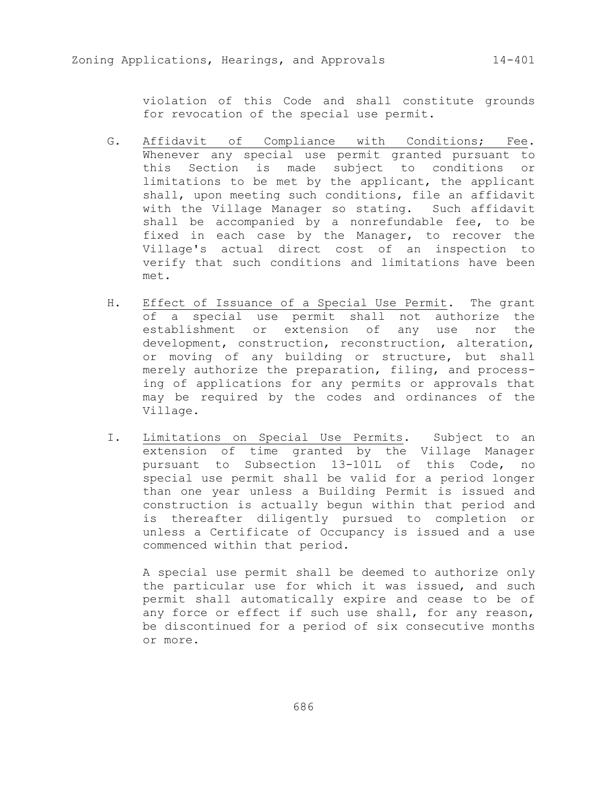violation of this Code and shall constitute grounds for revocation of the special use permit.

- G. Affidavit of Compliance with Conditions; Fee. Whenever any special use permit granted pursuant to this Section is made subject to conditions or limitations to be met by the applicant, the applicant shall, upon meeting such conditions, file an affidavit with the Village Manager so stating. Such affidavit shall be accompanied by a nonrefundable fee, to be fixed in each case by the Manager, to recover the Village's actual direct cost of an inspection to verify that such conditions and limitations have been met.
- H. Effect of Issuance of a Special Use Permit. The grant of a special use permit shall not authorize the establishment or extension of any use nor the development, construction, reconstruction, alteration, or moving of any building or structure, but shall merely authorize the preparation, filing, and processing of applications for any permits or approvals that may be required by the codes and ordinances of the Village.
- I. Limitations on Special Use Permits. Subject to an extension of time granted by the Village Manager pursuant to Subsection 13-101L of this Code, no special use permit shall be valid for a period longer than one year unless a Building Permit is issued and construction is actually begun within that period and is thereafter diligently pursued to completion or unless a Certificate of Occupancy is issued and a use commenced within that period.

A special use permit shall be deemed to authorize only the particular use for which it was issued, and such permit shall automatically expire and cease to be of any force or effect if such use shall, for any reason, be discontinued for a period of six consecutive months or more.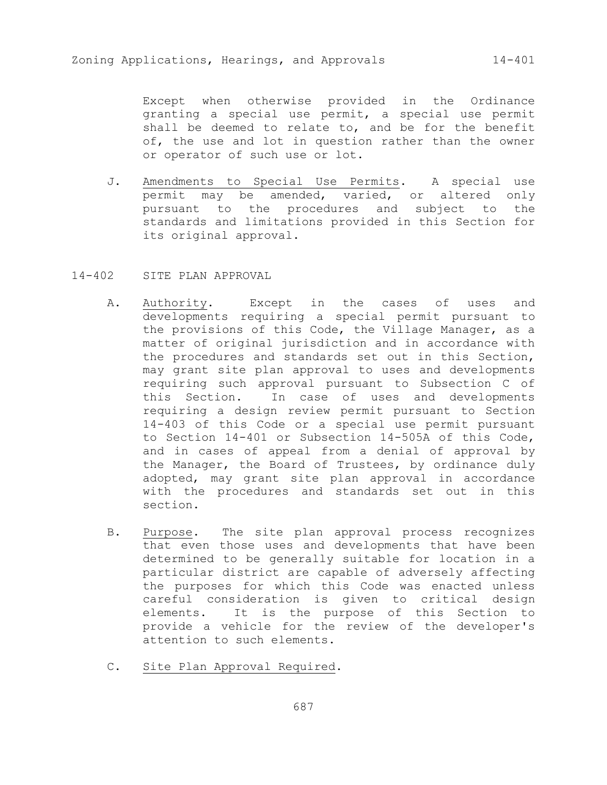Except when otherwise provided in the Ordinance granting a special use permit, a special use permit shall be deemed to relate to, and be for the benefit of, the use and lot in question rather than the owner or operator of such use or lot.

- J. Amendments to Special Use Permits. A special use permit may be amended, varied, or altered only pursuant to the procedures and subject to the standards and limitations provided in this Section for its original approval.
- 14-402 SITE PLAN APPROVAL
	- A. Authority. Except in the cases of uses and developments requiring a special permit pursuant to the provisions of this Code, the Village Manager, as a matter of original jurisdiction and in accordance with the procedures and standards set out in this Section, may grant site plan approval to uses and developments requiring such approval pursuant to Subsection C of this Section. In case of uses and developments requiring a design review permit pursuant to Section 14-403 of this Code or a special use permit pursuant to Section 14-401 or Subsection 14-505A of this Code, and in cases of appeal from a denial of approval by the Manager, the Board of Trustees, by ordinance duly adopted, may grant site plan approval in accordance with the procedures and standards set out in this section.
	- B. Purpose. The site plan approval process recognizes that even those uses and developments that have been determined to be generally suitable for location in a particular district are capable of adversely affecting the purposes for which this Code was enacted unless careful consideration is given to critical design elements. It is the purpose of this Section to provide a vehicle for the review of the developer's attention to such elements.
	- C. Site Plan Approval Required.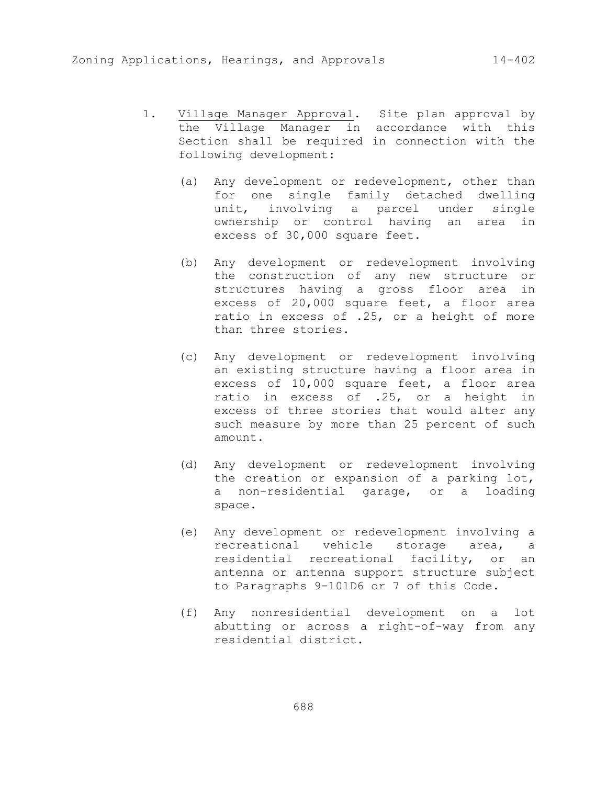- 1. Village Manager Approval. Site plan approval by the Village Manager in accordance with this Section shall be required in connection with the following development:
	- (a) Any development or redevelopment, other than for one single family detached dwelling unit, involving a parcel under single ownership or control having an area in excess of 30,000 square feet.
	- (b) Any development or redevelopment involving the construction of any new structure or structures having a gross floor area in excess of 20,000 square feet, a floor area ratio in excess of .25, or a height of more than three stories.
	- (c) Any development or redevelopment involving an existing structure having a floor area in excess of 10,000 square feet, a floor area ratio in excess of .25, or a height in excess of three stories that would alter any such measure by more than 25 percent of such amount.
	- (d) Any development or redevelopment involving the creation or expansion of a parking lot, a non-residential garage, or a loading space.
	- (e) Any development or redevelopment involving a recreational vehicle storage area, a residential recreational facility, or an antenna or antenna support structure subject to Paragraphs 9-101D6 or 7 of this Code.
	- (f) Any nonresidential development on a lot abutting or across a right-of-way from any residential district.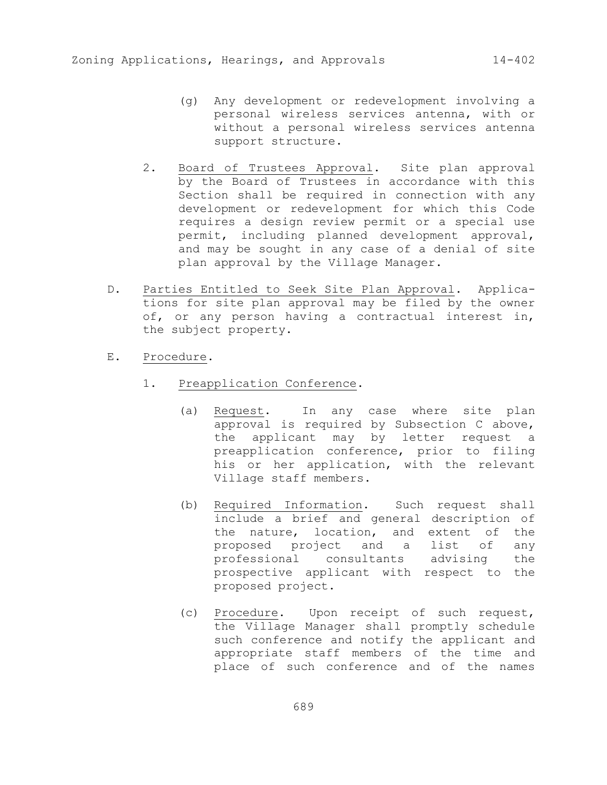- (g) Any development or redevelopment involving a personal wireless services antenna, with or without a personal wireless services antenna support structure.
- 2. Board of Trustees Approval. Site plan approval by the Board of Trustees in accordance with this Section shall be required in connection with any development or redevelopment for which this Code requires a design review permit or a special use permit, including planned development approval, and may be sought in any case of a denial of site plan approval by the Village Manager.
- D. Parties Entitled to Seek Site Plan Approval. Applications for site plan approval may be filed by the owner of, or any person having a contractual interest in, the subject property.
- E. Procedure.
	- 1. Preapplication Conference.
		- (a) Request. In any case where site plan approval is required by Subsection C above, the applicant may by letter request a preapplication conference, prior to filing his or her application, with the relevant Village staff members.
		- (b) Required Information. Such request shall include a brief and general description of the nature, location, and extent of the proposed project and a list of any professional consultants advising the prospective applicant with respect to the proposed project.
		- (c) Procedure. Upon receipt of such request, the Village Manager shall promptly schedule such conference and notify the applicant and appropriate staff members of the time and place of such conference and of the names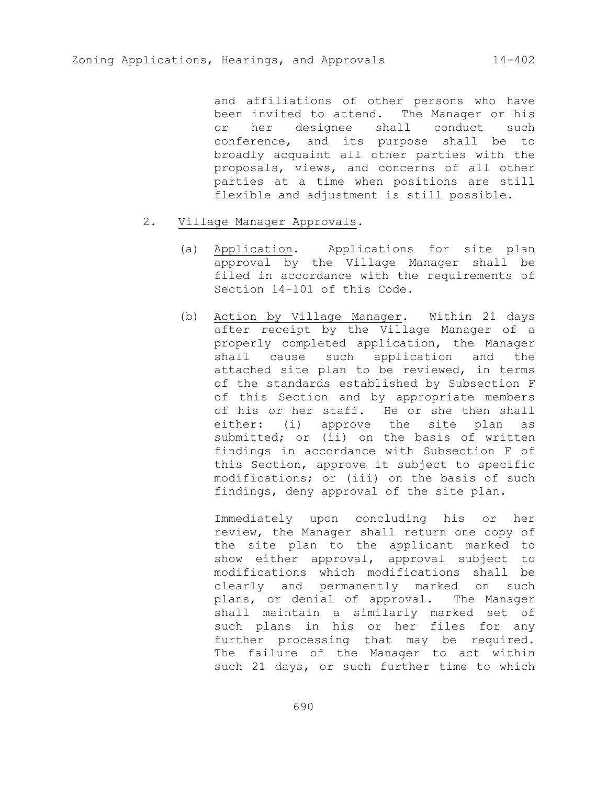and affiliations of other persons who have been invited to attend. The Manager or his or her designee shall conduct such conference, and its purpose shall be to broadly acquaint all other parties with the proposals, views, and concerns of all other parties at a time when positions are still flexible and adjustment is still possible.

- 2. Village Manager Approvals.
	- (a) Application. Applications for site plan approval by the Village Manager shall be filed in accordance with the requirements of Section 14-101 of this Code.
	- (b) Action by Village Manager. Within 21 days after receipt by the Village Manager of a properly completed application, the Manager shall cause such application and the attached site plan to be reviewed, in terms of the standards established by Subsection F of this Section and by appropriate members of his or her staff. He or she then shall either: (i) approve the site plan as submitted; or (ii) on the basis of written findings in accordance with Subsection F of this Section, approve it subject to specific modifications; or (iii) on the basis of such findings, deny approval of the site plan.

Immediately upon concluding his or her review, the Manager shall return one copy of the site plan to the applicant marked to show either approval, approval subject to modifications which modifications shall be clearly and permanently marked on such plans, or denial of approval. The Manager shall maintain a similarly marked set of such plans in his or her files for any further processing that may be required. The failure of the Manager to act within such 21 days, or such further time to which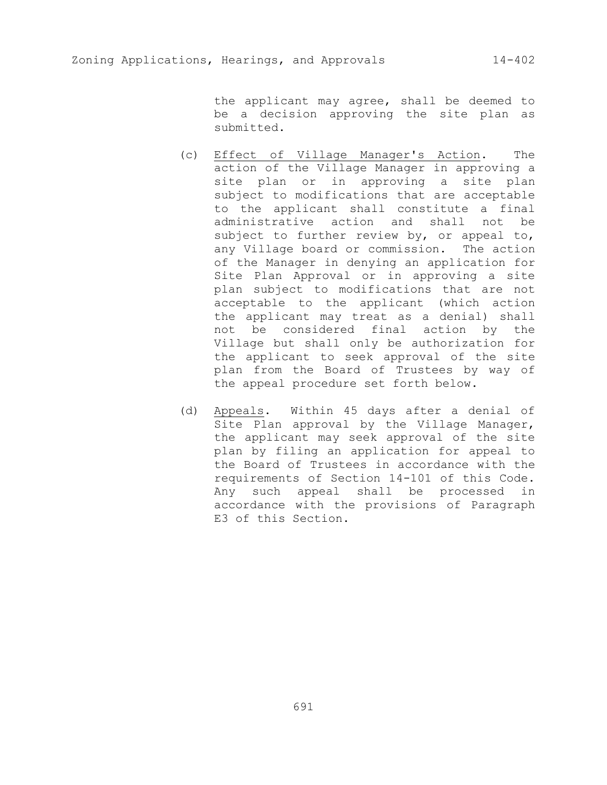the applicant may agree, shall be deemed to be a decision approving the site plan as submitted.

- (c) Effect of Village Manager's Action. The action of the Village Manager in approving a site plan or in approving a site plan subject to modifications that are acceptable to the applicant shall constitute a final administrative action and shall not be subject to further review by, or appeal to, any Village board or commission. The action of the Manager in denying an application for Site Plan Approval or in approving a site plan subject to modifications that are not acceptable to the applicant (which action the applicant may treat as a denial) shall not be considered final action by the Village but shall only be authorization for the applicant to seek approval of the site plan from the Board of Trustees by way of the appeal procedure set forth below.
- (d) Appeals. Within 45 days after a denial of Site Plan approval by the Village Manager, the applicant may seek approval of the site plan by filing an application for appeal to the Board of Trustees in accordance with the requirements of Section 14-101 of this Code. Any such appeal shall be processed in accordance with the provisions of Paragraph E3 of this Section.

691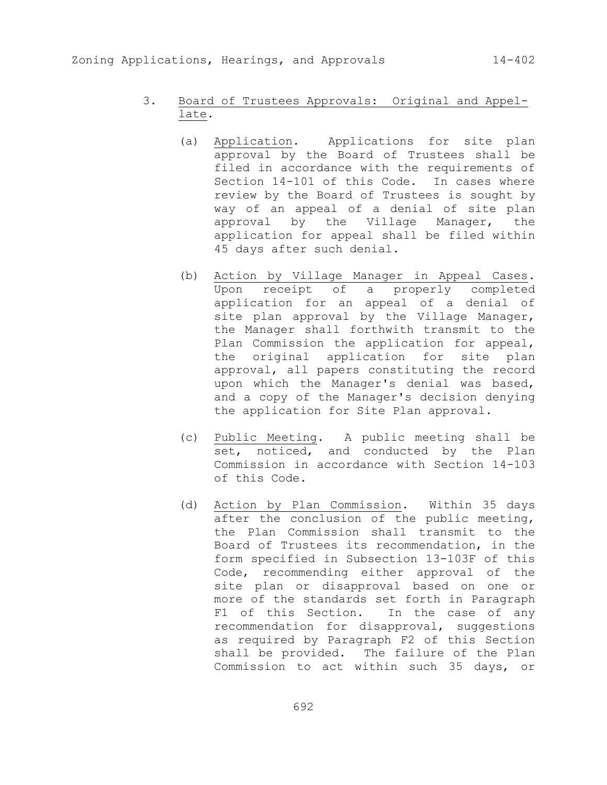# 3. Board of Trustees Approvals: Original and Appellate.

- (a) Application. Applications for site plan approval by the Board of Trustees shall be filed in accordance with the requirements of Section 14-101 of this Code. In cases where review by the Board of Trustees is sought by way of an appeal of a denial of site plan approval by the Village Manager, the application for appeal shall be filed within 45 days after such denial.
- (b) Action by Village Manager in Appeal Cases. Upon receipt of a properly completed application for an appeal of a denial of site plan approval by the Village Manager, the Manager shall forthwith transmit to the Plan Commission the application for appeal, the original application for site plan approval, all papers constituting the record upon which the Manager's denial was based, and a copy of the Manager's decision denying the application for Site Plan approval.
- (c) Public Meeting. A public meeting shall be set, noticed, and conducted by the Plan Commission in accordance with Section 14-103 of this Code.
- (d) Action by Plan Commission. Within 35 days after the conclusion of the public meeting, the Plan Commission shall transmit to the Board of Trustees its recommendation, in the form specified in Subsection 13-103F of this Code, recommending either approval of the site plan or disapproval based on one or more of the standards set forth in Paragraph F1 of this Section. In the case of any recommendation for disapproval, suggestions as required by Paragraph F2 of this Section shall be provided. The failure of the Plan Commission to act within such 35 days, or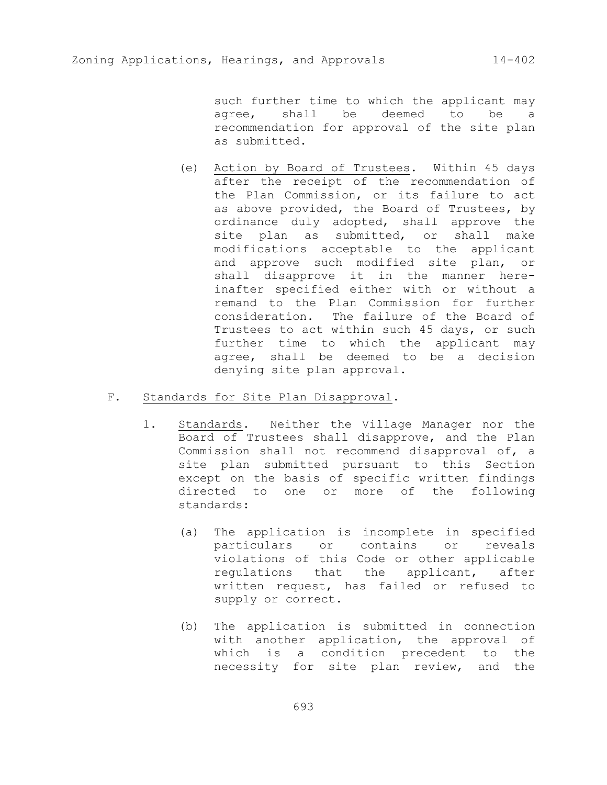such further time to which the applicant may agree, shall be deemed to be a recommendation for approval of the site plan as submitted.

- (e) Action by Board of Trustees. Within 45 days after the receipt of the recommendation of the Plan Commission, or its failure to act as above provided, the Board of Trustees, by ordinance duly adopted, shall approve the site plan as submitted, or shall make modifications acceptable to the applicant and approve such modified site plan, or shall disapprove it in the manner hereinafter specified either with or without a remand to the Plan Commission for further consideration. The failure of the Board of Trustees to act within such 45 days, or such further time to which the applicant may agree, shall be deemed to be a decision denying site plan approval.
- F. Standards for Site Plan Disapproval.
	- 1. Standards. Neither the Village Manager nor the Board of Trustees shall disapprove, and the Plan Commission shall not recommend disapproval of, a site plan submitted pursuant to this Section except on the basis of specific written findings directed to one or more of the following standards:
		- (a) The application is incomplete in specified particulars or contains or reveals violations of this Code or other applicable regulations that the applicant, after written request, has failed or refused to supply or correct.
		- (b) The application is submitted in connection with another application, the approval of which is a condition precedent to the necessity for site plan review, and the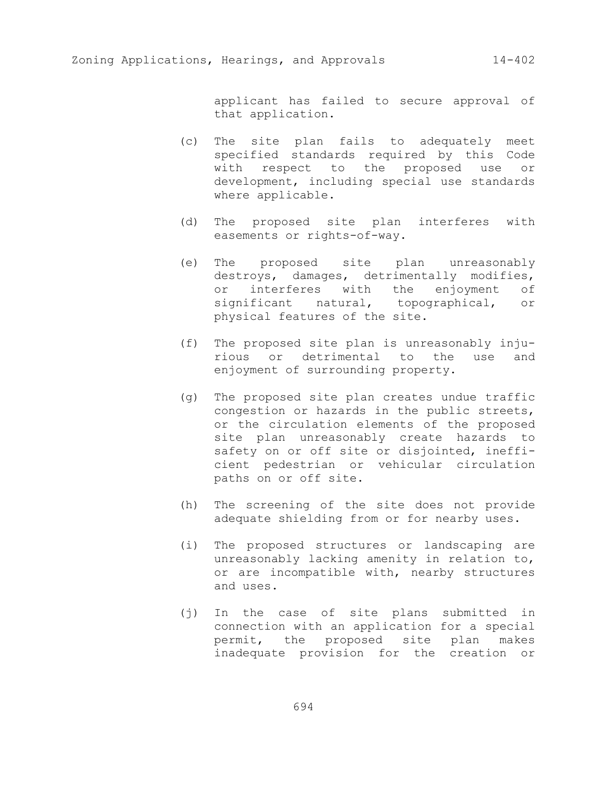applicant has failed to secure approval of that application.

- (c) The site plan fails to adequately meet specified standards required by this Code with respect to the proposed use or development, including special use standards where applicable.
- (d) The proposed site plan interferes with easements or rights-of-way.
- (e) The proposed site plan unreasonably destroys, damages, detrimentally modifies, or interferes with the enjoyment of significant natural, topographical, or physical features of the site.
- (f) The proposed site plan is unreasonably injurious or detrimental to the use and enjoyment of surrounding property.
- (g) The proposed site plan creates undue traffic congestion or hazards in the public streets, or the circulation elements of the proposed site plan unreasonably create hazards to safety on or off site or disjointed, inefficient pedestrian or vehicular circulation paths on or off site.
- (h) The screening of the site does not provide adequate shielding from or for nearby uses.
- (i) The proposed structures or landscaping are unreasonably lacking amenity in relation to, or are incompatible with, nearby structures and uses.
- (j) In the case of site plans submitted in connection with an application for a special permit, the proposed site plan makes inadequate provision for the creation or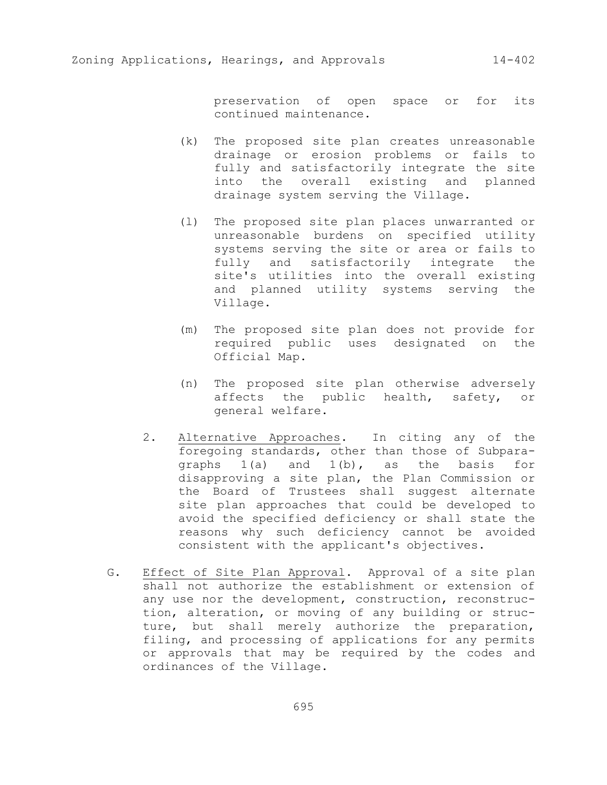preservation of open space or for its continued maintenance.

- (k) The proposed site plan creates unreasonable drainage or erosion problems or fails to fully and satisfactorily integrate the site into the overall existing and planned drainage system serving the Village.
- (l) The proposed site plan places unwarranted or unreasonable burdens on specified utility systems serving the site or area or fails to fully and satisfactorily integrate the site's utilities into the overall existing and planned utility systems serving the Village.
- (m) The proposed site plan does not provide for required public uses designated on the Official Map.
- (n) The proposed site plan otherwise adversely affects the public health, safety, or general welfare.
- 2. Alternative Approaches. In citing any of the foregoing standards, other than those of Subparagraphs 1(a) and 1(b), as the basis for disapproving a site plan, the Plan Commission or the Board of Trustees shall suggest alternate site plan approaches that could be developed to avoid the specified deficiency or shall state the reasons why such deficiency cannot be avoided consistent with the applicant's objectives.
- G. Effect of Site Plan Approval. Approval of a site plan shall not authorize the establishment or extension of any use nor the development, construction, reconstruction, alteration, or moving of any building or structure, but shall merely authorize the preparation, filing, and processing of applications for any permits or approvals that may be required by the codes and ordinances of the Village.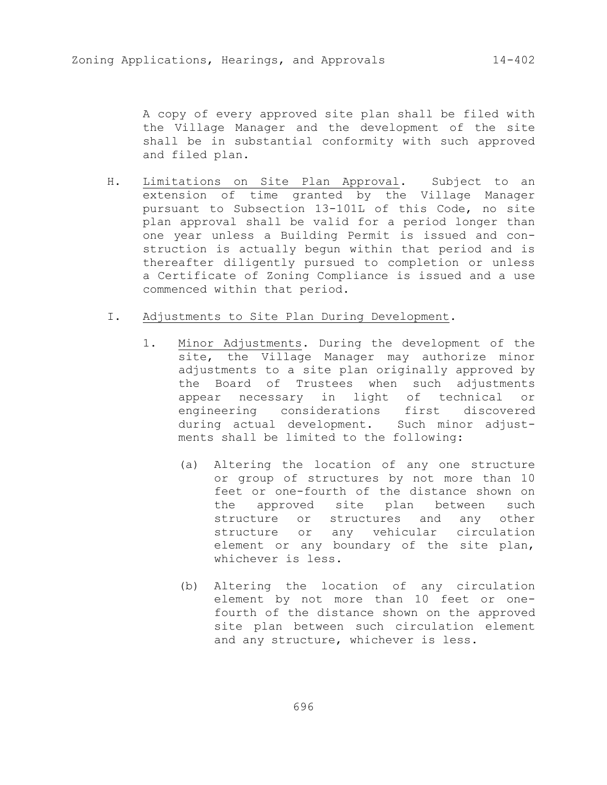A copy of every approved site plan shall be filed with the Village Manager and the development of the site shall be in substantial conformity with such approved and filed plan.

- H. Limitations on Site Plan Approval. Subject to an extension of time granted by the Village Manager pursuant to Subsection 13-101L of this Code, no site plan approval shall be valid for a period longer than one year unless a Building Permit is issued and construction is actually begun within that period and is thereafter diligently pursued to completion or unless a Certificate of Zoning Compliance is issued and a use commenced within that period.
- I. Adjustments to Site Plan During Development.
	- 1. Minor Adjustments. During the development of the site, the Village Manager may authorize minor adjustments to a site plan originally approved by the Board of Trustees when such adjustments appear necessary in light of technical or engineering considerations first discovered during actual development. Such minor adjustments shall be limited to the following:
		- (a) Altering the location of any one structure or group of structures by not more than 10 feet or one-fourth of the distance shown on the approved site plan between such structure or structures and any other structure or any vehicular circulation element or any boundary of the site plan, whichever is less.
		- (b) Altering the location of any circulation element by not more than 10 feet or onefourth of the distance shown on the approved site plan between such circulation element and any structure, whichever is less.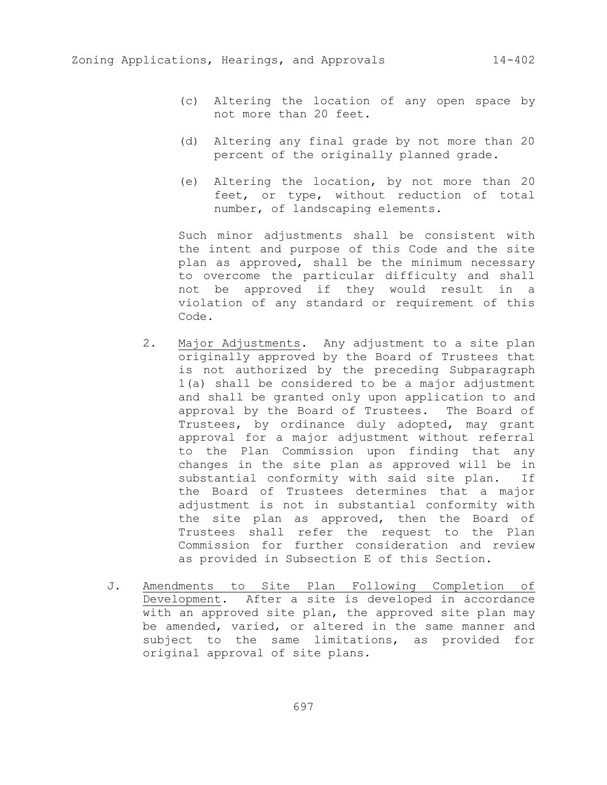- (c) Altering the location of any open space by not more than 20 feet.
- (d) Altering any final grade by not more than 20 percent of the originally planned grade.
- (e) Altering the location, by not more than 20 feet, or type, without reduction of total number, of landscaping elements.

Such minor adjustments shall be consistent with the intent and purpose of this Code and the site plan as approved, shall be the minimum necessary to overcome the particular difficulty and shall not be approved if they would result in a violation of any standard or requirement of this Code.

- 2. Major Adjustments. Any adjustment to a site plan originally approved by the Board of Trustees that is not authorized by the preceding Subparagraph 1(a) shall be considered to be a major adjustment and shall be granted only upon application to and approval by the Board of Trustees. The Board of Trustees, by ordinance duly adopted, may grant approval for a major adjustment without referral to the Plan Commission upon finding that any changes in the site plan as approved will be in substantial conformity with said site plan. If the Board of Trustees determines that a major adjustment is not in substantial conformity with the site plan as approved, then the Board of Trustees shall refer the request to the Plan Commission for further consideration and review as provided in Subsection E of this Section.
- J. Amendments to Site Plan Following Completion of Development. After a site is developed in accordance with an approved site plan, the approved site plan may be amended, varied, or altered in the same manner and subject to the same limitations, as provided for original approval of site plans.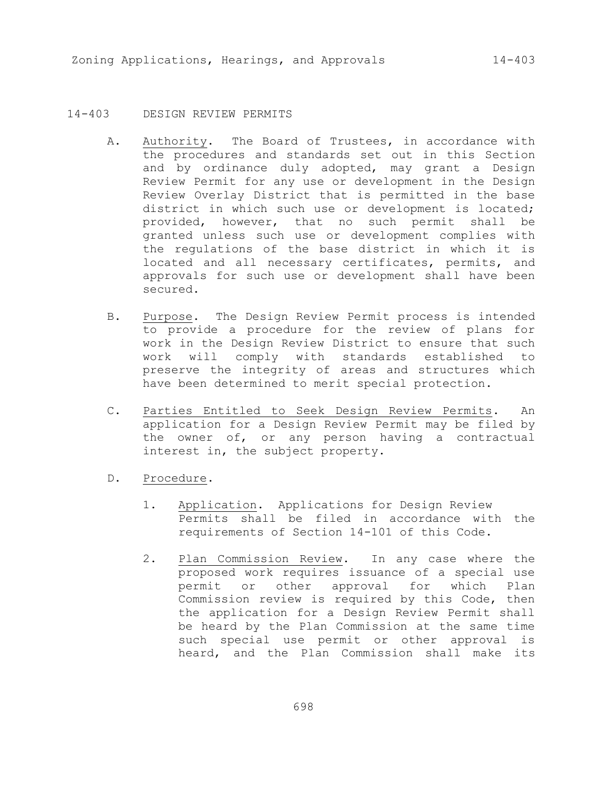# 14-403 DESIGN REVIEW PERMITS

- A. Authority. The Board of Trustees, in accordance with the procedures and standards set out in this Section and by ordinance duly adopted, may grant a Design Review Permit for any use or development in the Design Review Overlay District that is permitted in the base district in which such use or development is located; provided, however, that no such permit shall be granted unless such use or development complies with the regulations of the base district in which it is located and all necessary certificates, permits, and approvals for such use or development shall have been secured.
- B. Purpose. The Design Review Permit process is intended to provide a procedure for the review of plans for work in the Design Review District to ensure that such work will comply with standards established to preserve the integrity of areas and structures which have been determined to merit special protection.
- C. Parties Entitled to Seek Design Review Permits. An application for a Design Review Permit may be filed by the owner of, or any person having a contractual interest in, the subject property.
- D. Procedure.
	- 1. Application. Applications for Design Review Permits shall be filed in accordance with the requirements of Section 14-101 of this Code.
	- 2. Plan Commission Review. In any case where the proposed work requires issuance of a special use permit or other approval for which Plan Commission review is required by this Code, then the application for a Design Review Permit shall be heard by the Plan Commission at the same time such special use permit or other approval is heard, and the Plan Commission shall make its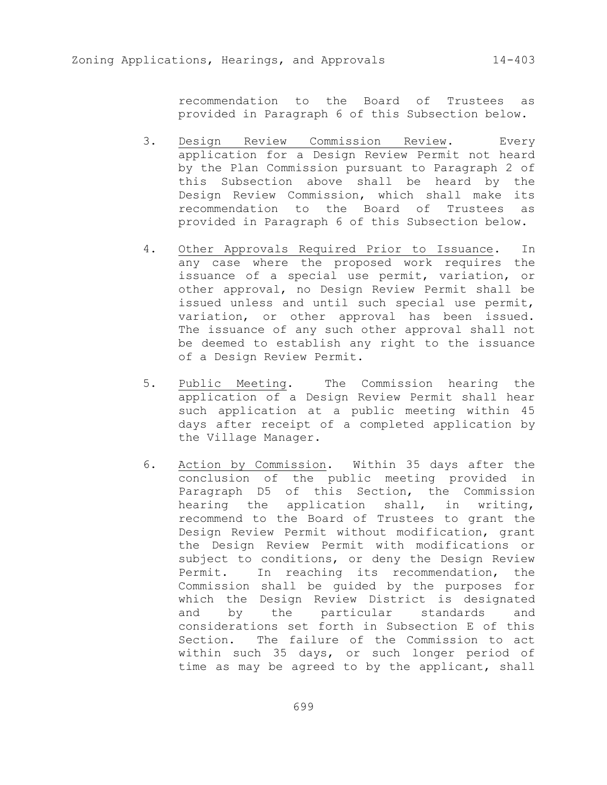recommendation to the Board of Trustees as provided in Paragraph 6 of this Subsection below.

- 3. Design Review Commission Review. Every application for a Design Review Permit not heard by the Plan Commission pursuant to Paragraph 2 of this Subsection above shall be heard by the Design Review Commission, which shall make its recommendation to the Board of Trustees as provided in Paragraph 6 of this Subsection below.
- 4. Other Approvals Required Prior to Issuance. In any case where the proposed work requires the issuance of a special use permit, variation, or other approval, no Design Review Permit shall be issued unless and until such special use permit, variation, or other approval has been issued. The issuance of any such other approval shall not be deemed to establish any right to the issuance of a Design Review Permit.
- 5. Public Meeting. The Commission hearing the application of a Design Review Permit shall hear such application at a public meeting within 45 days after receipt of a completed application by the Village Manager.
- 6. Action by Commission. Within 35 days after the conclusion of the public meeting provided in Paragraph D5 of this Section, the Commission hearing the application shall, in writing, recommend to the Board of Trustees to grant the Design Review Permit without modification, grant the Design Review Permit with modifications or subject to conditions, or deny the Design Review Permit. In reaching its recommendation, the Commission shall be guided by the purposes for which the Design Review District is designated and by the particular standards and considerations set forth in Subsection E of this Section. The failure of the Commission to act within such 35 days, or such longer period of time as may be agreed to by the applicant, shall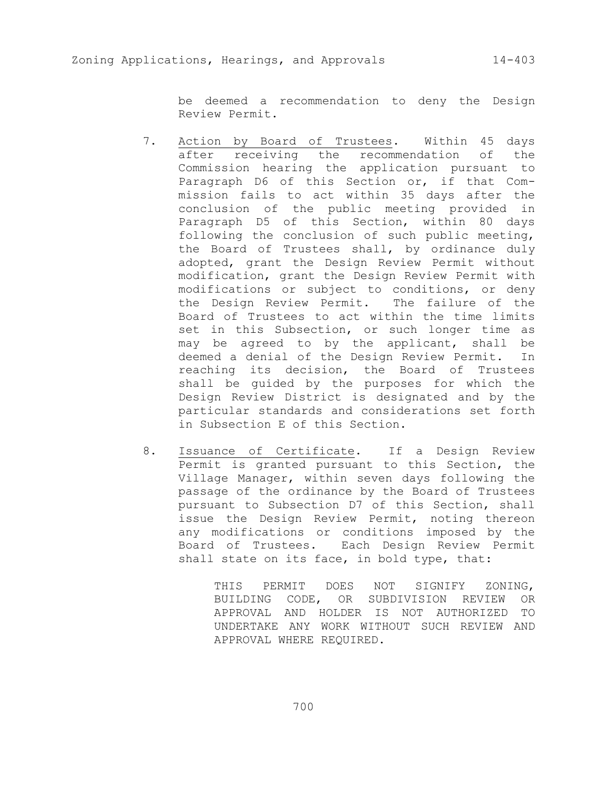be deemed a recommendation to deny the Design Review Permit.

- 7. Action by Board of Trustees. Within 45 days after receiving the recommendation of the Commission hearing the application pursuant to Paragraph D6 of this Section or, if that Commission fails to act within 35 days after the conclusion of the public meeting provided in Paragraph D5 of this Section, within 80 days following the conclusion of such public meeting, the Board of Trustees shall, by ordinance duly adopted, grant the Design Review Permit without modification, grant the Design Review Permit with modifications or subject to conditions, or deny the Design Review Permit. The failure of the Board of Trustees to act within the time limits set in this Subsection, or such longer time as may be agreed to by the applicant, shall be deemed a denial of the Design Review Permit. In reaching its decision, the Board of Trustees shall be guided by the purposes for which the Design Review District is designated and by the particular standards and considerations set forth in Subsection E of this Section.
- 8. Issuance of Certificate. If a Design Review Permit is granted pursuant to this Section, the Village Manager, within seven days following the passage of the ordinance by the Board of Trustees pursuant to Subsection D7 of this Section, shall issue the Design Review Permit, noting thereon any modifications or conditions imposed by the Board of Trustees. Each Design Review Permit shall state on its face, in bold type, that:

THIS PERMIT DOES NOT SIGNIFY ZONING, BUILDING CODE, OR SUBDIVISION REVIEW OR APPROVAL AND HOLDER IS NOT AUTHORIZED TO UNDERTAKE ANY WORK WITHOUT SUCH REVIEW AND APPROVAL WHERE REQUIRED.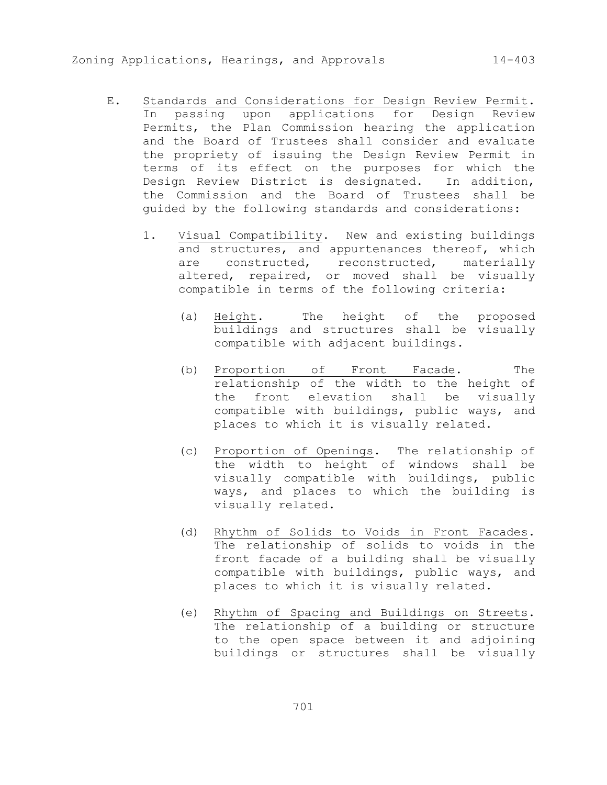- E. Standards and Considerations for Design Review Permit. In passing upon applications for Design Review Permits, the Plan Commission hearing the application and the Board of Trustees shall consider and evaluate the propriety of issuing the Design Review Permit in
	- terms of its effect on the purposes for which the Design Review District is designated. In addition, the Commission and the Board of Trustees shall be guided by the following standards and considerations:
		- 1. Visual Compatibility. New and existing buildings and structures, and appurtenances thereof, which are constructed, reconstructed, materially altered, repaired, or moved shall be visually compatible in terms of the following criteria:
			- (a) Height. The height of the proposed buildings and structures shall be visually compatible with adjacent buildings.
			- (b) Proportion of Front Facade. The relationship of the width to the height of the front elevation shall be visually compatible with buildings, public ways, and places to which it is visually related.
			- (c) Proportion of Openings. The relationship of the width to height of windows shall be visually compatible with buildings, public ways, and places to which the building is visually related.
			- (d) Rhythm of Solids to Voids in Front Facades. The relationship of solids to voids in the front facade of a building shall be visually compatible with buildings, public ways, and places to which it is visually related.
			- (e) Rhythm of Spacing and Buildings on Streets. The relationship of a building or structure to the open space between it and adjoining buildings or structures shall be visually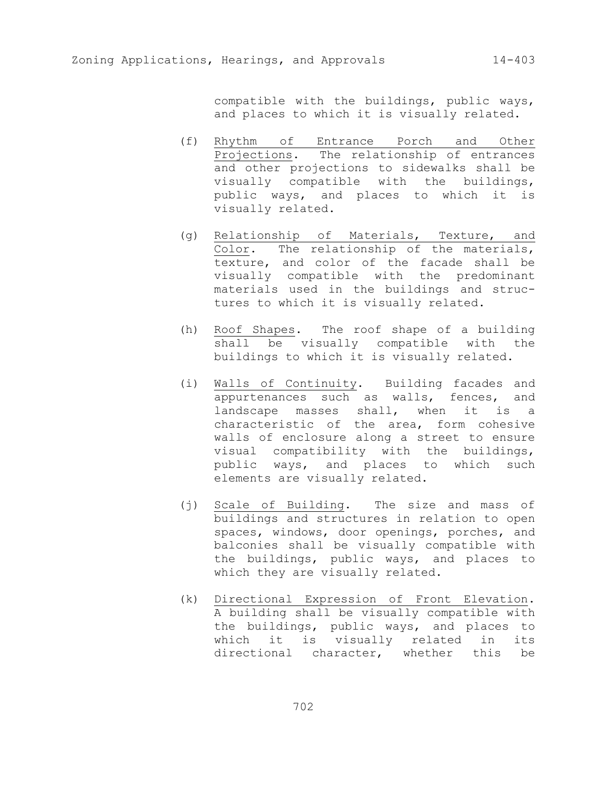compatible with the buildings, public ways, and places to which it is visually related.

- (f) Rhythm of Entrance Porch and Other Projections. The relationship of entrances and other projections to sidewalks shall be visually compatible with the buildings, public ways, and places to which it is visually related.
- (g) Relationship of Materials, Texture, and Color. The relationship of the materials, texture, and color of the facade shall be visually compatible with the predominant materials used in the buildings and structures to which it is visually related.
- (h) Roof Shapes. The roof shape of a building shall be visually compatible with the buildings to which it is visually related.
- (i) Walls of Continuity. Building facades and appurtenances such as walls, fences, and landscape masses shall, when it is a characteristic of the area, form cohesive walls of enclosure along a street to ensure visual compatibility with the buildings, public ways, and places to which such elements are visually related.
- (j) Scale of Building. The size and mass of buildings and structures in relation to open spaces, windows, door openings, porches, and balconies shall be visually compatible with the buildings, public ways, and places to which they are visually related.
- (k) Directional Expression of Front Elevation. A building shall be visually compatible with the buildings, public ways, and places to which it is visually related in its directional character, whether this be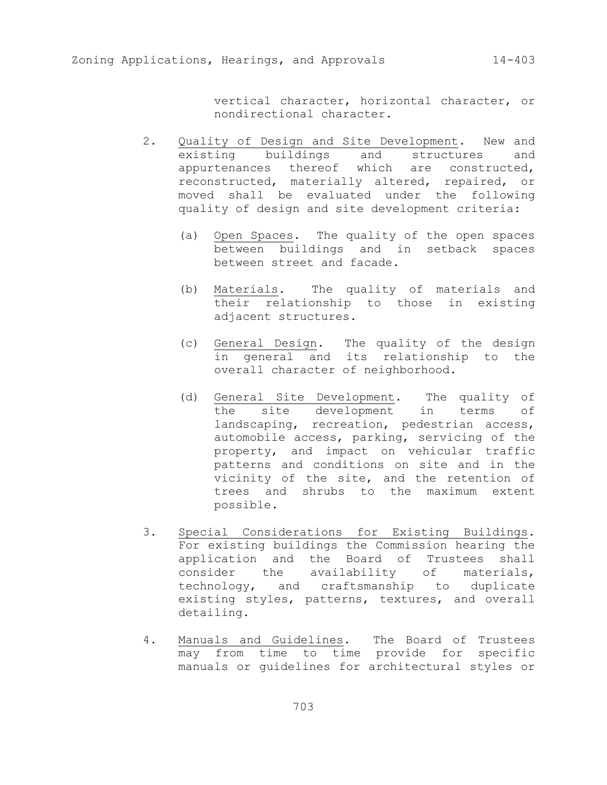vertical character, horizontal character, or nondirectional character.

- 2. Quality of Design and Site Development. New and existing buildings and structures and appurtenances thereof which are constructed, reconstructed, materially altered, repaired, or moved shall be evaluated under the following quality of design and site development criteria:
	- (a) Open Spaces. The quality of the open spaces between buildings and in setback spaces between street and facade.
	- (b) Materials. The quality of materials and their relationship to those in existing adjacent structures.
	- (c) General Design. The quality of the design in general and its relationship to the overall character of neighborhood.
	- (d) General Site Development. The quality of the site development in terms of landscaping, recreation, pedestrian access, automobile access, parking, servicing of the property, and impact on vehicular traffic patterns and conditions on site and in the vicinity of the site, and the retention of trees and shrubs to the maximum extent possible.
- 3. Special Considerations for Existing Buildings. For existing buildings the Commission hearing the application and the Board of Trustees shall consider the availability of materials, technology, and craftsmanship to duplicate existing styles, patterns, textures, and overall detailing.
- 4. Manuals and Guidelines. The Board of Trustees may from time to time provide for specific manuals or guidelines for architectural styles or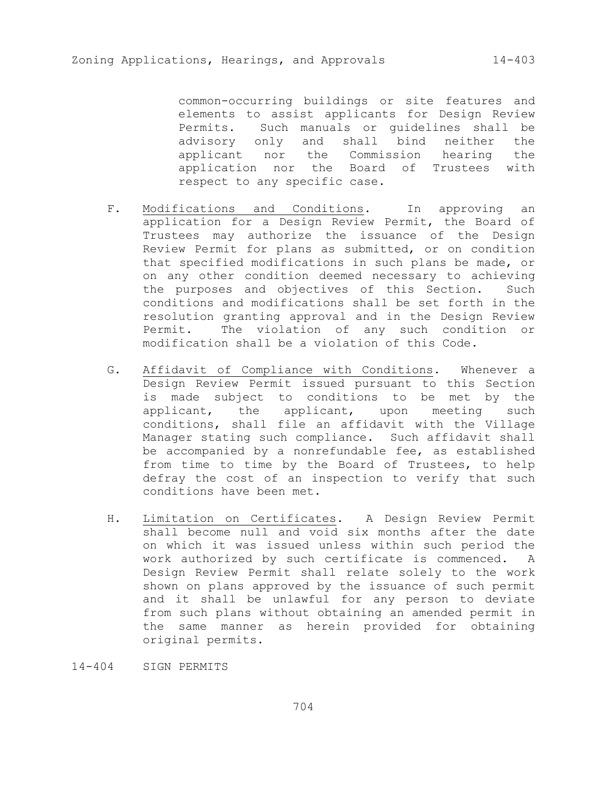common-occurring buildings or site features and elements to assist applicants for Design Review Permits. Such manuals or guidelines shall be advisory only and shall bind neither the applicant nor the Commission hearing the application nor the Board of Trustees with respect to any specific case.

- F. Modifications and Conditions. In approving an application for a Design Review Permit, the Board of Trustees may authorize the issuance of the Design Review Permit for plans as submitted, or on condition that specified modifications in such plans be made, or on any other condition deemed necessary to achieving the purposes and objectives of this Section. Such conditions and modifications shall be set forth in the resolution granting approval and in the Design Review Permit. The violation of any such condition or modification shall be a violation of this Code.
- G. Affidavit of Compliance with Conditions. Whenever a Design Review Permit issued pursuant to this Section is made subject to conditions to be met by the applicant, the applicant, upon meeting such conditions, shall file an affidavit with the Village Manager stating such compliance. Such affidavit shall be accompanied by a nonrefundable fee, as established from time to time by the Board of Trustees, to help defray the cost of an inspection to verify that such conditions have been met.
- H. Limitation on Certificates. A Design Review Permit shall become null and void six months after the date on which it was issued unless within such period the work authorized by such certificate is commenced. A Design Review Permit shall relate solely to the work shown on plans approved by the issuance of such permit and it shall be unlawful for any person to deviate from such plans without obtaining an amended permit in the same manner as herein provided for obtaining original permits.

14-404 SIGN PERMITS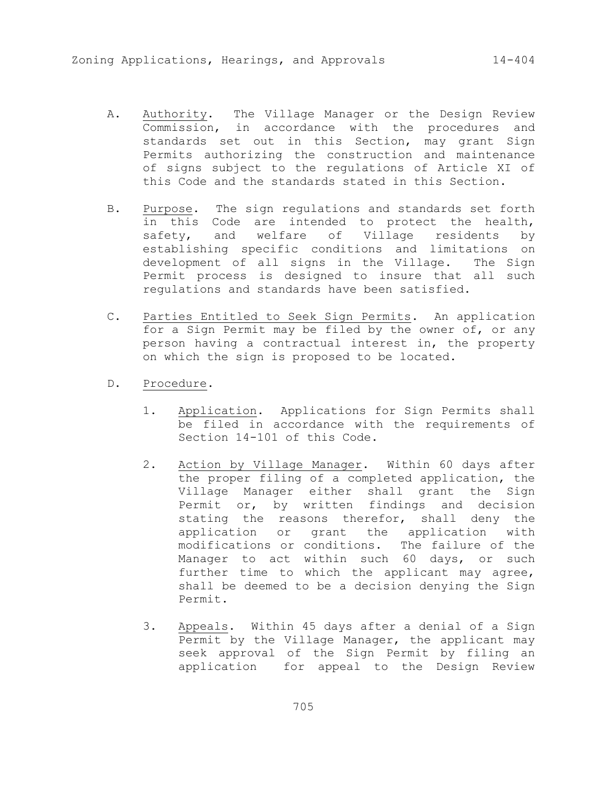- A. Authority. The Village Manager or the Design Review Commission, in accordance with the procedures and standards set out in this Section, may grant Sign Permits authorizing the construction and maintenance of signs subject to the regulations of Article XI of this Code and the standards stated in this Section.
- B. Purpose. The sign regulations and standards set forth in this Code are intended to protect the health, safety, and welfare of Village residents by establishing specific conditions and limitations on development of all signs in the Village. The Sign Permit process is designed to insure that all such regulations and standards have been satisfied.
- C. Parties Entitled to Seek Sign Permits. An application for a Sign Permit may be filed by the owner of, or any person having a contractual interest in, the property on which the sign is proposed to be located.
- D. Procedure.
	- 1. Application. Applications for Sign Permits shall be filed in accordance with the requirements of Section 14-101 of this Code.
	- 2. Action by Village Manager. Within 60 days after the proper filing of a completed application, the Village Manager either shall grant the Sign Permit or, by written findings and decision stating the reasons therefor, shall deny the application or grant the application with modifications or conditions. The failure of the Manager to act within such 60 days, or such further time to which the applicant may agree, shall be deemed to be a decision denying the Sign Permit.
	- 3. Appeals. Within 45 days after a denial of a Sign Permit by the Village Manager, the applicant may seek approval of the Sign Permit by filing an application for appeal to the Design Review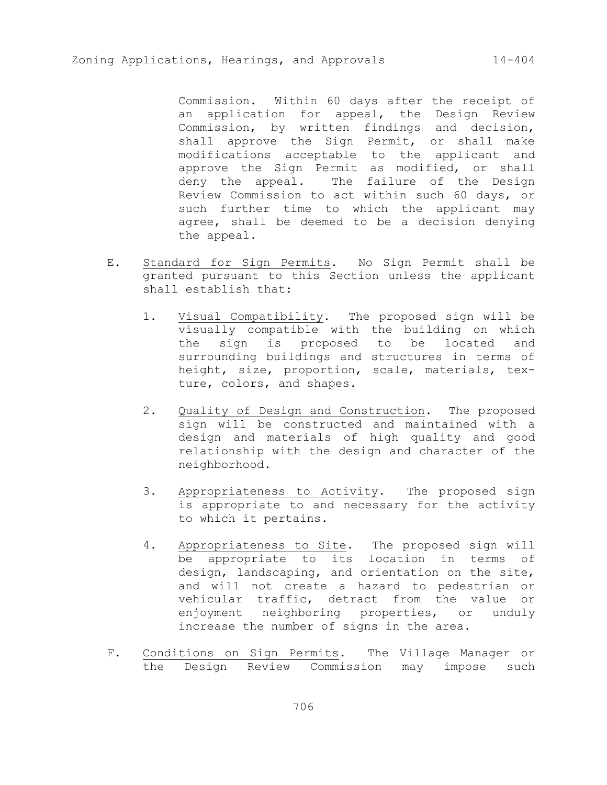Commission. Within 60 days after the receipt of an application for appeal, the Design Review Commission, by written findings and decision, shall approve the Sign Permit, or shall make modifications acceptable to the applicant and approve the Sign Permit as modified, or shall deny the appeal. The failure of the Design Review Commission to act within such 60 days, or such further time to which the applicant may agree, shall be deemed to be a decision denying the appeal.

- E. Standard for Sign Permits. No Sign Permit shall be granted pursuant to this Section unless the applicant shall establish that:
	- 1. Visual Compatibility. The proposed sign will be visually compatible with the building on which the sign is proposed to be located and surrounding buildings and structures in terms of height, size, proportion, scale, materials, texture, colors, and shapes.
	- 2. Quality of Design and Construction. The proposed sign will be constructed and maintained with a design and materials of high quality and good relationship with the design and character of the neighborhood.
	- 3. Appropriateness to Activity. The proposed sign is appropriate to and necessary for the activity to which it pertains.
	- 4. Appropriateness to Site. The proposed sign will be appropriate to its location in terms of design, landscaping, and orientation on the site, and will not create a hazard to pedestrian or vehicular traffic, detract from the value or enjoyment neighboring properties, or unduly increase the number of signs in the area.
- F. Conditions on Sign Permits. The Village Manager or the Design Review Commission may impose such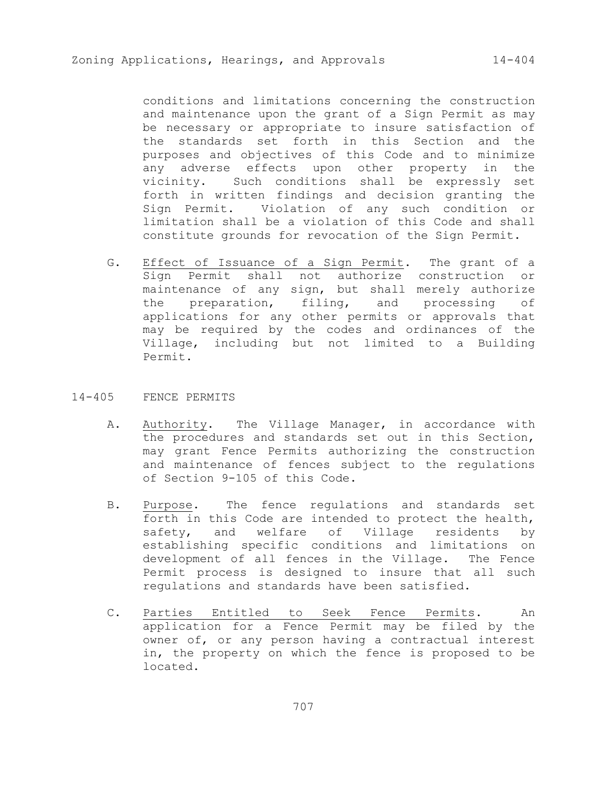conditions and limitations concerning the construction and maintenance upon the grant of a Sign Permit as may be necessary or appropriate to insure satisfaction of the standards set forth in this Section and the purposes and objectives of this Code and to minimize any adverse effects upon other property in the vicinity. Such conditions shall be expressly set forth in written findings and decision granting the Sign Permit. Violation of any such condition or limitation shall be a violation of this Code and shall constitute grounds for revocation of the Sign Permit.

- G. Effect of Issuance of a Sign Permit. The grant of a Sign Permit shall not authorize construction or maintenance of any sign, but shall merely authorize the preparation, filing, and processing of applications for any other permits or approvals that may be required by the codes and ordinances of the Village, including but not limited to a Building Permit.
- 14-405 FENCE PERMITS
	- A. Authority. The Village Manager, in accordance with the procedures and standards set out in this Section, may grant Fence Permits authorizing the construction and maintenance of fences subject to the regulations of Section 9-105 of this Code.
	- B. Purpose. The fence regulations and standards set forth in this Code are intended to protect the health, safety, and welfare of Village residents by establishing specific conditions and limitations on development of all fences in the Village. The Fence Permit process is designed to insure that all such regulations and standards have been satisfied.
	- C. Parties Entitled to Seek Fence Permits. An application for a Fence Permit may be filed by the owner of, or any person having a contractual interest in, the property on which the fence is proposed to be located.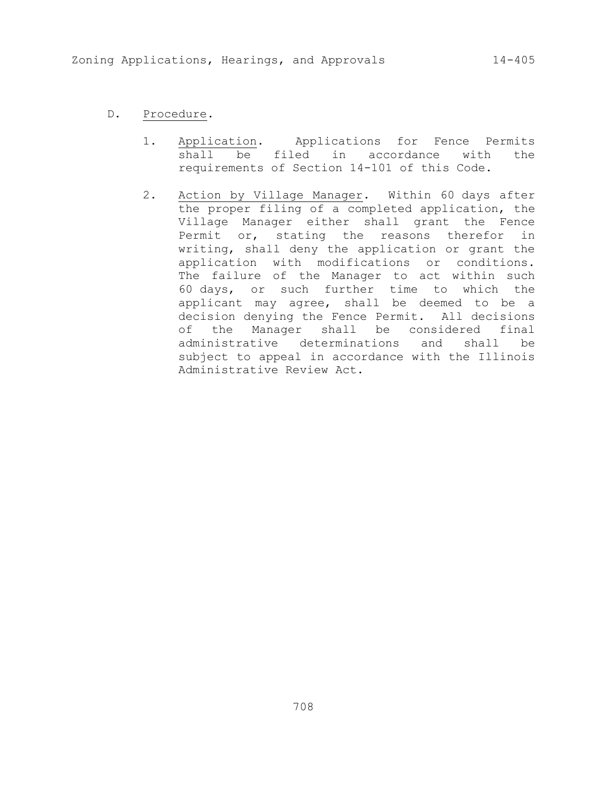# D. Procedure.

- 1. Application. Applications for Fence Permits shall be filed in accordance with the requirements of Section 14-101 of this Code.
- 2. Action by Village Manager. Within 60 days after the proper filing of a completed application, the Village Manager either shall grant the Fence Permit or, stating the reasons therefor in writing, shall deny the application or grant the application with modifications or conditions. The failure of the Manager to act within such 60 days, or such further time to which the applicant may agree, shall be deemed to be a decision denying the Fence Permit. All decisions of the Manager shall be considered final administrative determinations and shall be subject to appeal in accordance with the Illinois Administrative Review Act.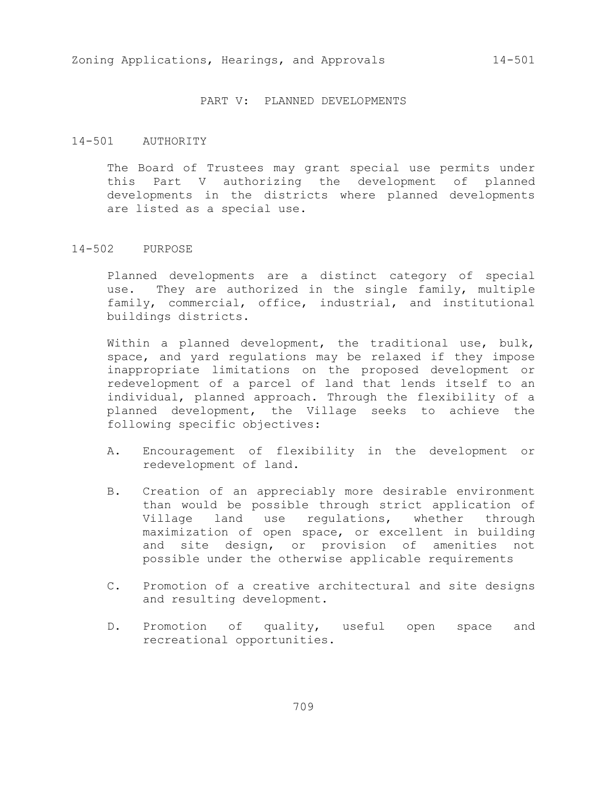### PART V: PLANNED DEVELOPMENTS

### 14-501 AUTHORITY

The Board of Trustees may grant special use permits under this Part V authorizing the development of planned developments in the districts where planned developments are listed as a special use.

#### 14-502 PURPOSE

Planned developments are a distinct category of special use. They are authorized in the single family, multiple family, commercial, office, industrial, and institutional buildings districts.

Within a planned development, the traditional use, bulk, space, and yard regulations may be relaxed if they impose inappropriate limitations on the proposed development or redevelopment of a parcel of land that lends itself to an individual, planned approach. Through the flexibility of a planned development, the Village seeks to achieve the following specific objectives:

- A. Encouragement of flexibility in the development or redevelopment of land.
- B. Creation of an appreciably more desirable environment than would be possible through strict application of Village land use regulations, whether through maximization of open space, or excellent in building and site design, or provision of amenities not possible under the otherwise applicable requirements
- C. Promotion of a creative architectural and site designs and resulting development.
- D. Promotion of quality, useful open space and recreational opportunities.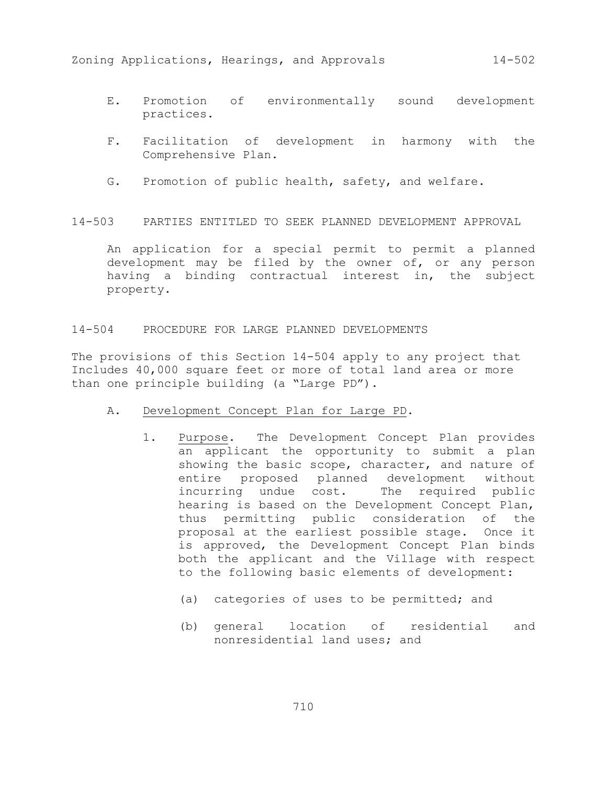- E. Promotion of environmentally sound development practices.
- F. Facilitation of development in harmony with the Comprehensive Plan.
- G. Promotion of public health, safety, and welfare.

### 14-503 PARTIES ENTITLED TO SEEK PLANNED DEVELOPMENT APPROVAL

An application for a special permit to permit a planned development may be filed by the owner of, or any person having a binding contractual interest in, the subject property.

#### 14-504 PROCEDURE FOR LARGE PLANNED DEVELOPMENTS

The provisions of this Section 14-504 apply to any project that Includes 40,000 square feet or more of total land area or more than one principle building (a "Large PD").

- A. Development Concept Plan for Large PD.
	- 1. Purpose. The Development Concept Plan provides an applicant the opportunity to submit a plan showing the basic scope, character, and nature of entire proposed planned development without incurring undue cost. The required public hearing is based on the Development Concept Plan, thus permitting public consideration of the proposal at the earliest possible stage. Once it is approved, the Development Concept Plan binds both the applicant and the Village with respect to the following basic elements of development:
		- (a) categories of uses to be permitted; and
		- (b) general location of residential and nonresidential land uses; and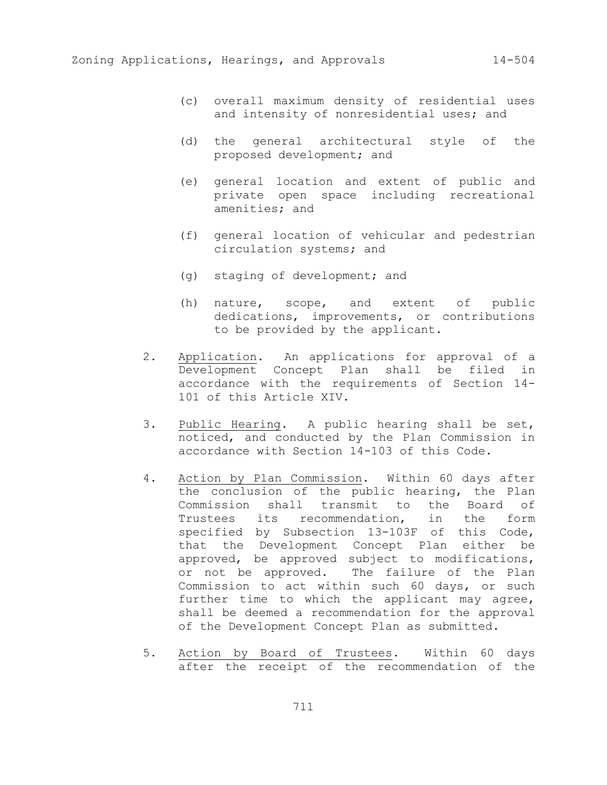- (d) the general architectural style of the proposed development; and
- (e) general location and extent of public and private open space including recreational amenities; and
- (f) general location of vehicular and pedestrian circulation systems; and
- (g) staging of development; and
- (h) nature, scope, and extent of public dedications, improvements, or contributions to be provided by the applicant.
- 2. Application. An applications for approval of a Development Concept Plan shall be filed in accordance with the requirements of Section 14- 101 of this Article XIV.
- 3. Public Hearing. A public hearing shall be set, noticed, and conducted by the Plan Commission in accordance with Section 14-103 of this Code.
- 4. Action by Plan Commission. Within 60 days after the conclusion of the public hearing, the Plan Commission shall transmit to the Board of Trustees its recommendation, in the form specified by Subsection 13-103F of this Code, that the Development Concept Plan either be approved, be approved subject to modifications, or not be approved. The failure of the Plan Commission to act within such 60 days, or such further time to which the applicant may agree, shall be deemed a recommendation for the approval of the Development Concept Plan as submitted.
- 5. Action by Board of Trustees. Within 60 days after the receipt of the recommendation of the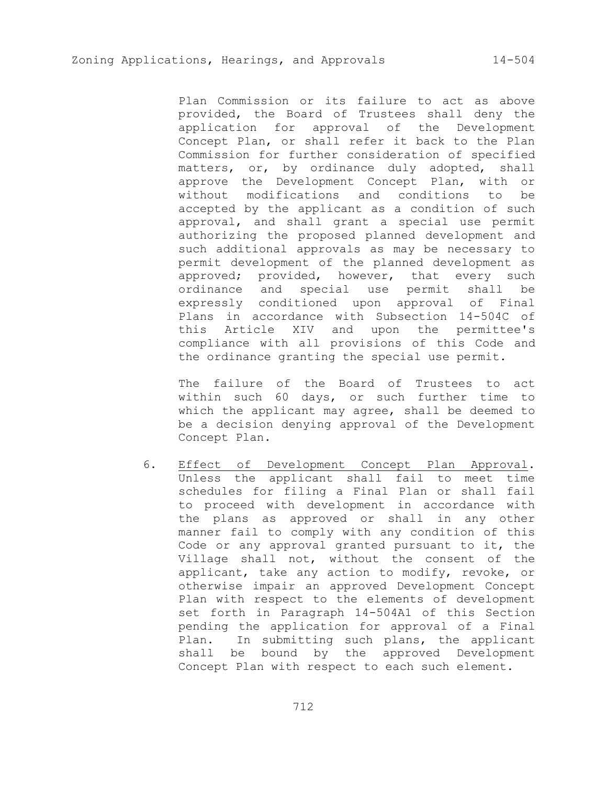Plan Commission or its failure to act as above provided, the Board of Trustees shall deny the application for approval of the Development Concept Plan, or shall refer it back to the Plan Commission for further consideration of specified matters, or, by ordinance duly adopted, shall approve the Development Concept Plan, with or without modifications and conditions to be accepted by the applicant as a condition of such approval, and shall grant a special use permit authorizing the proposed planned development and such additional approvals as may be necessary to permit development of the planned development as approved; provided, however, that every such ordinance and special use permit shall be expressly conditioned upon approval of Final Plans in accordance with Subsection 14-504C of this Article XIV and upon the permittee's compliance with all provisions of this Code and the ordinance granting the special use permit.

The failure of the Board of Trustees to act within such 60 days, or such further time to which the applicant may agree, shall be deemed to be a decision denying approval of the Development Concept Plan.

6. Effect of Development Concept Plan Approval. Unless the applicant shall fail to meet time schedules for filing a Final Plan or shall fail to proceed with development in accordance with the plans as approved or shall in any other manner fail to comply with any condition of this Code or any approval granted pursuant to it, the Village shall not, without the consent of the applicant, take any action to modify, revoke, or otherwise impair an approved Development Concept Plan with respect to the elements of development set forth in Paragraph 14-504A1 of this Section pending the application for approval of a Final Plan. In submitting such plans, the applicant shall be bound by the approved Development Concept Plan with respect to each such element.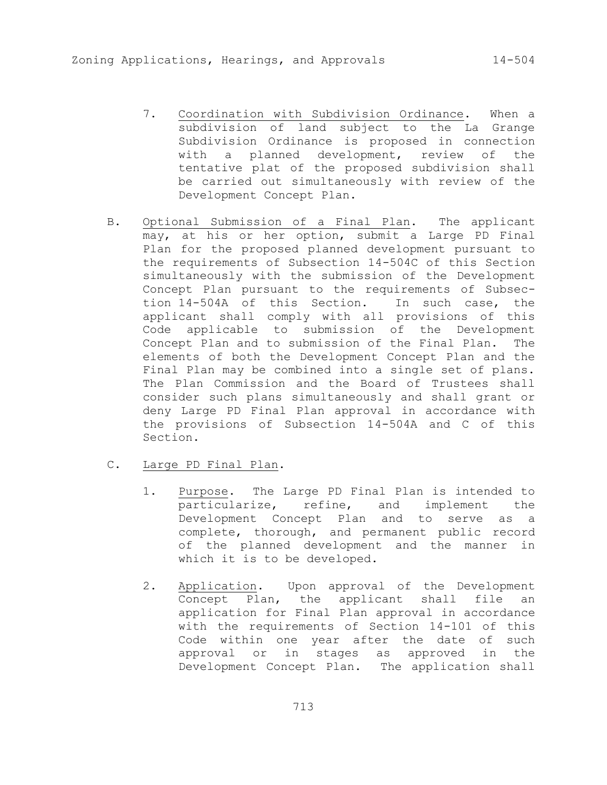- 7. Coordination with Subdivision Ordinance. When a subdivision of land subject to the La Grange Subdivision Ordinance is proposed in connection with a planned development, review of the tentative plat of the proposed subdivision shall be carried out simultaneously with review of the Development Concept Plan.
- B. Optional Submission of a Final Plan. The applicant may, at his or her option, submit a Large PD Final Plan for the proposed planned development pursuant to the requirements of Subsection 14-504C of this Section simultaneously with the submission of the Development Concept Plan pursuant to the requirements of Subsection 14-504A of this Section. In such case, the applicant shall comply with all provisions of this Code applicable to submission of the Development Concept Plan and to submission of the Final Plan. The elements of both the Development Concept Plan and the Final Plan may be combined into a single set of plans. The Plan Commission and the Board of Trustees shall consider such plans simultaneously and shall grant or deny Large PD Final Plan approval in accordance with the provisions of Subsection 14-504A and C of this Section.
- C. Large PD Final Plan.
	- 1. Purpose. The Large PD Final Plan is intended to particularize, refine, and implement the Development Concept Plan and to serve as a complete, thorough, and permanent public record of the planned development and the manner in which it is to be developed.
	- 2. Application. Upon approval of the Development Concept Plan, the applicant shall file an application for Final Plan approval in accordance with the requirements of Section 14-101 of this Code within one year after the date of such approval or in stages as approved in the Development Concept Plan. The application shall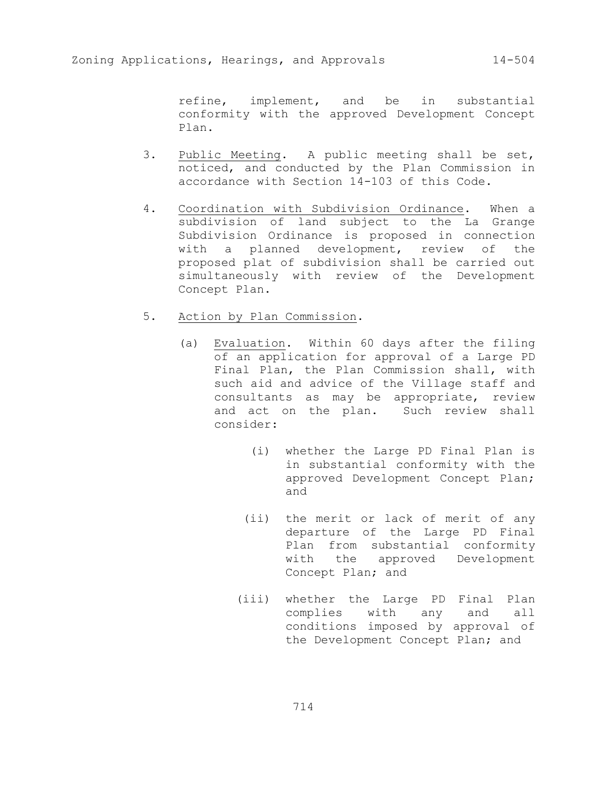refine, implement, and be in substantial conformity with the approved Development Concept Plan.

- 3. Public Meeting. A public meeting shall be set, noticed, and conducted by the Plan Commission in accordance with Section 14-103 of this Code.
- 4. Coordination with Subdivision Ordinance. When a subdivision of land subject to the La Grange Subdivision Ordinance is proposed in connection with a planned development, review of the proposed plat of subdivision shall be carried out simultaneously with review of the Development Concept Plan.
- 5. Action by Plan Commission.
	- (a) Evaluation. Within 60 days after the filing of an application for approval of a Large PD Final Plan, the Plan Commission shall, with such aid and advice of the Village staff and consultants as may be appropriate, review and act on the plan. Such review shall consider:
		- (i) whether the Large PD Final Plan is in substantial conformity with the approved Development Concept Plan; and
		- (ii) the merit or lack of merit of any departure of the Large PD Final Plan from substantial conformity with the approved Development Concept Plan; and
		- (iii) whether the Large PD Final Plan complies with any and all conditions imposed by approval of the Development Concept Plan; and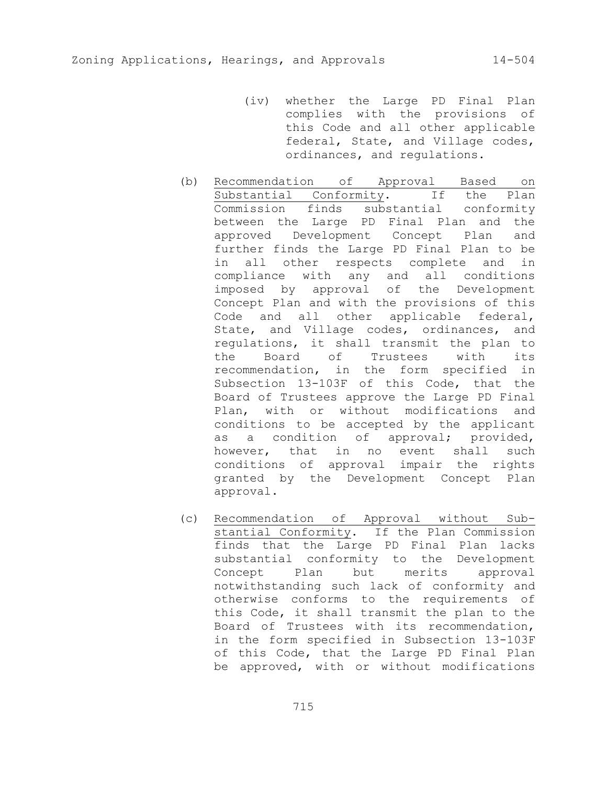- (iv) whether the Large PD Final Plan complies with the provisions of this Code and all other applicable federal, State, and Village codes, ordinances, and regulations.
- (b) Recommendation of Approval Based on Substantial Conformity. If the Plan Commission finds substantial conformity between the Large PD Final Plan and the approved Development Concept Plan and further finds the Large PD Final Plan to be in all other respects complete and in compliance with any and all conditions imposed by approval of the Development Concept Plan and with the provisions of this Code and all other applicable federal, State, and Village codes, ordinances, and regulations, it shall transmit the plan to the Board of Trustees with its recommendation, in the form specified in Subsection 13-103F of this Code, that the Board of Trustees approve the Large PD Final Plan, with or without modifications and conditions to be accepted by the applicant as a condition of approval; provided, however, that in no event shall such conditions of approval impair the rights granted by the Development Concept Plan approval.
- (c) Recommendation of Approval without Substantial Conformity. If the Plan Commission finds that the Large PD Final Plan lacks substantial conformity to the Development Concept Plan but merits approval notwithstanding such lack of conformity and otherwise conforms to the requirements of this Code, it shall transmit the plan to the Board of Trustees with its recommendation, in the form specified in Subsection 13-103F of this Code, that the Large PD Final Plan be approved, with or without modifications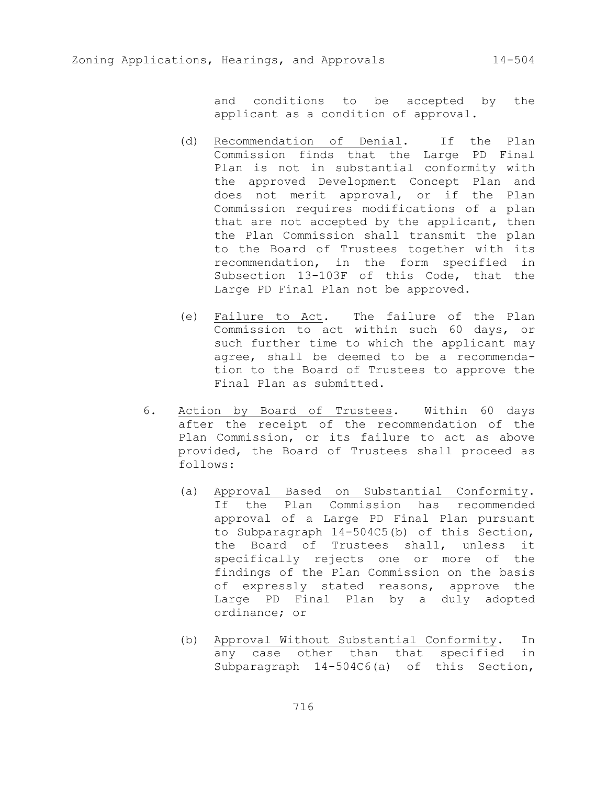and conditions to be accepted by the applicant as a condition of approval.

- (d) Recommendation of Denial. If the Plan Commission finds that the Large PD Final Plan is not in substantial conformity with the approved Development Concept Plan and does not merit approval, or if the Plan Commission requires modifications of a plan that are not accepted by the applicant, then the Plan Commission shall transmit the plan to the Board of Trustees together with its recommendation, in the form specified in Subsection 13-103F of this Code, that the Large PD Final Plan not be approved.
- (e) Failure to Act. The failure of the Plan Commission to act within such 60 days, or such further time to which the applicant may agree, shall be deemed to be a recommendation to the Board of Trustees to approve the Final Plan as submitted.
- 6. Action by Board of Trustees. Within 60 days after the receipt of the recommendation of the Plan Commission, or its failure to act as above provided, the Board of Trustees shall proceed as follows:
	- (a) Approval Based on Substantial Conformity. If the Plan Commission has recommended approval of a Large PD Final Plan pursuant to Subparagraph 14-504C5(b) of this Section, the Board of Trustees shall, unless it specifically rejects one or more of the findings of the Plan Commission on the basis of expressly stated reasons, approve the Large PD Final Plan by a duly adopted ordinance; or
	- (b) Approval Without Substantial Conformity. In any case other than that specified in Subparagraph 14-504C6(a) of this Section,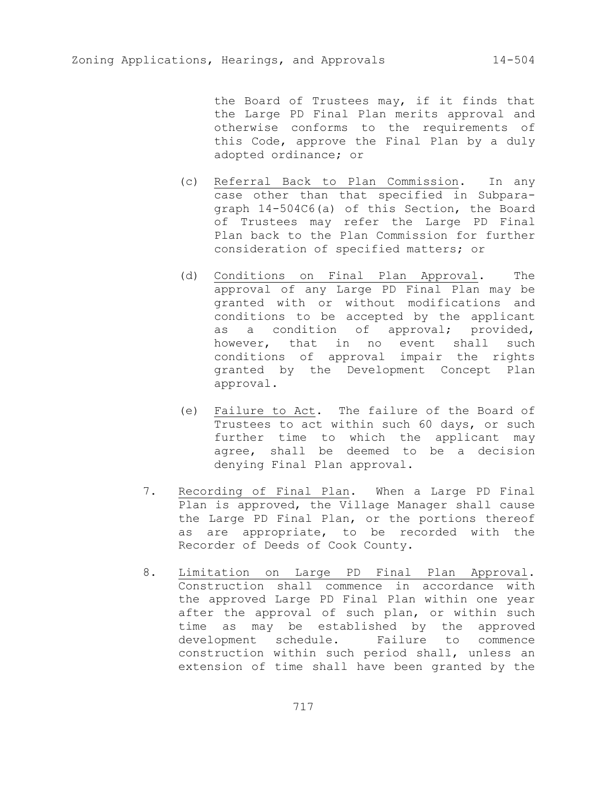the Board of Trustees may, if it finds that the Large PD Final Plan merits approval and otherwise conforms to the requirements of this Code, approve the Final Plan by a duly adopted ordinance; or

- (c) Referral Back to Plan Commission. In any case other than that specified in Subparagraph 14-504C6(a) of this Section, the Board of Trustees may refer the Large PD Final Plan back to the Plan Commission for further consideration of specified matters; or
- (d) Conditions on Final Plan Approval. The approval of any Large PD Final Plan may be granted with or without modifications and conditions to be accepted by the applicant as a condition of approval; provided, however, that in no event shall such conditions of approval impair the rights granted by the Development Concept Plan approval.
- (e) Failure to Act. The failure of the Board of Trustees to act within such 60 days, or such further time to which the applicant may agree, shall be deemed to be a decision denying Final Plan approval.
- 7. Recording of Final Plan. When a Large PD Final Plan is approved, the Village Manager shall cause the Large PD Final Plan, or the portions thereof as are appropriate, to be recorded with the Recorder of Deeds of Cook County.
- 8. Limitation on Large PD Final Plan Approval. Construction shall commence in accordance with the approved Large PD Final Plan within one year after the approval of such plan, or within such time as may be established by the approved development schedule. Failure to commence construction within such period shall, unless an extension of time shall have been granted by the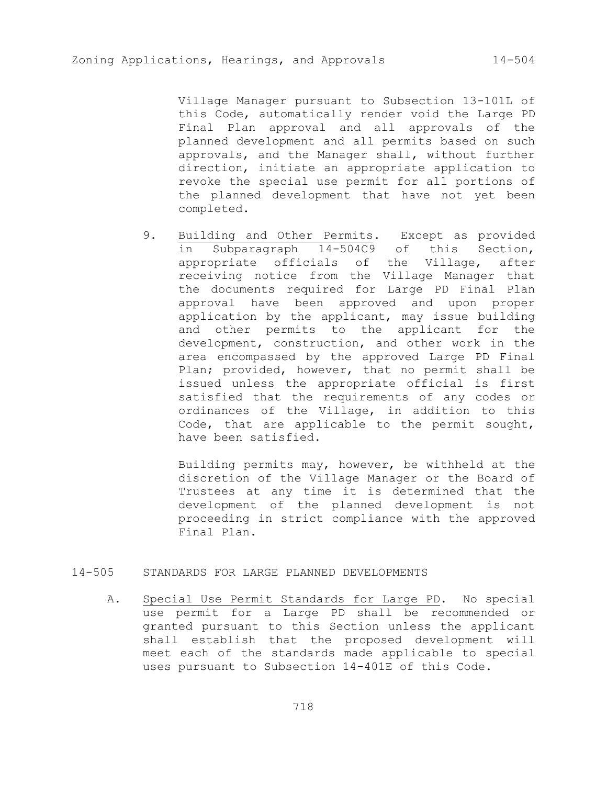Village Manager pursuant to Subsection 13-101L of this Code, automatically render void the Large PD Final Plan approval and all approvals of the planned development and all permits based on such approvals, and the Manager shall, without further direction, initiate an appropriate application to revoke the special use permit for all portions of the planned development that have not yet been completed.

9. Building and Other Permits. Except as provided in Subparagraph 14-504C9 of this Section, appropriate officials of the Village, after receiving notice from the Village Manager that the documents required for Large PD Final Plan approval have been approved and upon proper application by the applicant, may issue building and other permits to the applicant for the development, construction, and other work in the area encompassed by the approved Large PD Final Plan; provided, however, that no permit shall be issued unless the appropriate official is first satisfied that the requirements of any codes or ordinances of the Village, in addition to this Code, that are applicable to the permit sought, have been satisfied.

Building permits may, however, be withheld at the discretion of the Village Manager or the Board of Trustees at any time it is determined that the development of the planned development is not proceeding in strict compliance with the approved Final Plan.

# 14-505 STANDARDS FOR LARGE PLANNED DEVELOPMENTS

A. Special Use Permit Standards for Large PD. No special use permit for a Large PD shall be recommended or granted pursuant to this Section unless the applicant shall establish that the proposed development will meet each of the standards made applicable to special uses pursuant to Subsection 14-401E of this Code.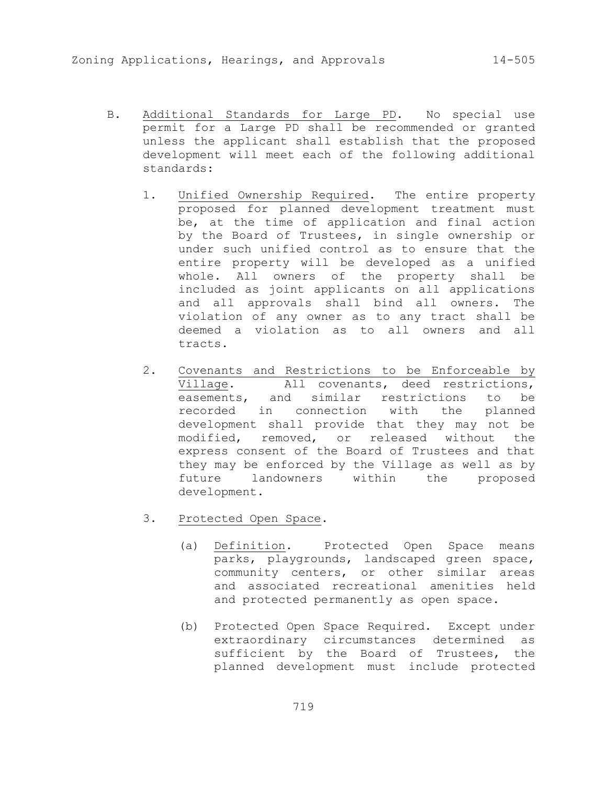- B. Additional Standards for Large PD. No special use permit for a Large PD shall be recommended or granted unless the applicant shall establish that the proposed development will meet each of the following additional standards:
	- 1. Unified Ownership Required. The entire property proposed for planned development treatment must be, at the time of application and final action by the Board of Trustees, in single ownership or under such unified control as to ensure that the entire property will be developed as a unified whole. All owners of the property shall be included as joint applicants on all applications and all approvals shall bind all owners. The violation of any owner as to any tract shall be deemed a violation as to all owners and all tracts.
	- 2. Covenants and Restrictions to be Enforceable by Village. All covenants, deed restrictions, easements, and similar restrictions to be recorded in connection with the planned development shall provide that they may not be modified, removed, or released without the express consent of the Board of Trustees and that they may be enforced by the Village as well as by future landowners within the proposed development.
	- 3. Protected Open Space.
		- (a) Definition. Protected Open Space means parks, playgrounds, landscaped green space, community centers, or other similar areas and associated recreational amenities held and protected permanently as open space.
		- (b) Protected Open Space Required. Except under extraordinary circumstances determined as sufficient by the Board of Trustees, the planned development must include protected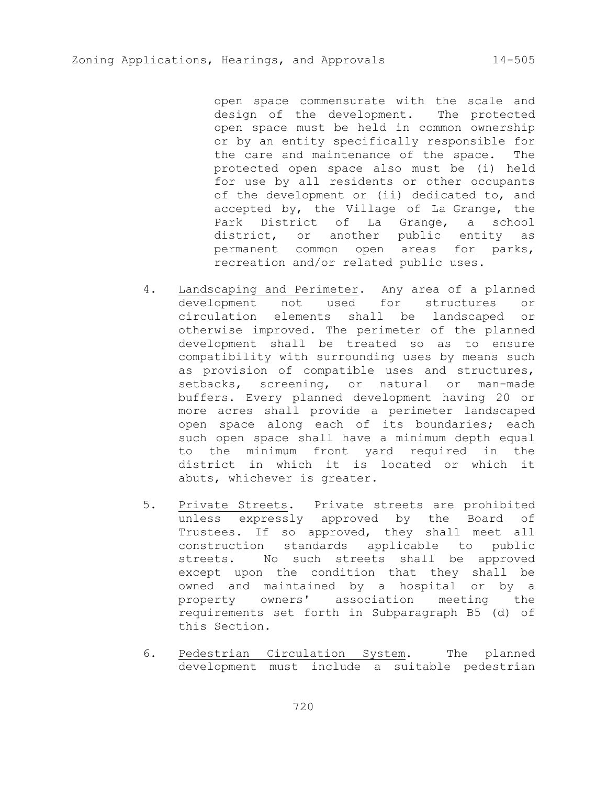open space commensurate with the scale and design of the development. The protected open space must be held in common ownership or by an entity specifically responsible for the care and maintenance of the space. The protected open space also must be (i) held for use by all residents or other occupants of the development or (ii) dedicated to, and accepted by, the Village of La Grange, the Park District of La Grange, a school district, or another public entity as permanent common open areas for parks, recreation and/or related public uses.

- 4. Landscaping and Perimeter. Any area of a planned development not used for structures or circulation elements shall be landscaped or otherwise improved. The perimeter of the planned development shall be treated so as to ensure compatibility with surrounding uses by means such as provision of compatible uses and structures, setbacks, screening, or natural or man-made buffers. Every planned development having 20 or more acres shall provide a perimeter landscaped open space along each of its boundaries; each such open space shall have a minimum depth equal to the minimum front yard required in the district in which it is located or which it abuts, whichever is greater.
- 5. Private Streets. Private streets are prohibited unless expressly approved by the Board of Trustees. If so approved, they shall meet all construction standards applicable to public streets. No such streets shall be approved except upon the condition that they shall be owned and maintained by a hospital or by a property owners' association meeting the requirements set forth in Subparagraph B5 (d) of this Section.
- 6. Pedestrian Circulation System. The planned development must include a suitable pedestrian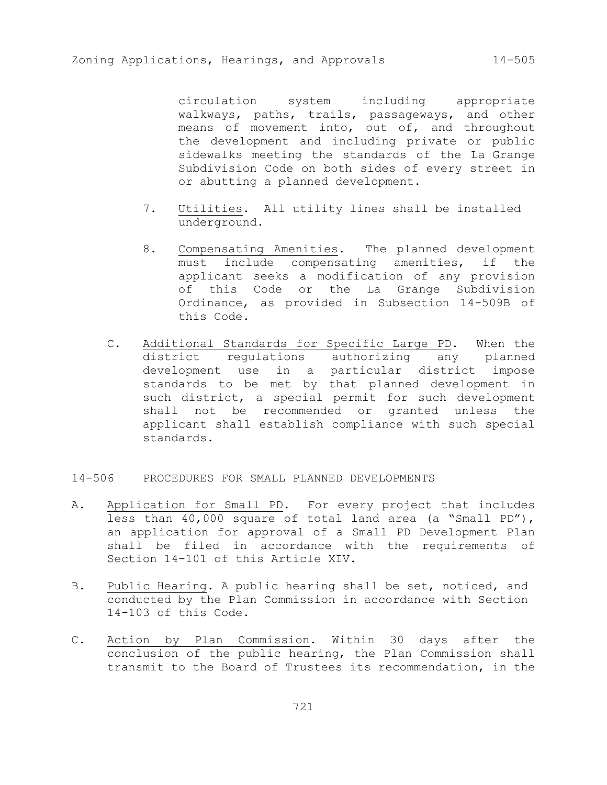circulation system including appropriate walkways, paths, trails, passageways, and other means of movement into, out of, and throughout the development and including private or public sidewalks meeting the standards of the La Grange Subdivision Code on both sides of every street in or abutting a planned development.

- 7. Utilities. All utility lines shall be installed underground.
- 8. Compensating Amenities. The planned development must include compensating amenities, if the applicant seeks a modification of any provision of this Code or the La Grange Subdivision Ordinance, as provided in Subsection 14-509B of this Code.
- C. Additional Standards for Specific Large PD. When the district regulations authorizing any planned development use in a particular district impose standards to be met by that planned development in such district, a special permit for such development shall not be recommended or granted unless the applicant shall establish compliance with such special standards.
- 14-506 PROCEDURES FOR SMALL PLANNED DEVELOPMENTS
- A. Application for Small PD. For every project that includes less than 40,000 square of total land area (a "Small PD"), an application for approval of a Small PD Development Plan shall be filed in accordance with the requirements of Section 14-101 of this Article XIV.
- B. Public Hearing. A public hearing shall be set, noticed, and conducted by the Plan Commission in accordance with Section 14-103 of this Code.
- C. Action by Plan Commission. Within 30 days after the conclusion of the public hearing, the Plan Commission shall transmit to the Board of Trustees its recommendation, in the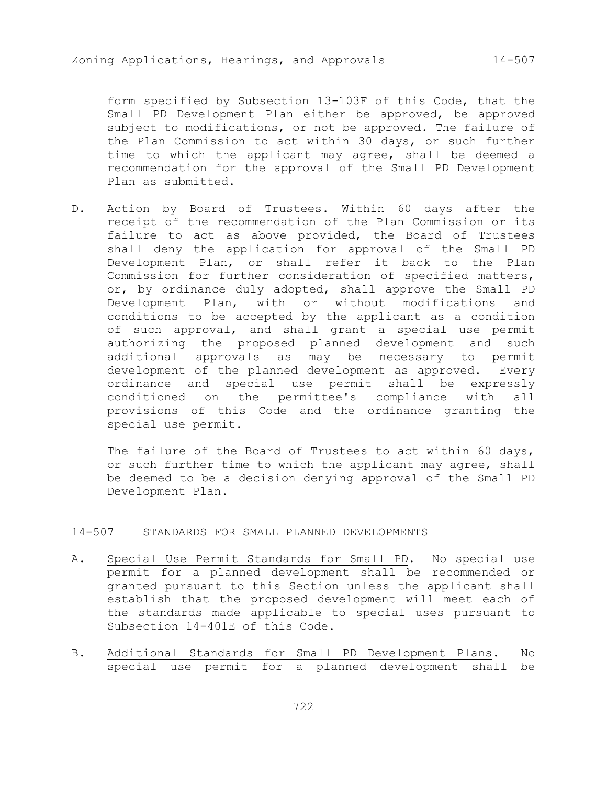form specified by Subsection 13-103F of this Code, that the Small PD Development Plan either be approved, be approved subject to modifications, or not be approved. The failure of the Plan Commission to act within 30 days, or such further time to which the applicant may agree, shall be deemed a recommendation for the approval of the Small PD Development Plan as submitted.

D. Action by Board of Trustees. Within 60 days after the receipt of the recommendation of the Plan Commission or its failure to act as above provided, the Board of Trustees shall deny the application for approval of the Small PD Development Plan, or shall refer it back to the Plan Commission for further consideration of specified matters, or, by ordinance duly adopted, shall approve the Small PD Development Plan, with or without modifications and conditions to be accepted by the applicant as a condition of such approval, and shall grant a special use permit authorizing the proposed planned development and such additional approvals as may be necessary to permit development of the planned development as approved. Every ordinance and special use permit shall be expressly conditioned on the permittee's compliance with all provisions of this Code and the ordinance granting the special use permit.

The failure of the Board of Trustees to act within 60 days, or such further time to which the applicant may agree, shall be deemed to be a decision denying approval of the Small PD Development Plan.

## 14-507 STANDARDS FOR SMALL PLANNED DEVELOPMENTS

- A. Special Use Permit Standards for Small PD. No special use permit for a planned development shall be recommended or granted pursuant to this Section unless the applicant shall establish that the proposed development will meet each of the standards made applicable to special uses pursuant to Subsection 14-401E of this Code.
- B. Additional Standards for Small PD Development Plans. No special use permit for a planned development shall be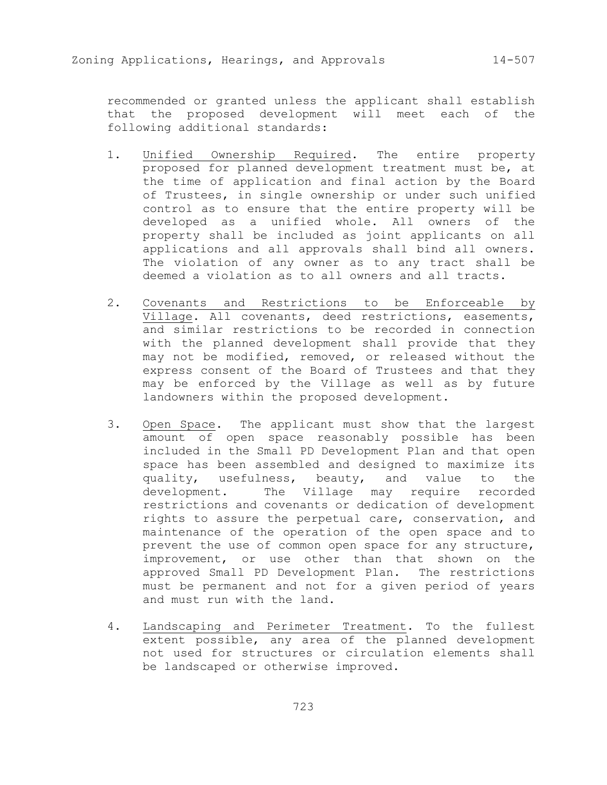recommended or granted unless the applicant shall establish that the proposed development will meet each of the following additional standards:

- 1. Unified Ownership Required. The entire property proposed for planned development treatment must be, at the time of application and final action by the Board of Trustees, in single ownership or under such unified control as to ensure that the entire property will be developed as a unified whole. All owners of the property shall be included as joint applicants on all applications and all approvals shall bind all owners. The violation of any owner as to any tract shall be deemed a violation as to all owners and all tracts.
- 2. Covenants and Restrictions to be Enforceable by Village. All covenants, deed restrictions, easements, and similar restrictions to be recorded in connection with the planned development shall provide that they may not be modified, removed, or released without the express consent of the Board of Trustees and that they may be enforced by the Village as well as by future landowners within the proposed development.
- 3. Open Space. The applicant must show that the largest amount of open space reasonably possible has been included in the Small PD Development Plan and that open space has been assembled and designed to maximize its quality, usefulness, beauty, and value to the development. The Village may require recorded restrictions and covenants or dedication of development rights to assure the perpetual care, conservation, and maintenance of the operation of the open space and to prevent the use of common open space for any structure, improvement, or use other than that shown on the approved Small PD Development Plan. The restrictions must be permanent and not for a given period of years and must run with the land.
- 4. Landscaping and Perimeter Treatment. To the fullest extent possible, any area of the planned development not used for structures or circulation elements shall be landscaped or otherwise improved.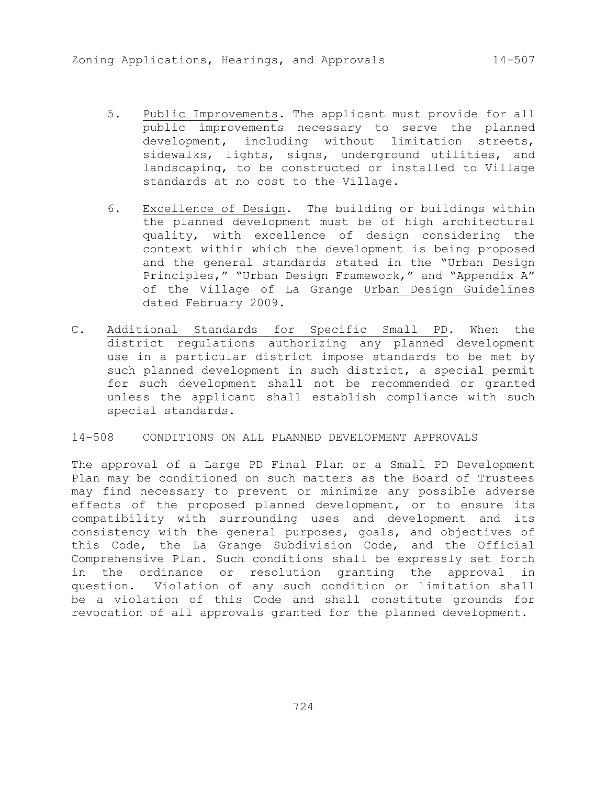- 5. Public Improvements. The applicant must provide for all public improvements necessary to serve the planned development, including without limitation streets, sidewalks, lights, signs, underground utilities, and landscaping, to be constructed or installed to Village standards at no cost to the Village.
- 6. Excellence of Design. The building or buildings within the planned development must be of high architectural quality, with excellence of design considering the context within which the development is being proposed and the general standards stated in the "Urban Design Principles," "Urban Design Framework," and "Appendix A" of the Village of La Grange Urban Design Guidelines dated February 2009.
- C. Additional Standards for Specific Small PD. When the district regulations authorizing any planned development use in a particular district impose standards to be met by such planned development in such district, a special permit for such development shall not be recommended or granted unless the applicant shall establish compliance with such special standards.

14-508 CONDITIONS ON ALL PLANNED DEVELOPMENT APPROVALS

The approval of a Large PD Final Plan or a Small PD Development Plan may be conditioned on such matters as the Board of Trustees may find necessary to prevent or minimize any possible adverse effects of the proposed planned development, or to ensure its compatibility with surrounding uses and development and its consistency with the general purposes, goals, and objectives of this Code, the La Grange Subdivision Code, and the Official Comprehensive Plan. Such conditions shall be expressly set forth in the ordinance or resolution granting the approval in question. Violation of any such condition or limitation shall be a violation of this Code and shall constitute grounds for revocation of all approvals granted for the planned development.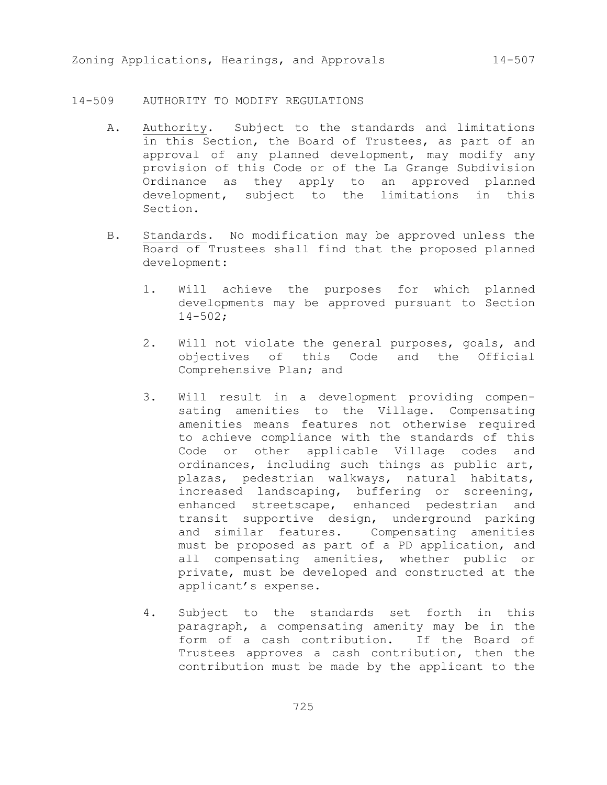## 14-509 AUTHORITY TO MODIFY REGULATIONS

- A. Authority. Subject to the standards and limitations in this Section, the Board of Trustees, as part of an approval of any planned development, may modify any provision of this Code or of the La Grange Subdivision Ordinance as they apply to an approved planned development, subject to the limitations in this Section.
- B. Standards. No modification may be approved unless the Board of Trustees shall find that the proposed planned development:
	- 1. Will achieve the purposes for which planned developments may be approved pursuant to Section  $14 - 502;$
	- 2. Will not violate the general purposes, goals, and objectives of this Code and the Official Comprehensive Plan; and
	- 3. Will result in a development providing compensating amenities to the Village. Compensating amenities means features not otherwise required to achieve compliance with the standards of this Code or other applicable Village codes and ordinances, including such things as public art, plazas, pedestrian walkways, natural habitats, increased landscaping, buffering or screening, enhanced streetscape, enhanced pedestrian and transit supportive design, underground parking and similar features. Compensating amenities must be proposed as part of a PD application, and all compensating amenities, whether public or private, must be developed and constructed at the applicant's expense.
	- 4. Subject to the standards set forth in this paragraph, a compensating amenity may be in the form of a cash contribution. If the Board of Trustees approves a cash contribution, then the contribution must be made by the applicant to the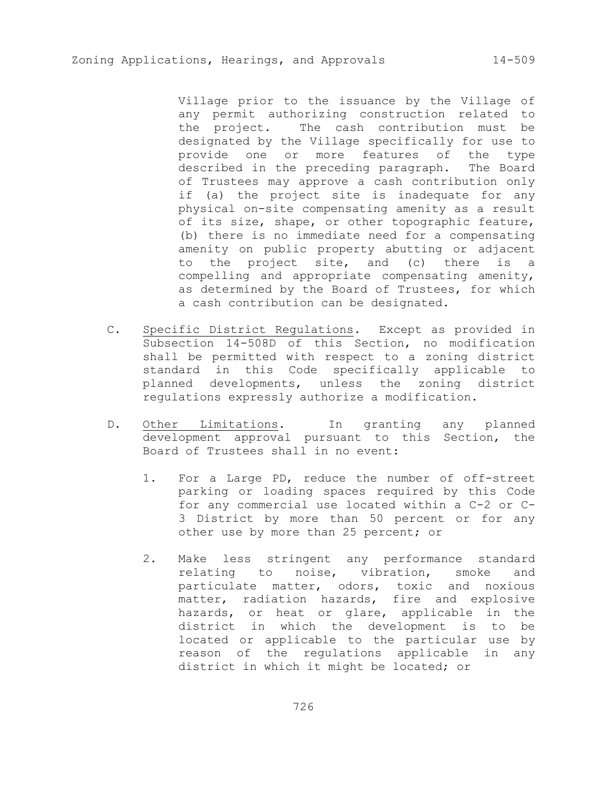Village prior to the issuance by the Village of any permit authorizing construction related to the project. The cash contribution must be designated by the Village specifically for use to provide one or more features of the type described in the preceding paragraph. The Board of Trustees may approve a cash contribution only if (a) the project site is inadequate for any physical on-site compensating amenity as a result of its size, shape, or other topographic feature, (b) there is no immediate need for a compensating amenity on public property abutting or adjacent to the project site, and (c) there is a compelling and appropriate compensating amenity, as determined by the Board of Trustees, for which a cash contribution can be designated.

- C. Specific District Regulations. Except as provided in Subsection 14-508D of this Section, no modification shall be permitted with respect to a zoning district standard in this Code specifically applicable to planned developments, unless the zoning district regulations expressly authorize a modification.
- D. Other Limitations. In granting any planned development approval pursuant to this Section, the Board of Trustees shall in no event:
	- 1. For a Large PD, reduce the number of off-street parking or loading spaces required by this Code for any commercial use located within a C-2 or C-3 District by more than 50 percent or for any other use by more than 25 percent; or
	- 2. Make less stringent any performance standard relating to noise, vibration, smoke and particulate matter, odors, toxic and noxious matter, radiation hazards, fire and explosive hazards, or heat or glare, applicable in the district in which the development is to be located or applicable to the particular use by reason of the regulations applicable in any district in which it might be located; or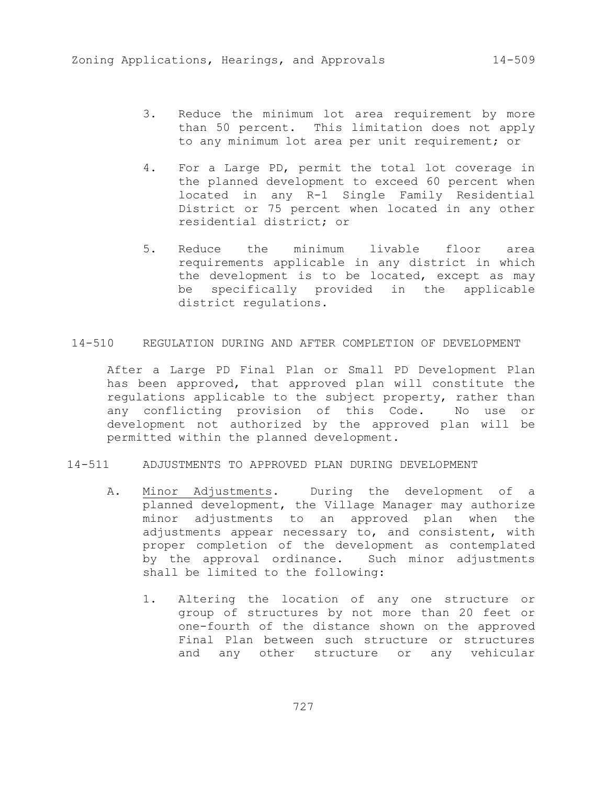to any minimum lot area per unit requirement; or

- 4. For a Large PD, permit the total lot coverage in the planned development to exceed 60 percent when located in any R-1 Single Family Residential District or 75 percent when located in any other residential district; or
- 5. Reduce the minimum livable floor area requirements applicable in any district in which the development is to be located, except as may be specifically provided in the applicable district regulations.

## 14-510 REGULATION DURING AND AFTER COMPLETION OF DEVELOPMENT

After a Large PD Final Plan or Small PD Development Plan has been approved, that approved plan will constitute the regulations applicable to the subject property, rather than any conflicting provision of this Code. No use or development not authorized by the approved plan will be permitted within the planned development.

- 14-511 ADJUSTMENTS TO APPROVED PLAN DURING DEVELOPMENT
	- A. Minor Adjustments. During the development of a planned development, the Village Manager may authorize minor adjustments to an approved plan when the adjustments appear necessary to, and consistent, with proper completion of the development as contemplated by the approval ordinance. Such minor adjustments shall be limited to the following:
		- 1. Altering the location of any one structure or group of structures by not more than 20 feet or one-fourth of the distance shown on the approved Final Plan between such structure or structures and any other structure or any vehicular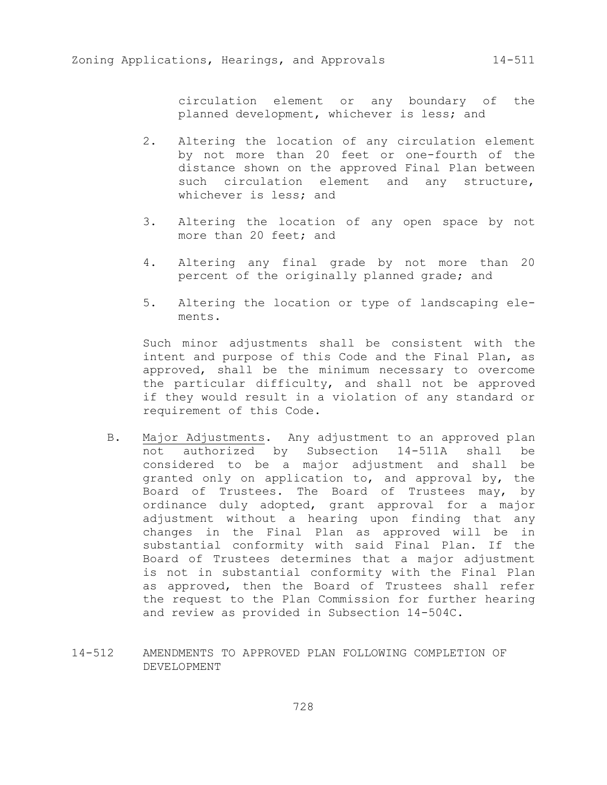circulation element or any boundary of the planned development, whichever is less; and

- 2. Altering the location of any circulation element by not more than 20 feet or one-fourth of the distance shown on the approved Final Plan between such circulation element and any structure, whichever is less; and
- 3. Altering the location of any open space by not more than 20 feet; and
- 4. Altering any final grade by not more than 20 percent of the originally planned grade; and
- 5. Altering the location or type of landscaping elements.

Such minor adjustments shall be consistent with the intent and purpose of this Code and the Final Plan, as approved, shall be the minimum necessary to overcome the particular difficulty, and shall not be approved if they would result in a violation of any standard or requirement of this Code.

- B. Major Adjustments. Any adjustment to an approved plan not authorized by Subsection 14-511A shall be considered to be a major adjustment and shall be granted only on application to, and approval by, the Board of Trustees. The Board of Trustees may, by ordinance duly adopted, grant approval for a major adjustment without a hearing upon finding that any changes in the Final Plan as approved will be in substantial conformity with said Final Plan. If the Board of Trustees determines that a major adjustment is not in substantial conformity with the Final Plan as approved, then the Board of Trustees shall refer the request to the Plan Commission for further hearing and review as provided in Subsection 14-504C.
- 14-512 AMENDMENTS TO APPROVED PLAN FOLLOWING COMPLETION OF DEVELOPMENT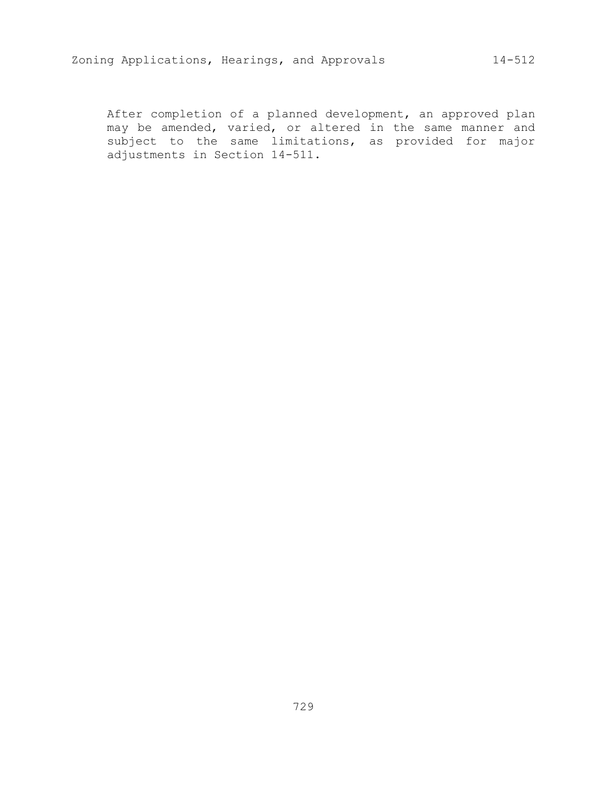After completion of a planned development, an approved plan may be amended, varied, or altered in the same manner and subject to the same limitations, as provided for major adjustments in Section 14-511.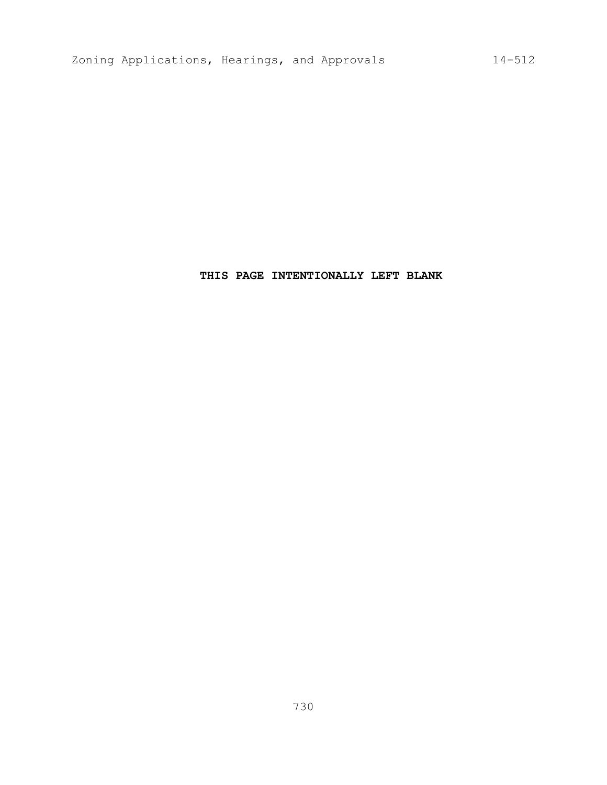# **THIS PAGE INTENTIONALLY LEFT BLANK**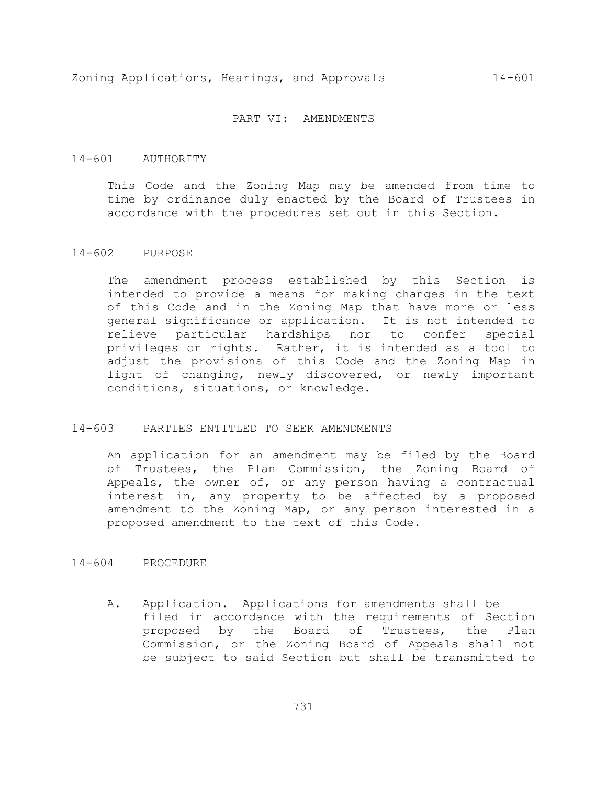#### PART VI: AMENDMENTS

### 14-601 AUTHORITY

This Code and the Zoning Map may be amended from time to time by ordinance duly enacted by the Board of Trustees in accordance with the procedures set out in this Section.

## 14-602 PURPOSE

The amendment process established by this Section is intended to provide a means for making changes in the text of this Code and in the Zoning Map that have more or less general significance or application. It is not intended to relieve particular hardships nor to confer special privileges or rights. Rather, it is intended as a tool to adjust the provisions of this Code and the Zoning Map in light of changing, newly discovered, or newly important conditions, situations, or knowledge.

#### 14-603 PARTIES ENTITLED TO SEEK AMENDMENTS

An application for an amendment may be filed by the Board of Trustees, the Plan Commission, the Zoning Board of Appeals, the owner of, or any person having a contractual interest in, any property to be affected by a proposed amendment to the Zoning Map, or any person interested in a proposed amendment to the text of this Code.

### 14-604 PROCEDURE

A. Application. Applications for amendments shall be filed in accordance with the requirements of Section proposed by the Board of Trustees, the Plan Commission, or the Zoning Board of Appeals shall not be subject to said Section but shall be transmitted to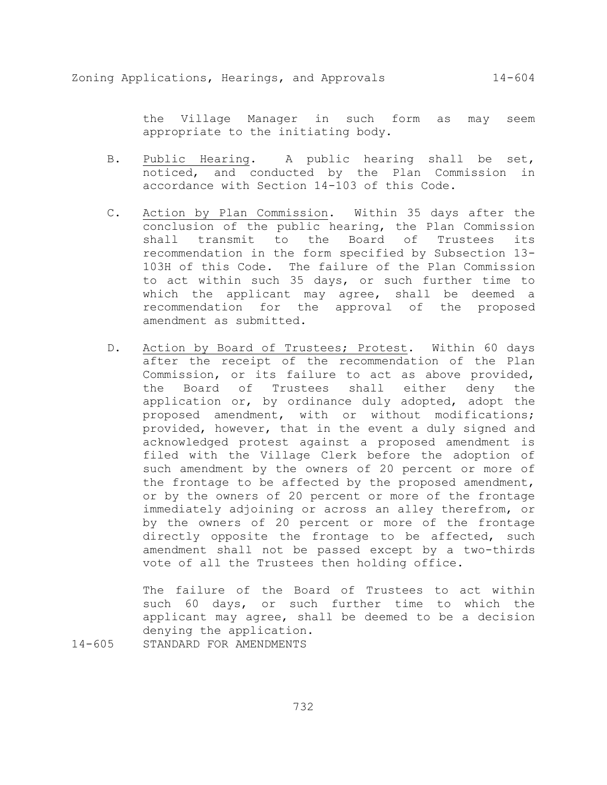the Village Manager in such form as may seem appropriate to the initiating body.

- B. Public Hearing. A public hearing shall be set, noticed, and conducted by the Plan Commission in accordance with Section 14-103 of this Code.
- C. Action by Plan Commission. Within 35 days after the conclusion of the public hearing, the Plan Commission shall transmit to the Board of Trustees its recommendation in the form specified by Subsection 13- 103H of this Code. The failure of the Plan Commission to act within such 35 days, or such further time to which the applicant may agree, shall be deemed a recommendation for the approval of the proposed amendment as submitted.
- D. Action by Board of Trustees; Protest. Within 60 days after the receipt of the recommendation of the Plan Commission, or its failure to act as above provided, the Board of Trustees shall either deny the application or, by ordinance duly adopted, adopt the proposed amendment, with or without modifications; provided, however, that in the event a duly signed and acknowledged protest against a proposed amendment is filed with the Village Clerk before the adoption of such amendment by the owners of 20 percent or more of the frontage to be affected by the proposed amendment, or by the owners of 20 percent or more of the frontage immediately adjoining or across an alley therefrom, or by the owners of 20 percent or more of the frontage directly opposite the frontage to be affected, such amendment shall not be passed except by a two-thirds vote of all the Trustees then holding office.

The failure of the Board of Trustees to act within such 60 days, or such further time to which the applicant may agree, shall be deemed to be a decision denying the application.

14-605 STANDARD FOR AMENDMENTS

732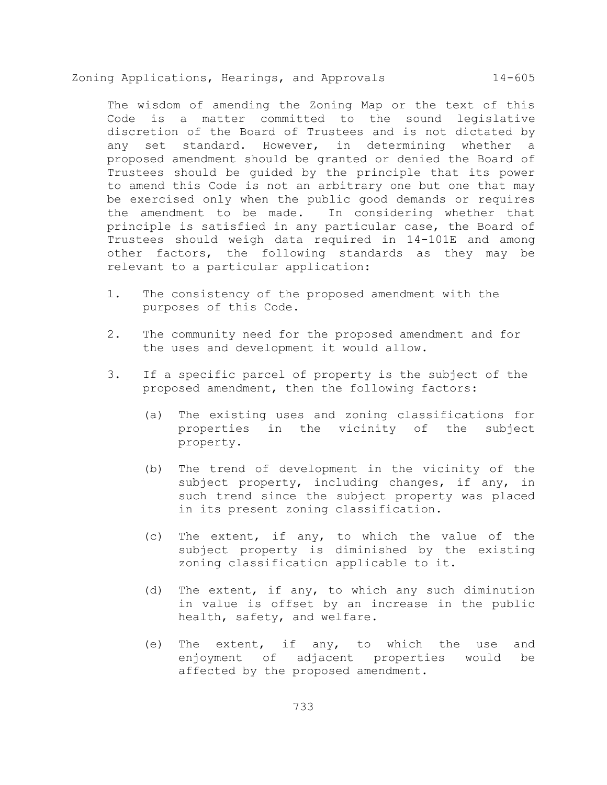The wisdom of amending the Zoning Map or the text of this Code is a matter committed to the sound legislative discretion of the Board of Trustees and is not dictated by any set standard. However, in determining whether a proposed amendment should be granted or denied the Board of Trustees should be guided by the principle that its power to amend this Code is not an arbitrary one but one that may be exercised only when the public good demands or requires the amendment to be made. In considering whether that principle is satisfied in any particular case, the Board of Trustees should weigh data required in 14-101E and among other factors, the following standards as they may be relevant to a particular application:

- 1. The consistency of the proposed amendment with the purposes of this Code.
- 2. The community need for the proposed amendment and for the uses and development it would allow.
- 3. If a specific parcel of property is the subject of the proposed amendment, then the following factors:
	- (a) The existing uses and zoning classifications for properties in the vicinity of the subject property.
	- (b) The trend of development in the vicinity of the subject property, including changes, if any, in such trend since the subject property was placed in its present zoning classification.
	- (c) The extent, if any, to which the value of the subject property is diminished by the existing zoning classification applicable to it.
	- (d) The extent, if any, to which any such diminution in value is offset by an increase in the public health, safety, and welfare.
	- (e) The extent, if any, to which the use and enjoyment of adjacent properties would be affected by the proposed amendment.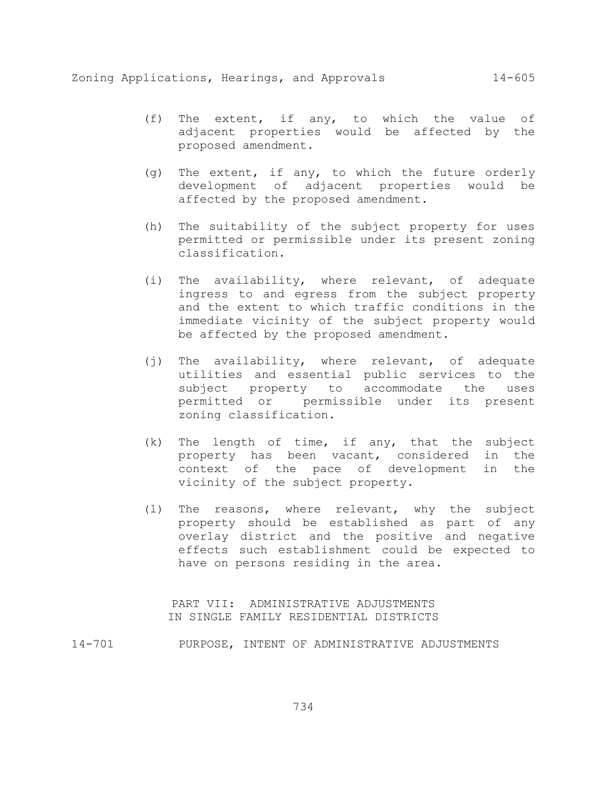- (f) The extent, if any, to which the value of adjacent properties would be affected by the proposed amendment.
- (g) The extent, if any, to which the future orderly development of adjacent properties would be affected by the proposed amendment.
- (h) The suitability of the subject property for uses permitted or permissible under its present zoning classification.
- (i) The availability, where relevant, of adequate ingress to and egress from the subject property and the extent to which traffic conditions in the immediate vicinity of the subject property would be affected by the proposed amendment.
- (j) The availability, where relevant, of adequate utilities and essential public services to the subject property to accommodate the uses permitted or permissible under its present zoning classification.
- (k) The length of time, if any, that the subject property has been vacant, considered in the context of the pace of development in the vicinity of the subject property.
- (l) The reasons, where relevant, why the subject property should be established as part of any overlay district and the positive and negative effects such establishment could be expected to have on persons residing in the area.

PART VII: ADMINISTRATIVE ADJUSTMENTS IN SINGLE FAMILY RESIDENTIAL DISTRICTS

14-701 PURPOSE, INTENT OF ADMINISTRATIVE ADJUSTMENTS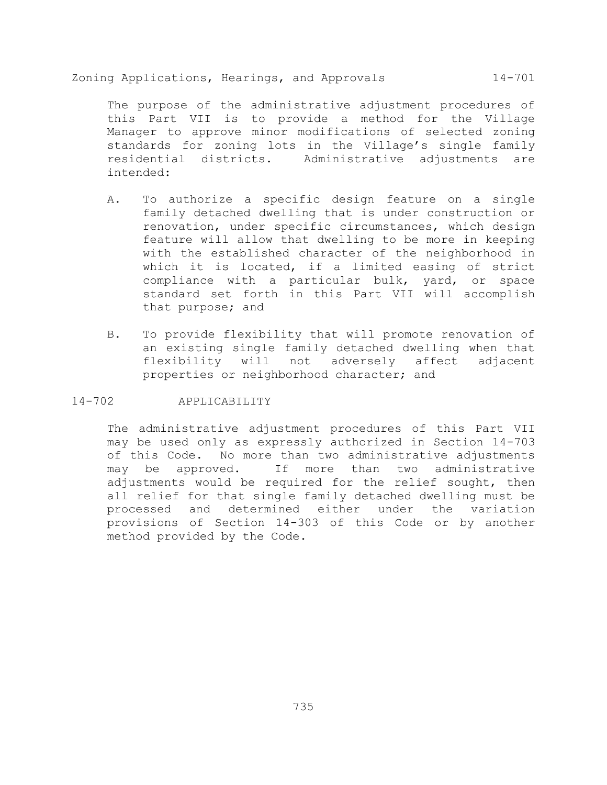The purpose of the administrative adjustment procedures of this Part VII is to provide a method for the Village Manager to approve minor modifications of selected zoning standards for zoning lots in the Village's single family residential districts. Administrative adjustments are intended:

- A. To authorize a specific design feature on a single family detached dwelling that is under construction or renovation, under specific circumstances, which design feature will allow that dwelling to be more in keeping with the established character of the neighborhood in which it is located, if a limited easing of strict compliance with a particular bulk, yard, or space standard set forth in this Part VII will accomplish that purpose; and
- B. To provide flexibility that will promote renovation of an existing single family detached dwelling when that flexibility will not adversely affect adjacent properties or neighborhood character; and

14-702 APPLICABILITY

The administrative adjustment procedures of this Part VII may be used only as expressly authorized in Section 14-703 of this Code. No more than two administrative adjustments may be approved. If more than two administrative adjustments would be required for the relief sought, then all relief for that single family detached dwelling must be processed and determined either under the variation provisions of Section 14-303 of this Code or by another method provided by the Code.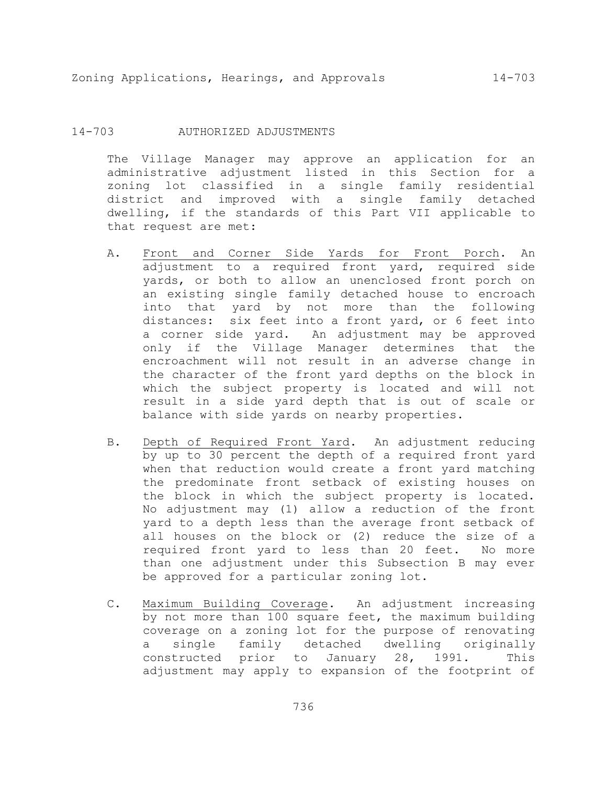# 14-703 AUTHORIZED ADJUSTMENTS

The Village Manager may approve an application for an administrative adjustment listed in this Section for a zoning lot classified in a single family residential district and improved with a single family detached dwelling, if the standards of this Part VII applicable to that request are met:

- A. Front and Corner Side Yards for Front Porch. An adjustment to a required front yard, required side yards, or both to allow an unenclosed front porch on an existing single family detached house to encroach into that yard by not more than the following distances: six feet into a front yard, or 6 feet into a corner side yard. An adjustment may be approved only if the Village Manager determines that the encroachment will not result in an adverse change in the character of the front yard depths on the block in which the subject property is located and will not result in a side yard depth that is out of scale or balance with side yards on nearby properties.
- B. Depth of Required Front Yard. An adjustment reducing by up to 30 percent the depth of a required front yard when that reduction would create a front yard matching the predominate front setback of existing houses on the block in which the subject property is located. No adjustment may (1) allow a reduction of the front yard to a depth less than the average front setback of all houses on the block or (2) reduce the size of a required front yard to less than 20 feet. No more than one adjustment under this Subsection B may ever be approved for a particular zoning lot.
- C. Maximum Building Coverage. An adjustment increasing by not more than 100 square feet, the maximum building coverage on a zoning lot for the purpose of renovating a single family detached dwelling originally constructed prior to January 28, 1991. This adjustment may apply to expansion of the footprint of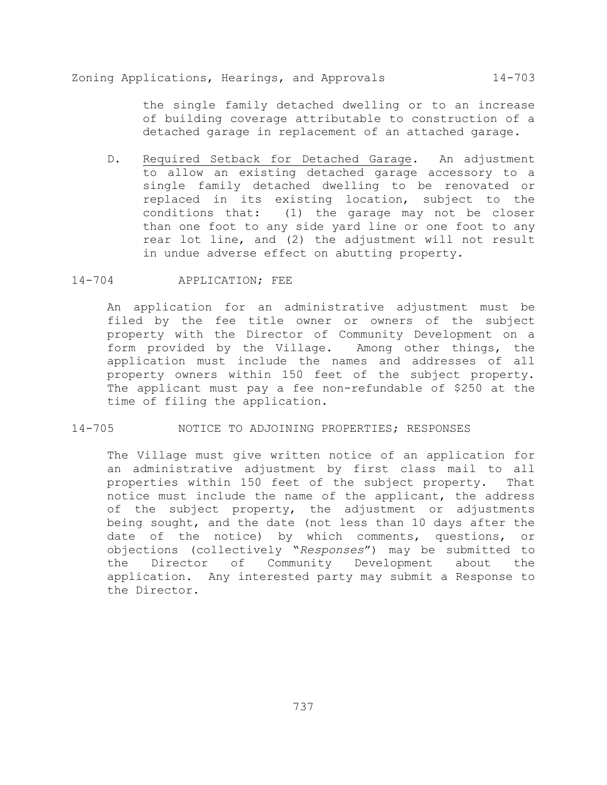the single family detached dwelling or to an increase of building coverage attributable to construction of a detached garage in replacement of an attached garage.

- D. Required Setback for Detached Garage. An adjustment to allow an existing detached garage accessory to a single family detached dwelling to be renovated or replaced in its existing location, subject to the conditions that: (1) the garage may not be closer than one foot to any side yard line or one foot to any rear lot line, and (2) the adjustment will not result in undue adverse effect on abutting property.
- 14-704 APPLICATION; FEE

An application for an administrative adjustment must be filed by the fee title owner or owners of the subject property with the Director of Community Development on a form provided by the Village. Among other things, the application must include the names and addresses of all property owners within 150 feet of the subject property. The applicant must pay a fee non-refundable of \$250 at the time of filing the application.

# 14-705 NOTICE TO ADJOINING PROPERTIES; RESPONSES

The Village must give written notice of an application for an administrative adjustment by first class mail to all properties within 150 feet of the subject property. That notice must include the name of the applicant, the address of the subject property, the adjustment or adjustments being sought, and the date (not less than 10 days after the date of the notice) by which comments, questions, or objections (collectively "*Responses*") may be submitted to the Director of Community Development about the application. Any interested party may submit a Response to the Director.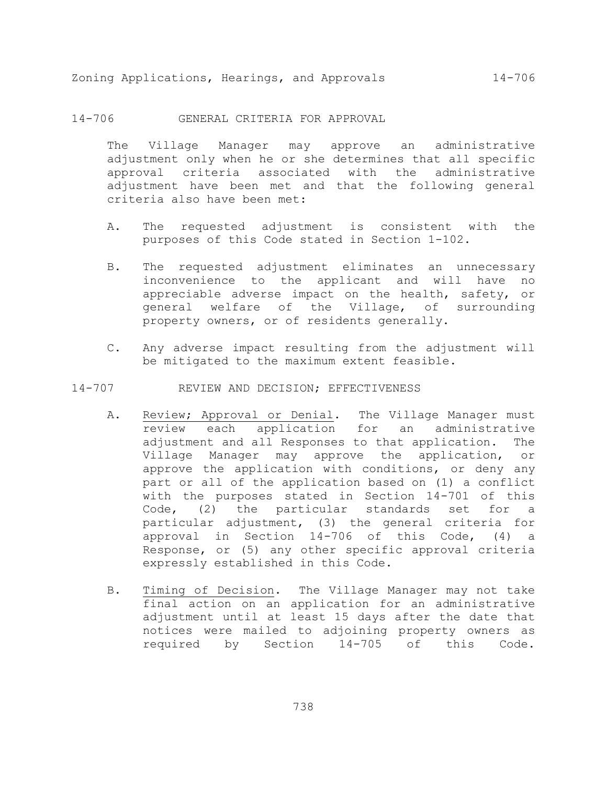14-706 GENERAL CRITERIA FOR APPROVAL

The Village Manager may approve an administrative adjustment only when he or she determines that all specific approval criteria associated with the administrative adjustment have been met and that the following general criteria also have been met:

- A. The requested adjustment is consistent with the purposes of this Code stated in Section 1-102.
- B. The requested adjustment eliminates an unnecessary inconvenience to the applicant and will have no appreciable adverse impact on the health, safety, or general welfare of the Village, of surrounding property owners, or of residents generally.
- C. Any adverse impact resulting from the adjustment will be mitigated to the maximum extent feasible.
- 14-707 REVIEW AND DECISION; EFFECTIVENESS
	- A. Review; Approval or Denial. The Village Manager must review each application for an administrative adjustment and all Responses to that application. The Village Manager may approve the application, or approve the application with conditions, or deny any part or all of the application based on (1) a conflict with the purposes stated in Section 14-701 of this Code, (2) the particular standards set for a particular adjustment, (3) the general criteria for approval in Section 14-706 of this Code, (4) a Response, or (5) any other specific approval criteria expressly established in this Code.
	- B. Timing of Decision. The Village Manager may not take final action on an application for an administrative adjustment until at least 15 days after the date that notices were mailed to adjoining property owners as required by Section 14-705 of this Code.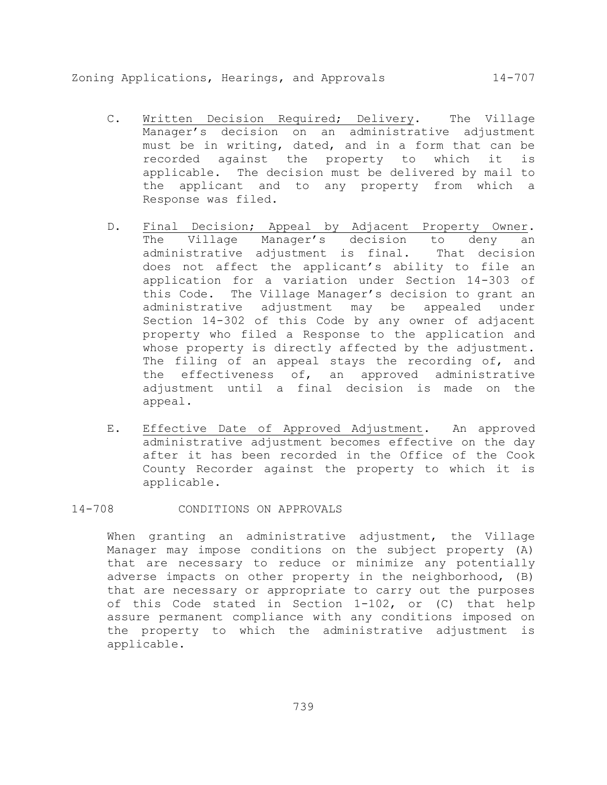- C. Written Decision Required; Delivery. The Village Manager's decision on an administrative adjustment must be in writing, dated, and in a form that can be recorded against the property to which it is applicable. The decision must be delivered by mail to the applicant and to any property from which a Response was filed.
- D. Final Decision; Appeal by Adjacent Property Owner. The Village Manager's decision to deny an administrative adjustment is final. That decision does not affect the applicant's ability to file an application for a variation under Section 14-303 of this Code. The Village Manager's decision to grant an administrative adjustment may be appealed under Section 14-302 of this Code by any owner of adjacent property who filed a Response to the application and whose property is directly affected by the adjustment. The filing of an appeal stays the recording of, and the effectiveness of, an approved administrative adjustment until a final decision is made on the appeal.
- E. Effective Date of Approved Adjustment. An approved administrative adjustment becomes effective on the day after it has been recorded in the Office of the Cook County Recorder against the property to which it is applicable.

# 14-708 CONDITIONS ON APPROVALS

When granting an administrative adjustment, the Village Manager may impose conditions on the subject property (A) that are necessary to reduce or minimize any potentially adverse impacts on other property in the neighborhood, (B) that are necessary or appropriate to carry out the purposes of this Code stated in Section 1-102, or (C) that help assure permanent compliance with any conditions imposed on the property to which the administrative adjustment is applicable.